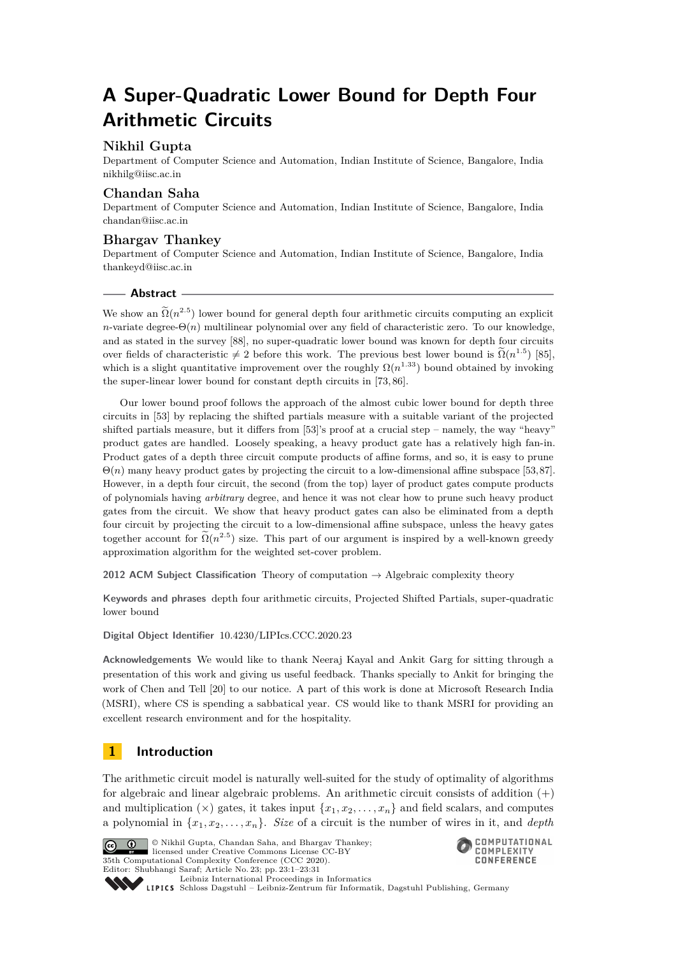# **A Super-Quadratic Lower Bound for Depth Four Arithmetic Circuits**

# **Nikhil Gupta**

Department of Computer Science and Automation, Indian Institute of Science, Bangalore, India [nikhilg@iisc.ac.in](mailto:nikhilg@iisc.ac.in)

# **Chandan Saha**

Department of Computer Science and Automation, Indian Institute of Science, Bangalore, India [chandan@iisc.ac.in](mailto:chandan@iisc.ac.in)

# **Bhargav Thankey**

Department of Computer Science and Automation, Indian Institute of Science, Bangalore, India [thankeyd@iisc.ac.in](mailto:thankeyd@iisc.ac.in)

# **Abstract**

We show an  $\tilde{\Omega}(n^{2.5})$  lower bound for general depth four arithmetic circuits computing an explicit *n*-variate degree- $\Theta(n)$  multilinear polynomial over any field of characteristic zero. To our knowledge, and as stated in the survey [\[88\]](#page-18-0), no super-quadratic lower bound was known for depth four circuits over fields of characteristic  $\neq 2$  before this work. The previous best lower bound is  $\tilde{\Omega}(n^{1.5})$  [\[85\]](#page-18-1), which is a slight quantitative improvement over the roughly  $\Omega(n^{1.33})$  bound obtained by invoking the super-linear lower bound for constant depth circuits in [\[73,](#page-17-0) [86\]](#page-18-2).

Our lower bound proof follows the approach of the almost cubic lower bound for depth three circuits in [\[53\]](#page-16-0) by replacing the shifted partials measure with a suitable variant of the projected shifted partials measure, but it differs from [\[53\]](#page-16-0)'s proof at a crucial step – namely, the way "heavy" product gates are handled. Loosely speaking, a heavy product gate has a relatively high fan-in. Product gates of a depth three circuit compute products of affine forms, and so, it is easy to prune Θ(*n*) many heavy product gates by projecting the circuit to a low-dimensional affine subspace [\[53,](#page-16-0)[87\]](#page-18-3). However, in a depth four circuit, the second (from the top) layer of product gates compute products of polynomials having *arbitrary* degree, and hence it was not clear how to prune such heavy product gates from the circuit. We show that heavy product gates can also be eliminated from a depth four circuit by projecting the circuit to a low-dimensional affine subspace, unless the heavy gates together account for  $\Omega(n^{2.5})$  size. This part of our argument is inspired by a well-known greedy approximation algorithm for the weighted set-cover problem.

**2012 ACM Subject Classification** Theory of computation → Algebraic complexity theory

**Keywords and phrases** depth four arithmetic circuits, Projected Shifted Partials, super-quadratic lower bound

**Digital Object Identifier** [10.4230/LIPIcs.CCC.2020.23](https://doi.org/10.4230/LIPIcs.CCC.2020.23)

**Acknowledgements** We would like to thank Neeraj Kayal and Ankit Garg for sitting through a presentation of this work and giving us useful feedback. Thanks specially to Ankit for bringing the work of Chen and Tell [\[20\]](#page-14-0) to our notice. A part of this work is done at Microsoft Research India (MSRI), where CS is spending a sabbatical year. CS would like to thank MSRI for providing an excellent research environment and for the hospitality.

# **1 Introduction**

The arithmetic circuit model is naturally well-suited for the study of optimality of algorithms for algebraic and linear algebraic problems. An arithmetic circuit consists of addition  $(+)$ and multiplication ( $\times$ ) gates, it takes input  $\{x_1, x_2, \ldots, x_n\}$  and field scalars, and computes a polynomial in  $\{x_1, x_2, \ldots, x_n\}$ . *Size* of a circuit is the number of wires in it, and *depth* 



© Nikhil Gupta, Chandan Saha, and Bhargav Thankey;  $\boxed{6}$   $\boxed{0}$ licensed under Creative Commons License CC-BY 35th Computational Complexity Conference (CCC 2020). Editor: Shubhangi Saraf; Article No. 23; pp. 23:1–23[:31](#page-30-0) [Leibniz International Proceedings in Informatics](https://www.dagstuhl.de/lipics/)



Leibniz International Froceedings in miormatics<br>
LIPICS [Schloss Dagstuhl – Leibniz-Zentrum für Informatik, Dagstuhl Publishing, Germany](https://www.dagstuhl.de)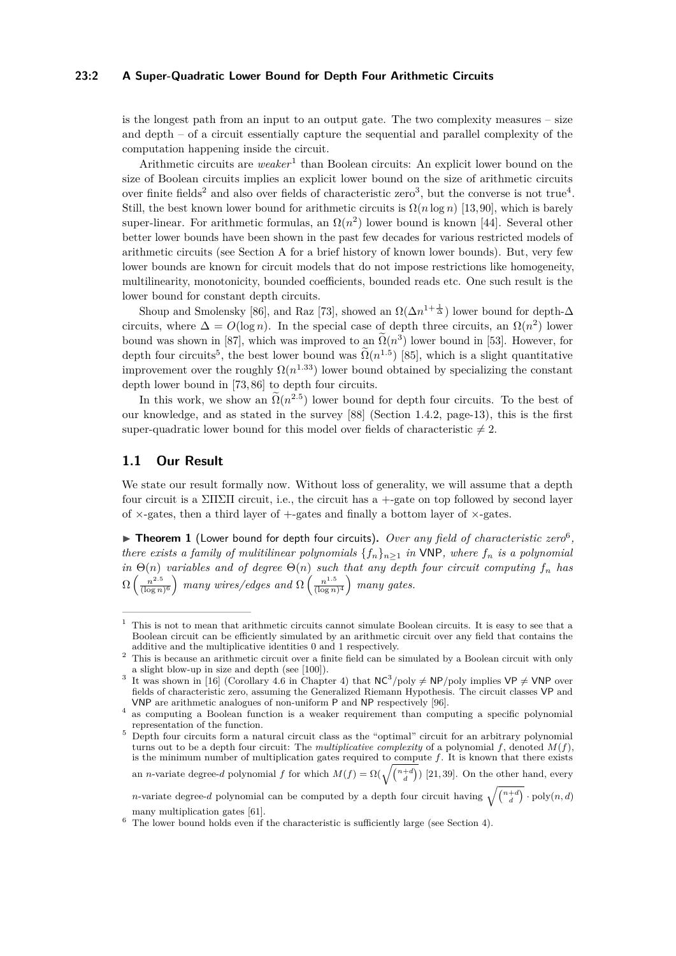#### **23:2 A Super-Quadratic Lower Bound for Depth Four Arithmetic Circuits**

is the longest path from an input to an output gate. The two complexity measures – size and depth – of a circuit essentially capture the sequential and parallel complexity of the computation happening inside the circuit.

Arithmetic circuits are *weaker*<sup>[1](#page-1-0)</sup> than Boolean circuits: An explicit lower bound on the size of Boolean circuits implies an explicit lower bound on the size of arithmetic circuits over finite fields<sup>[2](#page-1-1)</sup> and also over fields of characteristic zero<sup>[3](#page-1-2)</sup>, but the converse is not true<sup>[4](#page-1-3)</sup>. Still, the best known lower bound for arithmetic circuits is  $\Omega(n \log n)$  [\[13,](#page-14-1)90], which is barely super-linear. For arithmetic formulas, an  $\Omega(n^2)$  lower bound is known [\[44\]](#page-16-1). Several other better lower bounds have been shown in the past few decades for various restricted models of arithmetic circuits (see Section [A](#page-19-0) for a brief history of known lower bounds). But, very few lower bounds are known for circuit models that do not impose restrictions like homogeneity, multilinearity, monotonicity, bounded coefficients, bounded reads etc. One such result is the lower bound for constant depth circuits.

Shoup and Smolensky [\[86\]](#page-18-2), and Raz [\[73\]](#page-17-0), showed an  $\Omega(\Delta n^{1+\frac{1}{\Delta}})$  lower bound for depth- $\Delta$ circuits, where  $\Delta = O(\log n)$ . In the special case of depth three circuits, an  $\Omega(n^2)$  lower bound was shown in [\[87\]](#page-18-3), which was improved to an  $\Omega(n^3)$  lower bound in [\[53\]](#page-16-0). However, for depth four circuits<sup>[5](#page-1-4)</sup>, the best lower bound was  $\tilde{\Omega}(n^{1.5})$  [\[85\]](#page-18-1), which is a slight quantitative improvement over the roughly  $\Omega(n^{1.33})$  lower bound obtained by specializing the constant depth lower bound in [\[73,](#page-17-0) [86\]](#page-18-2) to depth four circuits.

In this work, we show an  $\Omega(n^{2.5})$  lower bound for depth four circuits. To the best of our knowledge, and as stated in the survey [\[88\]](#page-18-0) (Section 1.4.2, page-13), this is the first super-quadratic lower bound for this model over fields of characteristic  $\neq 2$ .

### <span id="page-1-7"></span>**1.1 Our Result**

We state our result formally now. Without loss of generality, we will assume that a depth four circuit is a ΣΠΣΠ circuit, i.e., the circuit has a +-gate on top followed by second layer of  $\times$ -gates, then a third layer of  $+$ -gates and finally a bottom layer of  $\times$ -gates.

<span id="page-1-6"></span>▶ Theorem 1 (Lower bound for depth four circuits). *Over any field of characteristic zero*<sup>[6](#page-1-5)</sup>, *there exists a family of mulitilinear polynomials*  $\{f_n\}_{n>1}$  *in* VNP*, where*  $f_n$  *is a polynomial in*  $\Theta(n)$  *variables and of degree*  $\Theta(n)$  *such that any depth four circuit computing*  $f_n$  *has*  $\Omega\left(\frac{n^{2.5}}{\sqrt{\log n}}\right)$  $\frac{n^{2.5}}{(\log n)^6}$  many wires/edges and  $\Omega\left(\frac{n^{1.5}}{(\log n)^6}\right)$  $\frac{n^{1.5}}{(\log n)^4}$  many gates.

<span id="page-1-0"></span> $1$ . This is not to mean that arithmetic circuits cannot simulate Boolean circuits. It is easy to see that a Boolean circuit can be efficiently simulated by an arithmetic circuit over any field that contains the additive and the multiplicative identities 0 and 1 respectively.

<span id="page-1-1"></span><sup>&</sup>lt;sup>2</sup> This is because an arithmetic circuit over a finite field can be simulated by a Boolean circuit with only a slight blow-up in size and depth (see [\[100\]](#page-19-1)).

<span id="page-1-2"></span><sup>&</sup>lt;sup>3</sup> It was shown in [\[16\]](#page-14-2) (Corollary 4.6 in Chapter 4) that  $NC^3/poly \neq NP/poly$  implies  $VP \neq VNP$  over fields of characteristic zero, assuming the Generalized Riemann Hypothesis. The circuit classes VP and VNP are arithmetic analogues of non-uniform P and NP respectively [\[96\]](#page-18-5).

<span id="page-1-3"></span><sup>4</sup> as computing a Boolean function is a weaker requirement than computing a specific polynomial representation of the function.

<span id="page-1-4"></span><sup>5</sup> Depth four circuits form a natural circuit class as the "optimal" circuit for an arbitrary polynomial turns out to be a depth four circuit: The *multiplicative complexity* of a polynomial  $f$ , denoted  $M(f)$ , is the minimum number of multiplication gates required to compute *f*. It is known that there exists an *n*-variate degree-*d* polynomial *f* for which  $M(f) = \Omega(\sqrt{\binom{n+d}{d}})$  [\[21,](#page-14-3) [39\]](#page-15-0). On the other hand, every

*n*-variate degree-*d* polynomial can be computed by a depth four circuit having  $\sqrt{\binom{n+d}{d}} \cdot \text{poly}(n, d)$ many multiplication gates [\[61\]](#page-17-1).

<span id="page-1-5"></span><sup>6</sup> The lower bound holds even if the characteristic is sufficiently large (see Section [4\)](#page-10-0).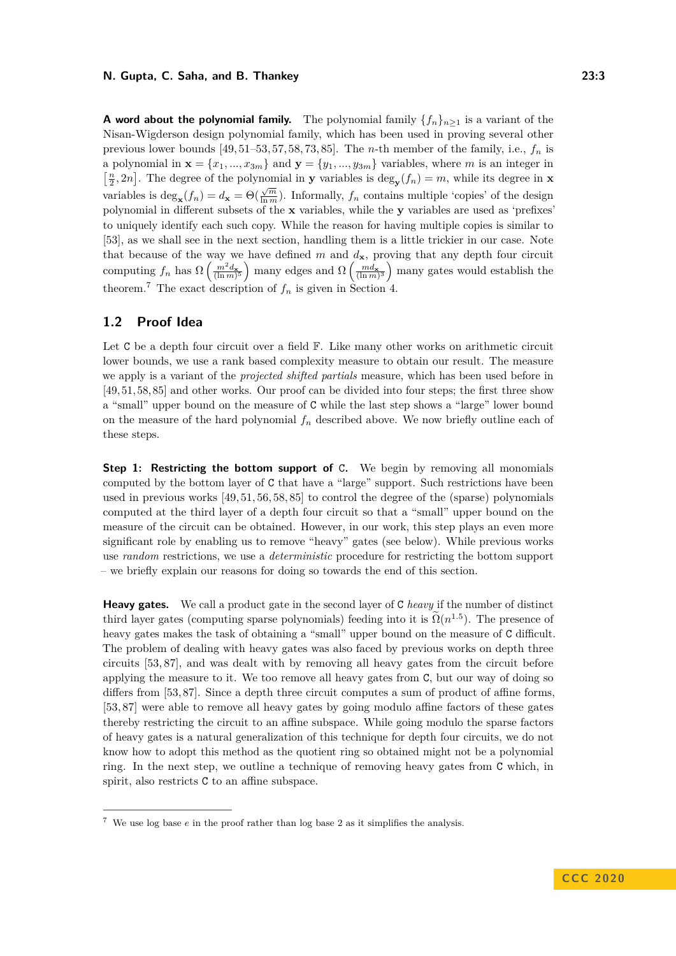**A** word about the polynomial family. The polynomial family  ${f_n}_{n>1}$  is a variant of the Nisan-Wigderson design polynomial family, which has been used in proving several other previous lower bounds [\[49,](#page-16-2) [51](#page-16-3)[–53,](#page-16-0) [57,](#page-17-2) [58,](#page-17-3) [73,](#page-17-0) [85\]](#page-18-1). The *n*-th member of the family, i.e., *f<sup>n</sup>* is a polynomial in  $\mathbf{x} = \{x_1, ..., x_{3m}\}\$ and  $\mathbf{y} = \{y_1, ..., y_{3m}\}\$ variables, where *m* is an integer in  $\left[\frac{n}{2}, 2n\right]$ . The degree of the polynomial in **y** variables is deg<sub>**y**</sub> $(f_n) = m$ , while its degree in **x** variables is  $\deg_{\mathbf{x}}(f_n) = d_{\mathbf{x}} = \Theta(\frac{\sqrt{m}}{\ln m})$ . Informally,  $f_n$  contains multiple 'copies' of the design polynomial in different subsets of the **x** variables, while the **y** variables are used as 'prefixes' to uniquely identify each such copy. While the reason for having multiple copies is similar to [\[53\]](#page-16-0), as we shall see in the next section, handling them is a little trickier in our case. Note that because of the way we have defined  $m$  and  $d_{\mathbf{x}}$ , proving that any depth four circuit computing  $f_n$  has  $\Omega\left(\frac{m^2 d_{\mathbf{x}}}{(\ln m)^5}\right)$  many edges and  $\Omega\left(\frac{m d_{\mathbf{x}}}{(\ln m)^3}\right)$  many gates would establish the theorem.<sup>[7](#page-2-0)</sup> The exact description of  $f_n$  is given in Section [4.](#page-10-0)

# **1.2 Proof Idea**

Let C be a depth four circuit over a field  $\mathbb F$ . Like many other works on arithmetic circuit lower bounds, we use a rank based complexity measure to obtain our result. The measure we apply is a variant of the *projected shifted partials* measure, which has been used before in [\[49,](#page-16-2) [51,](#page-16-3) [58,](#page-17-3) [85\]](#page-18-1) and other works. Our proof can be divided into four steps; the first three show a "small" upper bound on the measure of C while the last step shows a "large" lower bound on the measure of the hard polynomial *f<sup>n</sup>* described above. We now briefly outline each of these steps.

**Step 1: Restricting the bottom support of** C**.** We begin by removing all monomials computed by the bottom layer of C that have a "large" support. Such restrictions have been used in previous works [\[49,](#page-16-2) [51,](#page-16-3) [56,](#page-16-4) [58,](#page-17-3) [85\]](#page-18-1) to control the degree of the (sparse) polynomials computed at the third layer of a depth four circuit so that a "small" upper bound on the measure of the circuit can be obtained. However, in our work, this step plays an even more significant role by enabling us to remove "heavy" gates (see below). While previous works use *random* restrictions, we use a *deterministic* procedure for restricting the bottom support – we briefly explain our reasons for doing so towards the end of this section.

**Heavy gates.** We call a product gate in the second layer of C *heavy* if the number of distinct third layer gates (computing sparse polynomials) feeding into it is  $\tilde{\Omega}(n^{1.5})$ . The presence of heavy gates makes the task of obtaining a "small" upper bound on the measure of C difficult. The problem of dealing with heavy gates was also faced by previous works on depth three circuits [\[53,](#page-16-0) [87\]](#page-18-3), and was dealt with by removing all heavy gates from the circuit before applying the measure to it. We too remove all heavy gates from C, but our way of doing so differs from [\[53,](#page-16-0)87]. Since a depth three circuit computes a sum of product of affine forms, [\[53,](#page-16-0) [87\]](#page-18-3) were able to remove all heavy gates by going modulo affine factors of these gates thereby restricting the circuit to an affine subspace. While going modulo the sparse factors of heavy gates is a natural generalization of this technique for depth four circuits, we do not know how to adopt this method as the quotient ring so obtained might not be a polynomial ring. In the next step, we outline a technique of removing heavy gates from C which, in spirit, also restricts C to an affine subspace.

<span id="page-2-0"></span><sup>7</sup> We use log base *e* in the proof rather than log base 2 as it simplifies the analysis.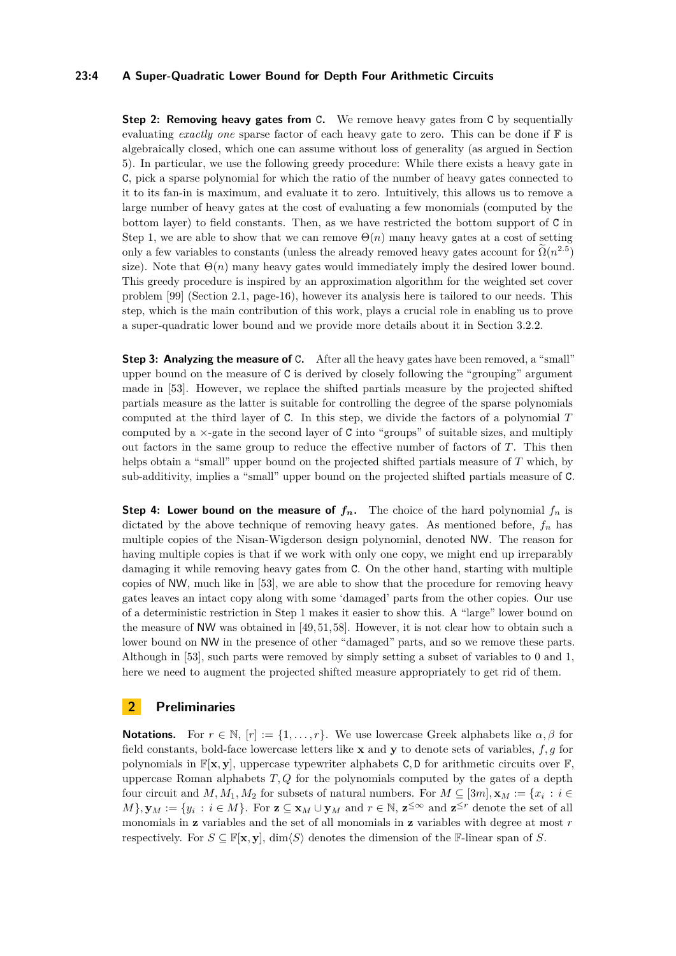# **23:4 A Super-Quadratic Lower Bound for Depth Four Arithmetic Circuits**

**Step 2: Removing heavy gates from C.** We remove heavy gates from C by sequentially evaluating *exactly one* sparse factor of each heavy gate to zero. This can be done if F is algebraically closed, which one can assume without loss of generality (as argued in Section [5\)](#page-12-0). In particular, we use the following greedy procedure: While there exists a heavy gate in C, pick a sparse polynomial for which the ratio of the number of heavy gates connected to it to its fan-in is maximum, and evaluate it to zero. Intuitively, this allows us to remove a large number of heavy gates at the cost of evaluating a few monomials (computed by the bottom layer) to field constants. Then, as we have restricted the bottom support of C in Step 1, we are able to show that we can remove  $\Theta(n)$  many heavy gates at a cost of setting only a few variables to constants (unless the already removed heavy gates account for  $\tilde{\Omega}(n^{2.5})$ size). Note that  $\Theta(n)$  many heavy gates would immediately imply the desired lower bound. This greedy procedure is inspired by an approximation algorithm for the weighted set cover problem [\[99\]](#page-19-2) (Section 2.1, page-16), however its analysis here is tailored to our needs. This step, which is the main contribution of this work, plays a crucial role in enabling us to prove a super-quadratic lower bound and we provide more details about it in Section [3.2.2.](#page-9-0)

**Step 3: Analyzing the measure of** C. After all the heavy gates have been removed, a "small" upper bound on the measure of C is derived by closely following the "grouping" argument made in [\[53\]](#page-16-0). However, we replace the shifted partials measure by the projected shifted partials measure as the latter is suitable for controlling the degree of the sparse polynomials computed at the third layer of C. In this step, we divide the factors of a polynomial *T* computed by a ×-gate in the second layer of C into "groups" of suitable sizes, and multiply out factors in the same group to reduce the effective number of factors of *T*. This then helps obtain a "small" upper bound on the projected shifted partials measure of *T* which, by sub-additivity, implies a "small" upper bound on the projected shifted partials measure of C.

**Step 4: Lower bound on the measure of**  $f_n$ **.** The choice of the hard polynomial  $f_n$  is dictated by the above technique of removing heavy gates. As mentioned before,  $f_n$  has multiple copies of the Nisan-Wigderson design polynomial, denoted NW. The reason for having multiple copies is that if we work with only one copy, we might end up irreparably damaging it while removing heavy gates from C. On the other hand, starting with multiple copies of NW, much like in [\[53\]](#page-16-0), we are able to show that the procedure for removing heavy gates leaves an intact copy along with some 'damaged' parts from the other copies. Our use of a deterministic restriction in Step 1 makes it easier to show this. A "large" lower bound on the measure of NW was obtained in [\[49,](#page-16-2) [51,](#page-16-3) [58\]](#page-17-3). However, it is not clear how to obtain such a lower bound on NW in the presence of other "damaged" parts, and so we remove these parts. Although in [\[53\]](#page-16-0), such parts were removed by simply setting a subset of variables to 0 and 1, here we need to augment the projected shifted measure appropriately to get rid of them.

# <span id="page-3-0"></span>**2 Preliminaries**

**Notations.** For  $r \in \mathbb{N}$ ,  $[r] := \{1, \ldots, r\}$ . We use lowercase Greek alphabets like  $\alpha, \beta$  for field constants, bold-face lowercase letters like **x** and **y** to denote sets of variables, *f, g* for polynomials in  $\mathbb{F}[\mathbf{x}, \mathbf{y}]$ , uppercase typewriter alphabets C, D for arithmetic circuits over  $\mathbb{F}$ , uppercase Roman alphabets *T, Q* for the polynomials computed by the gates of a depth four circuit and  $M, M_1, M_2$  for subsets of natural numbers. For  $M \subseteq [3m], \mathbf{x}_M := \{x_i : i \in$  $M$ },  $\mathbf{y}_M := \{y_i : i \in M\}$ . For  $\mathbf{z} \subseteq \mathbf{x}_M \cup \mathbf{y}_M$  and  $r \in \mathbb{N}$ ,  $\mathbf{z}^{\leq \infty}$  and  $\mathbf{z}^{\leq r}$  denote the set of all monomials in **z** variables and the set of all monomials in **z** variables with degree at most *r* respectively. For  $S \subseteq \mathbb{F}[\mathbf{x}, \mathbf{y}]$ , dim $\langle S \rangle$  denotes the dimension of the F-linear span of *S*.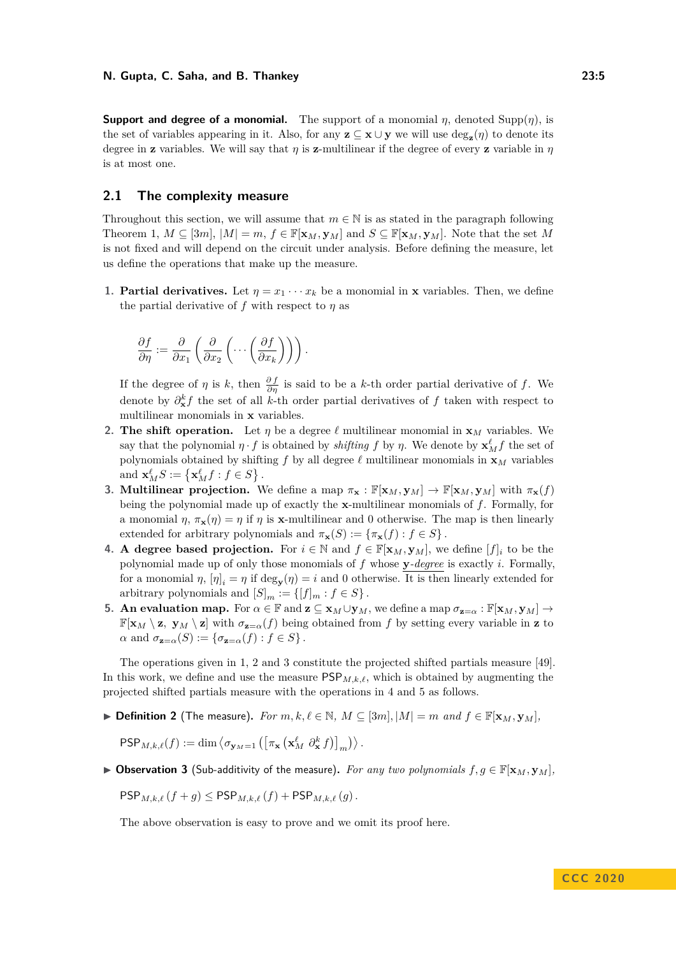**Support and degree of a monomial.** The support of a monomial *η*, denoted Supp $(n)$ , is the set of variables appearing in it. Also, for any  $z \subseteq x \cup y$  we will use  $\deg_z(\eta)$  to denote its degree in **z** variables. We will say that  $\eta$  is **z**-multilinear if the degree of every **z** variable in  $\eta$ is at most one.

# **2.1 The complexity measure**

Throughout this section, we will assume that  $m \in \mathbb{N}$  is as stated in the paragraph following Theorem [1,](#page-1-6)  $M \subseteq [3m]$ ,  $|M| = m$ ,  $f \in \mathbb{F}[\mathbf{x}_M, \mathbf{y}_M]$  and  $S \subseteq \mathbb{F}[\mathbf{x}_M, \mathbf{y}_M]$ . Note that the set M is not fixed and will depend on the circuit under analysis. Before defining the measure, let us define the operations that make up the measure.

**1. Partial derivatives.** Let  $\eta = x_1 \cdots x_k$  be a monomial in **x** variables. Then, we define the partial derivative of  $f$  with respect to  $\eta$  as

$$
\frac{\partial f}{\partial \eta} := \frac{\partial}{\partial x_1} \left( \frac{\partial}{\partial x_2} \left( \cdots \left( \frac{\partial f}{\partial x_k} \right) \right) \right).
$$

If the degree of  $\eta$  is  $k$ , then  $\frac{\partial f}{\partial \eta}$  is said to be a *k*-th order partial derivative of  $f$ . We denote by  $\partial_{\bf x}^{k} f$  the set of all *k*-th order partial derivatives of *f* taken with respect to multilinear monomials in **x** variables.

- **2. The shift operation.** Let  $\eta$  be a degree  $\ell$  multilinear monomial in  $\mathbf{x}_M$  variables. We say that the polynomial  $\eta \cdot f$  is obtained by *shifting*  $f$  by  $\eta$ . We denote by  $\mathbf{x}_M^{\ell} f$  the set of polynomials obtained by shifting  $f$  by all degree  $\ell$  multilinear monomials in  $\mathbf{x}_M$  variables and  $\mathbf{x}_M^{\ell} S := \{ \mathbf{x}_M^{\ell} f : f \in S \}$ .
- **3. Multilinear projection.** We define a map  $\pi_{\mathbf{x}} : \mathbb{F}[\mathbf{x}_M, \mathbf{y}_M] \to \mathbb{F}[\mathbf{x}_M, \mathbf{y}_M]$  with  $\pi_{\mathbf{x}}(f)$ being the polynomial made up of exactly the **x**-multilinear monomials of *f*. Formally, for a monomial  $\eta$ ,  $\pi_{\mathbf{x}}(\eta) = \eta$  if  $\eta$  is **x**-multilinear and 0 otherwise. The map is then linearly extended for arbitrary polynomials and  $\pi_{\mathbf{x}}(S) := \{ \pi_{\mathbf{x}}(f) : f \in S \}$ .
- **4. A** degree based projection. For  $i \in \mathbb{N}$  and  $f \in \mathbb{F}[\mathbf{x}_M, \mathbf{y}_M]$ , we define  $[f]_i$  to be the polynomial made up of only those monomials of *f* whose **y***-degree* is exactly *i*. Formally, for a monomial  $\eta$ ,  $[\eta]_i = \eta$  if  $\deg_{\mathbf{y}}(\eta) = i$  and 0 otherwise. It is then linearly extended for arbitrary polynomials and  $[S]_m := \{ [f]_m : f \in S \}.$
- **5. An evaluation map.** For  $\alpha \in \mathbb{F}$  and  $\mathbf{z} \subseteq \mathbf{x}_M \cup \mathbf{y}_M$ , we define a map  $\sigma_{\mathbf{z}=\alpha} : \mathbb{F}[\mathbf{x}_M, \mathbf{y}_M] \to$  $\mathbb{F}[\mathbf{x}_M \setminus \mathbf{z}, \mathbf{y}_M \setminus \mathbf{z}]$  with  $\sigma_{\mathbf{z}=\alpha}(f)$  being obtained from f by setting every variable in **z** to  $\alpha$  and  $\sigma_{\mathbf{z}=\alpha}(S) := {\sigma_{\mathbf{z}=\alpha}(f) : f \in S}.$

The operations given in 1, 2 and 3 constitute the projected shifted partials measure [\[49\]](#page-16-2). In this work, we define and use the measure  $\mathsf{PSP}_{M,k,\ell}$ , which is obtained by augmenting the projected shifted partials measure with the operations in 4 and 5 as follows.

▶ **Definition 2** (The measure). *For*  $m, k, \ell \in \mathbb{N}$ ,  $M \subseteq [3m], |M| = m$  *and*  $f \in \mathbb{F}[\mathbf{x}_M, \mathbf{y}_M]$ ,

$$
\mathsf{PSP}_{M,k,\ell}(f) := \dim \left\langle \sigma_{\mathbf{y}_M=1} \left( \left[ \pi_{\mathbf{x}} \left( \mathbf{x}_M^{\ell} \partial_{\mathbf{x}}^k f \right) \right]_m \right) \right\rangle.
$$

 $\triangleright$  **Observation 3** (Sub-additivity of the measure). *For any two polynomials*  $f, g \in \mathbb{F}[{\bf x}_M, {\bf y}_M]$ ,

 $\mathsf{PSP}_{M,k,\ell}(f+g) \leq \mathsf{PSP}_{M,k,\ell}(f) + \mathsf{PSP}_{M,k,\ell}(g)$ .

The above observation is easy to prove and we omit its proof here.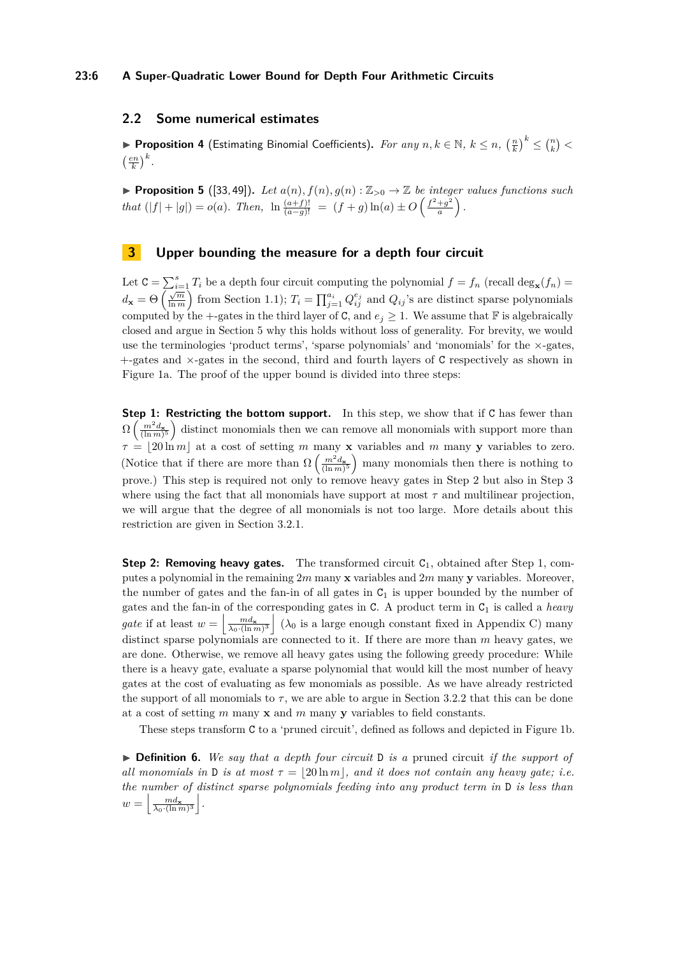#### **23:6 A Super-Quadratic Lower Bound for Depth Four Arithmetic Circuits**

# **2.2 Some numerical estimates**

<span id="page-5-2"></span>▶ Proposition 4 (Estimating Binomial Coefficients). *For any*  $n, k \in \mathbb{N}, k \leq n, \left(\frac{n}{k}\right)^k \leq {n \choose k}$  $\left(\frac{en}{k}\right)^k$ .

<span id="page-5-1"></span>**Proposition 5** ([\[33,](#page-15-1)49]). Let  $a(n)$ ,  $f(n)$ ,  $g(n): \mathbb{Z}_{>0} \to \mathbb{Z}$  be integer values functions such *that*  $(|f| + |g|) = o(a)$ *. Then,*  $\ln \frac{(a+f)!}{(a-g)!} = (f+g) \ln(a) \pm O\left(\frac{f^2+g^2}{a}\right)$  $\frac{+g^2}{a}$ ).

# <span id="page-5-0"></span>**3 Upper bounding the measure for a depth four circuit**

Let  $C = \sum_{i=1}^{s} T_i$  be a depth four circuit computing the polynomial  $f = f_n$  (recall  $\deg_{\mathbf{x}}(f_n) = d_{\mathbf{x}} = \Theta\left(\frac{\sqrt{m}}{\ln m}\right)$  from Section [1.1\)](#page-1-7);  $T_i = \prod_{j=1}^{a_i} Q_{ij}^{e_j}$  and  $Q_{ij}$ 's are distinct sparse polynomials computed by the +-gates in the third layer of C, and  $e_i \geq 1$ . We assume that F is algebraically closed and argue in Section [5](#page-12-0) why this holds without loss of generality. For brevity, we would use the terminologies 'product terms', 'sparse polynomials' and 'monomials' for the  $\times$ -gates, +-gates and ×-gates in the second, third and fourth layers of C respectively as shown in Figure [1a.](#page-6-0) The proof of the upper bound is divided into three steps:

**Step 1: Restricting the bottom support.** In this step, we show that if C has fewer than  $\Omega\left(\frac{m^2 d_{\mathbf{x}}}{(\ln m)^5}\right)$  distinct monomials then we can remove all monomials with support more than  $\tau = 20 \ln m$  at a cost of setting *m* many **x** variables and *m* many **y** variables to zero. (Notice that if there are more than  $\Omega\left(\frac{m^2d_{\mathbf{x}}}{(\ln m)^5}\right)$  many monomials then there is nothing to prove.) This step is required not only to remove heavy gates in Step 2 but also in Step 3 where using the fact that all monomials have support at most  $\tau$  and multilinear projection, we will argue that the degree of all monomials is not too large. More details about this restriction are given in Section [3.2.1.](#page-8-0)

**Step 2: Removing heavy gates.** The transformed circuit C<sub>1</sub>, obtained after Step 1, computes a polynomial in the remaining 2*m* many **x** variables and 2*m* many **y** variables. Moreover, the number of gates and the fan-in of all gates in  $C_1$  is upper bounded by the number of gates and the fan-in of the corresponding gates in C. A product term in C<sup>1</sup> is called a *heavy gate* if at least  $w = \left| \frac{m d_{\mathbf{x}}}{\lambda_0 \cdot (\ln m)^3} \right|$  ( $\lambda_0$  is a large enough constant fixed in Appendix [C\)](#page-27-0) many distinct sparse polynomials are connected to it. If there are more than *m* heavy gates, we are done. Otherwise, we remove all heavy gates using the following greedy procedure: While there is a heavy gate, evaluate a sparse polynomial that would kill the most number of heavy gates at the cost of evaluating as few monomials as possible. As we have already restricted the support of all monomials to  $\tau$ , we are able to argue in Section [3.2.2](#page-9-0) that this can be done at a cost of setting *m* many **x** and *m* many **y** variables to field constants.

These steps transform C to a 'pruned circuit', defined as follows and depicted in Figure [1b.](#page-6-0)

I **Definition 6.** *We say that a depth four circuit* D *is a* pruned circuit *if the support of all monomials in* D *is at most*  $\tau = |20 \text{ ln } m|$ , and it does not contain any heavy gate; i.e. *the number of distinct sparse polynomials feeding into any product term in* D *is less than*  $w = \left[\frac{md_{\mathbf{x}}}{\lambda_0 \cdot (\ln m)^3}\right]$ .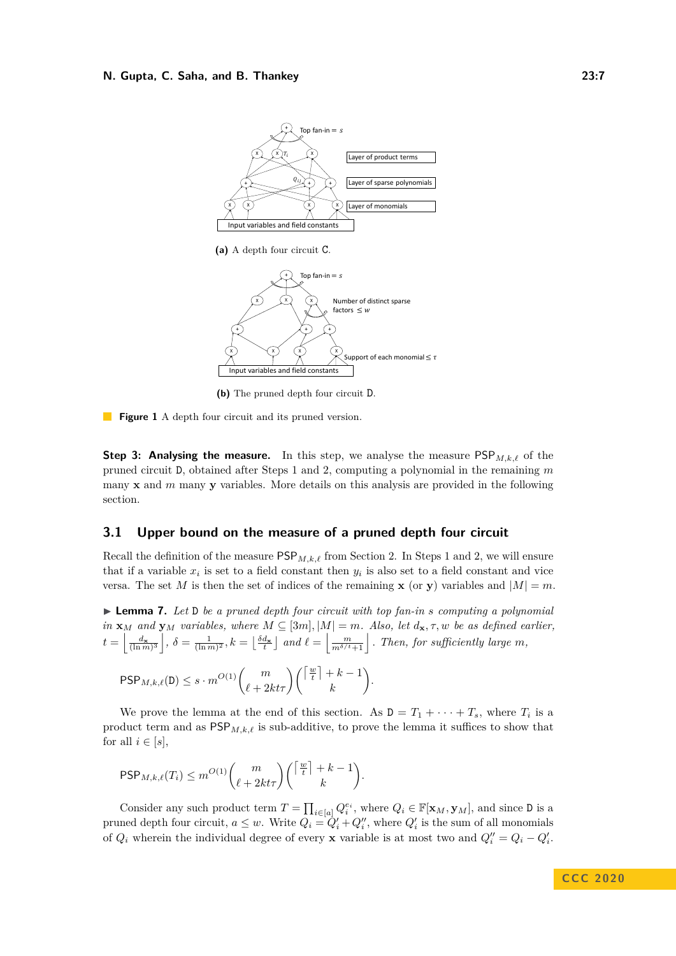<span id="page-6-0"></span>

**(a)** A depth four circuit C.



**(b)** The pruned depth four circuit D.

**Figure 1** A depth four circuit and its pruned version.

**Step 3: Analysing the measure.** In this step, we analyse the measure  $PSP_{M,k,\ell}$  of the pruned circuit D, obtained after Steps 1 and 2, computing a polynomial in the remaining *m* many **x** and *m* many **y** variables. More details on this analysis are provided in the following section.

### <span id="page-6-2"></span>**3.1 Upper bound on the measure of a pruned depth four circuit**

Recall the definition of the measure  $\mathsf{PSP}_{M,k,\ell}$  from Section [2.](#page-3-0) In Steps 1 and 2, we will ensure that if a variable  $x_i$  is set to a field constant then  $y_i$  is also set to a field constant and vice versa. The set *M* is then the set of indices of the remaining **x** (or **y**) variables and  $|M| = m$ .

<span id="page-6-1"></span>I **Lemma 7.** *Let* D *be a pruned depth four circuit with top fan-in s computing a polynomial*  $in \mathbf{x}_M$  *and*  $\mathbf{y}_M$  *variables, where*  $M \subseteq [3m]$ ,  $|M| = m$ *. Also, let*  $d_{\mathbf{x}}, \tau, w$  *be as defined earlier,*  $t = \left\lfloor \frac{d_{\mathbf{x}}}{(\ln m)^3} \right\rfloor$ ,  $\delta = \frac{1}{(\ln m)^2}$ ,  $k = \left\lfloor \frac{\delta d_{\mathbf{x}}}{t} \right\rfloor$  and  $\ell = \left\lfloor \frac{m}{m^{\delta/t}+1} \right\rfloor$ . Then, for sufficiently large m,

$$
\mathsf{PSP}_{M,k,\ell}(\mathsf{D}) \leq s \cdot m^{O(1)} \binom{m}{\ell+2kt\tau} \binom{\lceil \frac{w}{t} \rceil + k - 1}{k}.
$$

We prove the lemma at the end of this section. As  $D = T_1 + \cdots + T_s$ , where  $T_i$  is a product term and as  $\mathsf{PSP}_{M,k,\ell}$  is sub-additive, to prove the lemma it suffices to show that for all  $i \in [s]$ ,

$$
\mathsf{PSP}_{M,k,\ell}(T_i) \leq m^{O(1)} \binom{m}{\ell+2kt\tau} \binom{\left\lceil \frac{w}{t} \right\rceil + k - 1}{k}.
$$

Consider any such product term  $T = \prod_{i \in [a]} Q_i^{e_i}$ , where  $Q_i \in \mathbb{F}[\mathbf{x}_M, \mathbf{y}_M]$ , and since D is a pruned depth four circuit,  $a \leq w$ . Write  $Q_i = Q'_i + Q''_i$ , where  $Q'_i$  is the sum of all monomials of  $Q_i$  wherein the individual degree of every **x** variable is at most two and  $Q_i'' = Q_i - Q_i'$ .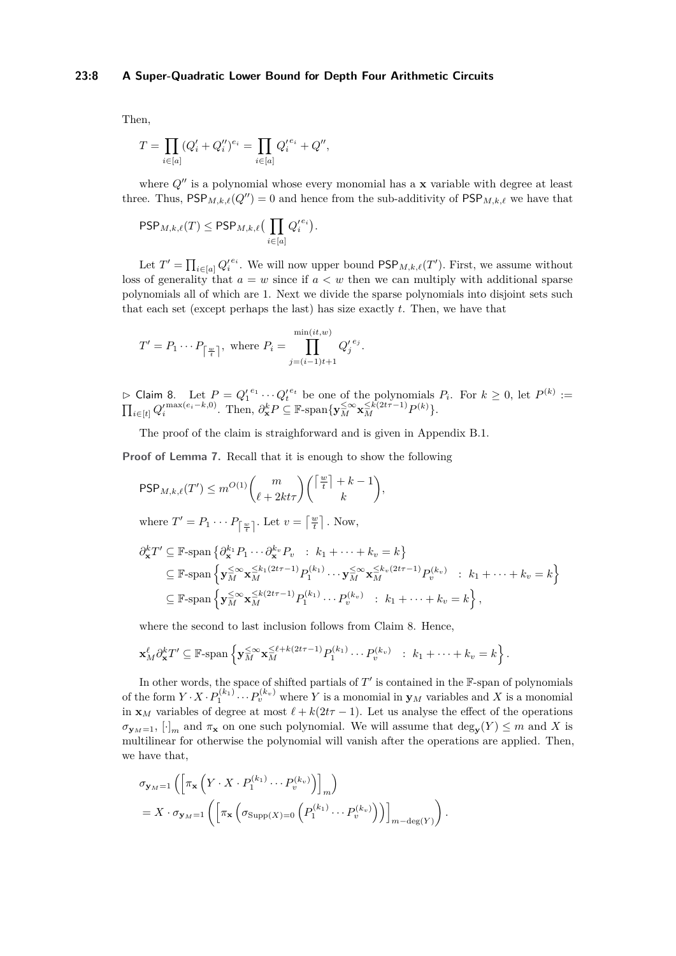### **23:8 A Super-Quadratic Lower Bound for Depth Four Arithmetic Circuits**

Then,

$$
T = \prod_{i \in [a]} (Q'_i + Q''_i)^{e_i} = \prod_{i \in [a]} Q'^{e_i}_i + Q'',
$$

where  $Q''$  is a polynomial whose every monomial has a **x** variable with degree at least three. Thus,  $\mathsf{PSP}_{M,k,\ell}(Q'') = 0$  and hence from the sub-additivity of  $\mathsf{PSP}_{M,k,\ell}$  we have that

$$
\mathsf{PSP}_{M,k,\ell}(T) \le \mathsf{PSP}_{M,k,\ell} \big(\prod_{i \in [a]} {Q'_i}^{e_i} \big).
$$

Let  $T' = \prod_{i \in [a]} Q_i'^{e_i}$ . We will now upper bound  $\textsf{PSP}_{M,k,\ell}(T')$ . First, we assume without loss of generality that  $a = w$  since if  $a < w$  then we can multiply with additional sparse polynomials all of which are 1. Next we divide the sparse polynomials into disjoint sets such that each set (except perhaps the last) has size exactly *t*. Then, we have that

$$
T' = P_1 \cdots P_{\lceil \frac{w}{t} \rceil}, \text{ where } P_i = \prod_{j=(i-1)t+1}^{\min(it,w)} Q_j'^{e_j}.
$$

<span id="page-7-0"></span> $\triangleright$  Claim 8. Let  $P = Q_1^{e_1} \cdots Q_t^{e_t}$  be one of the polynomials  $P_i$ . For  $k \geq 0$ , let  $P^{(k)} :=$  $\prod_{i\in[t]} Q_i^{\prime \max(e_i-k,0)}$ . Then,  $\partial_{\mathbf{x}}^k P \subseteq \mathbb{F}$ -span $\{\mathbf{y}_M^{\leq \infty} \mathbf{x}_M^{\leq k(2t\tau-1)} P^{(k)}\}$ .

The proof of the claim is straighforward and is given in Appendix [B.1.](#page-23-0)

**Proof of Lemma [7.](#page-6-1)** Recall that it is enough to show the following

$$
\mathsf{PSP}_{M,k,\ell}(T') \le m^{O(1)} \binom{m}{\ell+2kt\tau} \binom{\lceil \frac{w}{t} \rceil + k - 1}{k},
$$

where 
$$
T' = P_1 \cdots P_{\lceil \frac{w}{t} \rceil}
$$
. Let  $v = \lceil \frac{w}{t} \rceil$ . Now,

$$
\partial_{\mathbf{x}}^{k}T' \subseteq \mathbb{F}\text{-span}\left\{\partial_{\mathbf{x}}^{k_1}P_1\cdots\partial_{\mathbf{x}}^{k_v}P_v \ : \ k_1+\cdots+k_v=k\right\}
$$
\n
$$
\subseteq \mathbb{F}\text{-span}\left\{\mathbf{y}_{M}^{\leq \infty}\mathbf{x}_{M}^{\leq k_1(2t\tau-1)}P_1^{(k_1)}\cdots\mathbf{y}_{M}^{\leq \infty}\mathbf{x}_{M}^{\leq k_v(2t\tau-1)}P_v^{(k_v)} \ : \ k_1+\cdots+k_v=k\right\}
$$
\n
$$
\subseteq \mathbb{F}\text{-span}\left\{\mathbf{y}_{M}^{\leq \infty}\mathbf{x}_{M}^{\leq k(2t\tau-1)}P_1^{(k_1)}\cdots P_v^{(k_v)} \ : \ k_1+\cdots+k_v=k\right\},\
$$

where the second to last inclusion follows from Claim [8.](#page-7-0) Hence,

$$
\mathbf{x}_M^{\ell} \partial_{\mathbf{x}}^k T' \subseteq \mathbb{F}\text{-span}\left\{\mathbf{y}_M^{\leq \infty} \mathbf{x}_M^{\leq \ell+k(2t\tau-1)} P_1^{(k_1)} \cdots P_v^{(k_v)} \ : \ k_1 + \cdots + k_v = k\right\}.
$$

In other words, the space of shifted partials of  $T'$  is contained in the  $\mathbb F$ -span of polynomials of the form  $Y \cdot X \cdot P_1^{(k_1)} \cdots P_v^{(k_v)}$  where *Y* is a monomial in  $\mathbf{y}_M$  variables and *X* is a monomial in **x**<sub>*M*</sub> variables of degree at most  $\ell + k(2t\tau - 1)$ . Let us analyse the effect of the operations  $\sigma_{\mathbf{y}_M=1}$ ,  $[\cdot]_m$  and  $\pi_{\mathbf{x}}$  on one such polynomial. We will assume that  $\deg_{\mathbf{y}}(Y) \leq m$  and *X* is multilinear for otherwise the polynomial will vanish after the operations are applied. Then, we have that,

$$
\sigma_{\mathbf{y}_M=1} \left( \left[ \pi_{\mathbf{x}} \left( Y \cdot X \cdot P_1^{(k_1)} \cdots P_v^{(k_v)} \right) \right]_m \right)
$$
  
=  $X \cdot \sigma_{\mathbf{y}_M=1} \left( \left[ \pi_{\mathbf{x}} \left( \sigma_{\text{Supp}(X)=0} \left( P_1^{(k_1)} \cdots P_v^{(k_v)} \right) \right) \right]_{m-\text{deg}(Y)} \right).$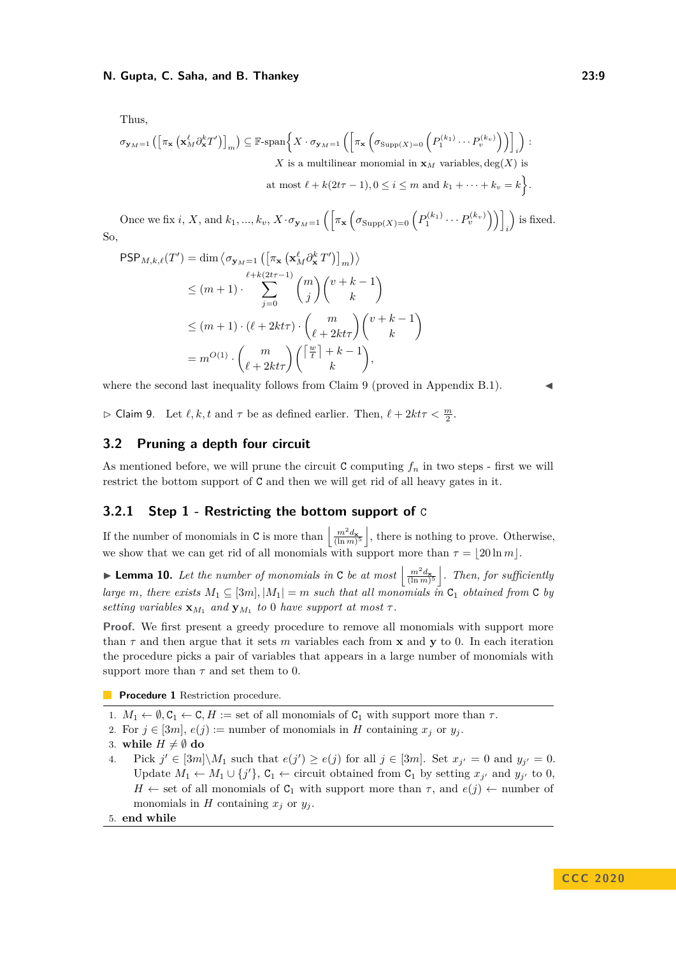Thus,

$$
\sigma_{\mathbf{y}_M=1} \left( \left[ \pi_{\mathbf{x}} \left( \mathbf{x}_M^{\ell} \partial_{\mathbf{x}}^k T' \right) \right]_m \right) \subseteq \mathbb{F}\text{-span} \left\{ X \cdot \sigma_{\mathbf{y}_M=1} \left( \left[ \pi_{\mathbf{x}} \left( \sigma_{\text{Supp}(X)=0} \left( P_1^{(k_1)} \cdots P_v^{(k_v)} \right) \right) \right]_i \right) : \right.
$$
\n
$$
X \text{ is a multilinear monomial in } \mathbf{x}_M \text{ variables, } \deg(X) \text{ is at most } \ell + k(2t\tau - 1), 0 \le i \le m \text{ and } k_1 + \cdots + k_v = k \right\}.
$$

Once we fix *i*, *X*, and  $k_1, ..., k_v$ ,  $X \cdot \sigma_{\mathbf{y}_M=1} \left( \left[ \pi_{\mathbf{x}} \left( \sigma_{\text{Supp}(X)=0} \left( P_1^{(k_1)} \cdots P_v^{(k_v)} \right) \right) \right]$ *i* is fixed. So,

$$
\begin{split} \mathsf{PSP}_{M,k,\ell}(T') &= \dim \left\langle \sigma_{\mathbf{y}_M=1} \left( \left[ \pi_{\mathbf{x}} \left( \mathbf{x}_M^{\ell} \partial_{\mathbf{x}}^k T' \right) \right]_m \right) \right\rangle \\ &\leq (m+1) \cdot \sum_{j=0}^{\ell+k(2t\tau-1)} \binom{m}{j} \binom{v+k-1}{k} \\ &\leq (m+1) \cdot (\ell + 2kt\tau) \cdot \binom{m}{\ell+2kt\tau} \binom{v+k-1}{k} \\ &= m^{O(1)} \cdot \binom{m}{\ell+2kt\tau} \binom{\left\lceil \frac{w}{t} \right\rceil + k - 1}{k}, \end{split}
$$

where the second last inequality follows from Claim [9](#page-8-1) (proved in Appendix [B.1\)](#page-23-0).

<span id="page-8-1"></span> $\triangleright$  Claim 9. Let  $\ell, k, t$  and  $\tau$  be as defined earlier. Then,  $\ell + 2k\tau < \frac{m}{2}$ .

# <span id="page-8-4"></span>**3.2 Pruning a depth four circuit**

As mentioned before, we will prune the circuit C computing  $f_n$  in two steps - first we will restrict the bottom support of C and then we will get rid of all heavy gates in it.

# <span id="page-8-0"></span>**3.2.1 Step 1 - Restricting the bottom support of** C

If the number of monomials in C is more than  $\left|\frac{m^2 d_{\mathbf{x}}}{(\ln m)^5}\right|$ , there is nothing to prove. Otherwise, we show that we can get rid of all monomials with support more than  $\tau = 20 \ln m$ .

<span id="page-8-3"></span>**Lemma 10.** Let the number of monomials in C be at most  $\left|\frac{m^2 d_{\mathbf{x}}}{(\ln m)^5}\right|$ . Then, for sufficiently *large m, there exists*  $M_1 \subseteq [3m]$ ,  $|M_1| = m$  *such that all monomials in*  $C_1$  *obtained from* C *by setting variables*  $\mathbf{x}_{M_1}$  *and*  $\mathbf{y}_{M_1}$  *to* 0 *have support at most*  $\tau$ *.* 

**Proof.** We first present a greedy procedure to remove all monomials with support more than  $\tau$  and then argue that it sets *m* variables each from **x** and **y** to 0. In each iteration the procedure picks a pair of variables that appears in a large number of monomials with support more than  $\tau$  and set them to 0.

<span id="page-8-2"></span>**Procedure 1** Restriction procedure.

- 1.  $M_1 \leftarrow \emptyset, C_1 \leftarrow C, H := \text{set of all monomials of } C_1 \text{ with support more than } \tau.$
- 2. For  $j \in [3m], e(j) :=$  number of monomials in *H* containing  $x_j$  or  $y_j$ .
- 3. while  $H \neq \emptyset$  do
- 4. Pick  $j' \in [3m] \setminus M_1$  such that  $e(j') \ge e(j)$  for all  $j \in [3m]$ . Set  $x_{j'} = 0$  and  $y_{j'} = 0$ . Update  $M_1$  ←  $M_1$  ∪ {*j'*}, C<sub>1</sub> ← circuit obtained from C<sub>1</sub> by setting  $x_{j'}$  and  $y_{j'}$  to 0, *H* ← set of all monomials of  $C_1$  with support more than  $\tau$ , and  $e(j)$  ← number of monomials in *H* containing  $x_j$  or  $y_j$ .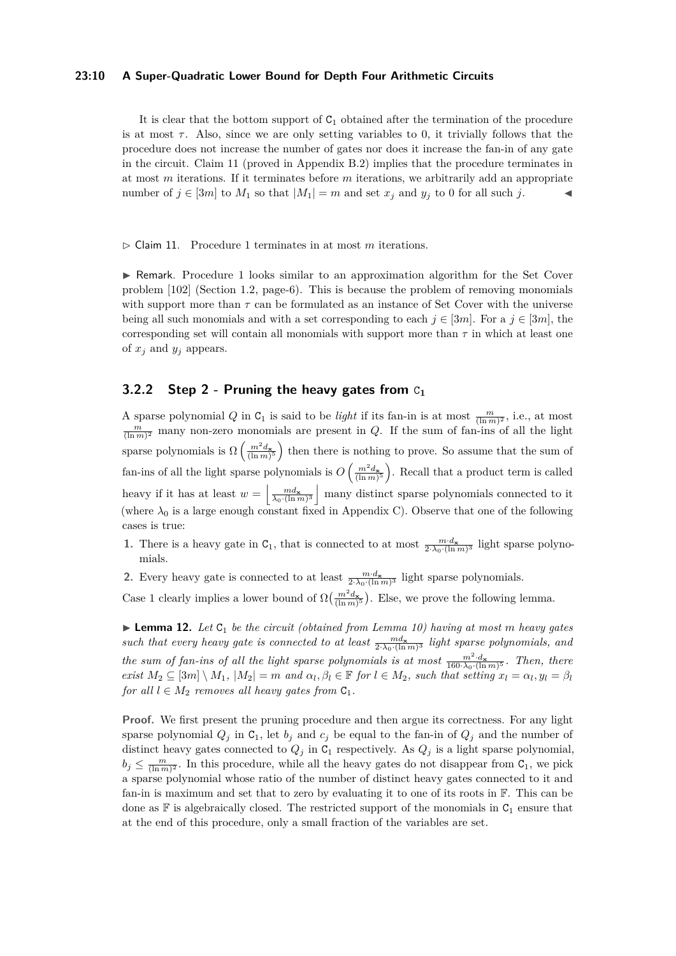#### **23:10 A Super-Quadratic Lower Bound for Depth Four Arithmetic Circuits**

It is clear that the bottom support of  $C_1$  obtained after the termination of the procedure is at most  $\tau$ . Also, since we are only setting variables to 0, it trivially follows that the procedure does not increase the number of gates nor does it increase the fan-in of any gate in the circuit. Claim [11](#page-9-1) (proved in Appendix [B.2\)](#page-25-0) implies that the procedure terminates in at most *m* iterations. If it terminates before *m* iterations, we arbitrarily add an appropriate number of  $j \in [3m]$  to  $M_1$  so that  $|M_1| = m$  and set  $x_j$  and  $y_j$  to 0 for all such *j*.

<span id="page-9-1"></span> $\triangleright$  Claim [1](#page-8-2)1. Procedure 1 terminates in at most *m* iterations.

 $\triangleright$  Remark. Procedure [1](#page-8-2) looks similar to an approximation algorithm for the Set Cover problem [\[102\]](#page-19-3) (Section 1.2, page-6). This is because the problem of removing monomials with support more than  $\tau$  can be formulated as an instance of Set Cover with the universe being all such monomials and with a set corresponding to each  $j \in [3m]$ . For a  $j \in [3m]$ , the corresponding set will contain all monomials with support more than  $\tau$  in which at least one of  $x_j$  and  $y_j$  appears.

# <span id="page-9-0"></span>**3.2.2 Step 2 - Pruning the heavy gates from** C**<sup>1</sup>**

A sparse polynomial *Q* in  $C_1$  is said to be *light* if its fan-in is at most  $\frac{m}{(\ln m)^2}$ , i.e., at most  $\frac{m}{(\ln m)^2}$  many non-zero monomials are present in *Q*. If the sum of fan-ins of all the light sparse polynomials is  $\Omega\left(\frac{m^2 d_{\mathbf{x}}}{(\ln m)^5}\right)$  then there is nothing to prove. So assume that the sum of fan-ins of all the light sparse polynomials is  $O\left(\frac{m^2 d_{\mathbf{x}}}{(\ln m)^5}\right)$ . Recall that a product term is called heavy if it has at least  $w = \frac{md_{\mathbf{x}}}{\lambda_0 \cdot (\ln m)^3}$  many distinct sparse polynomials connected to it (where  $\lambda_0$  is a large enough constant fixed in Appendix [C\)](#page-27-0). Observe that one of the following cases is true:

- **1.** There is a heavy gate in  $C_1$ , that is connected to at most  $\frac{m \cdot d_x}{2 \cdot \lambda_0 \cdot (\ln m)^3}$  light sparse polynomials.
- **2.** Every heavy gate is connected to at least  $\frac{m \cdot d_{\mathbf{x}}}{2 \cdot \lambda_0 \cdot (\ln m)^3}$  light sparse polynomials.

Case 1 clearly implies a lower bound of  $\Omega\left(\frac{m^2 d_{\mathbf{x}}}{(\ln m)^5}\right)$ . Else, we prove the following lemma.

<span id="page-9-2"></span>▶ **Lemma 12.** *Let* C<sub>1</sub> *be the circuit (obtained from Lemma [10\)](#page-8-3) having at most m heavy gates* such that every heavy gate is connected to at least  $\frac{m d_{\mathbf{x}}}{2 \cdot \lambda_0 \cdot (\ln m)^3}$  light sparse polynomials, and *the sum of fan-ins of all the light sparse polynomials is at most*  $\frac{m^2 \cdot d_{\mathbf{x}}}{160 \cdot \lambda_0 \cdot (\ln m)^5}$ . Then, there exist  $M_2 \subseteq [3m] \setminus M_1$ ,  $|M_2| = m$  and  $\alpha_l, \beta_l \in \mathbb{F}$  for  $l \in M_2$ , such that setting  $x_l = \alpha_l, y_l = \beta_l$ *for all*  $l \in M_2$  *removes all heavy gates from*  $C_1$ *.* 

**Proof.** We first present the pruning procedure and then argue its correctness. For any light sparse polynomial  $Q_i$  in  $C_1$ , let  $b_j$  and  $c_j$  be equal to the fan-in of  $Q_j$  and the number of distinct heavy gates connected to  $Q_j$  in  $C_1$  respectively. As  $Q_j$  is a light sparse polynomial,  $b_j \leq \frac{m}{(\ln m)^2}$ . In this procedure, while all the heavy gates do not disappear from  $C_1$ , we pick a sparse polynomial whose ratio of the number of distinct heavy gates connected to it and fan-in is maximum and set that to zero by evaluating it to one of its roots in F. This can be done as  $\mathbb F$  is algebraically closed. The restricted support of the monomials in  $C_1$  ensure that at the end of this procedure, only a small fraction of the variables are set.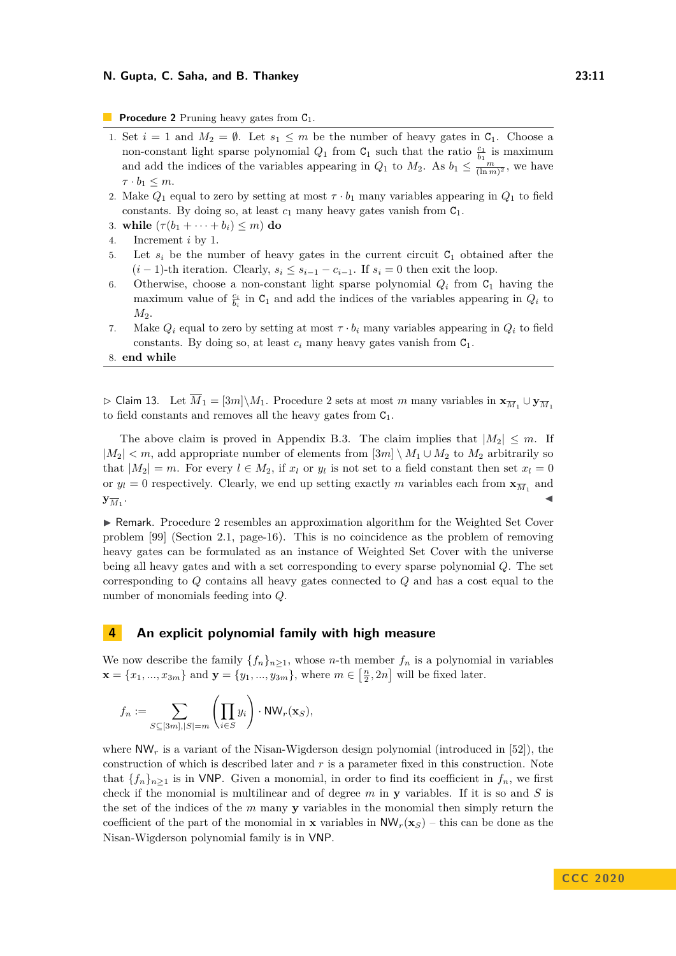<span id="page-10-1"></span>**Procedure 2** Pruning heavy gates from  $C_1$ .

- 1. Set  $i = 1$  and  $M_2 = \emptyset$ . Let  $s_1 \leq m$  be the number of heavy gates in  $C_1$ . Choose a non-constant light sparse polynomial  $Q_1$  from  $C_1$  such that the ratio  $\frac{c_1}{b_1}$  is maximum and add the indices of the variables appearing in  $Q_1$  to  $M_2$ . As  $b_1 \leq \frac{m}{(\ln m)^2}$ , we have  $\tau \cdot b_1 \leq m$ .
- 2. Make  $Q_1$  equal to zero by setting at most  $\tau \cdot b_1$  many variables appearing in  $Q_1$  to field constants. By doing so, at least  $c_1$  many heavy gates vanish from  $C_1$ .
- 3. while  $(\tau(b_1 + \cdots + b_i) \leq m)$  do
- 4. Increment *i* by 1.
- 5. Let  $s_i$  be the number of heavy gates in the current circuit  $C_1$  obtained after the  $(i-1)$ -th iteration. Clearly,  $s_i \leq s_{i-1} - c_{i-1}$ . If  $s_i = 0$  then exit the loop.
- 6. Otherwise, choose a non-constant light sparse polynomial  $Q_i$  from  $C_1$  having the maximum value of  $\frac{c_i}{b_i}$  in  $C_1$  and add the indices of the variables appearing in  $Q_i$  to *M*2.
- 7. Make  $Q_i$  equal to zero by setting at most  $\tau \cdot b_i$  many variables appearing in  $Q_i$  to field constants. By doing so, at least  $c_i$  many heavy gates vanish from  $C_1$ .
- 8. **end while**

<span id="page-10-2"></span> $\triangleright$  Claim 13. Let  $\overline{M}_1 = [3m] \setminus M_1$ . Procedure [2](#page-10-1) sets at most *m* many variables in  $\mathbf{x}_{\overline{M}_1} \cup \mathbf{y}_{\overline{M}_1}$ to field constants and removes all the heavy gates from  $C_1$ .

The above claim is proved in Appendix [B.3.](#page-25-1) The claim implies that  $|M_2| \leq m$ . If  $|M_2|$  *< m*, add appropriate number of elements from [3*m*]  $\setminus M_1 \cup M_2$  to  $M_2$  arbitrarily so that  $|M_2| = m$ . For every  $l \in M_2$ , if  $x_l$  or  $y_l$  is not set to a field constant then set  $x_l = 0$ or  $y_l = 0$  respectively. Clearly, we end up setting exactly *m* variables each from  $\mathbf{x}_{\overline{M}_1}$  and  $\mathbf{y}_{\overline{M}_1}$ . . John Stein Stein Stein Stein Stein Stein Stein Stein Stein Stein Stein Stein Stein Stein Stein Stein Stein S<br>John Stein Stein Stein Stein Stein Stein Stein Stein Stein Stein Stein Stein Stein Stein Stein Stein Stein Ste

 $\triangleright$  Remark. Procedure [2](#page-10-1) resembles an approximation algorithm for the Weighted Set Cover problem [\[99\]](#page-19-2) (Section 2.1, page-16). This is no coincidence as the problem of removing heavy gates can be formulated as an instance of Weighted Set Cover with the universe being all heavy gates and with a set corresponding to every sparse polynomial *Q*. The set corresponding to *Q* contains all heavy gates connected to *Q* and has a cost equal to the number of monomials feeding into *Q*.

# <span id="page-10-0"></span>**4 An explicit polynomial family with high measure**

We now describe the family  $\{f_n\}_{n\geq 1}$ , whose *n*-th member  $f_n$  is a polynomial in variables  $\mathbf{x} = \{x_1, ..., x_{3m}\}\$ and  $\mathbf{y} = \{y_1, ..., y_{3m}\}\$ , where  $m \in \left[\frac{n}{2}, 2n\right]$  will be fixed later.

$$
f_n := \sum_{S \subseteq [3m], |S| = m} \left( \prod_{i \in S} y_i \right) \cdot \text{NW}_r(\mathbf{x}_S),
$$

where  $\mathsf{NW}_r$  is a variant of the Nisan-Wigderson design polynomial (introduced in [\[52\]](#page-16-5)), the construction of which is described later and *r* is a parameter fixed in this construction. Note that  ${f_n}_{n>1}$  is in VNP. Given a monomial, in order to find its coefficient in  $f_n$ , we first check if the monomial is multilinear and of degree *m* in **y** variables. If it is so and *S* is the set of the indices of the *m* many **y** variables in the monomial then simply return the coefficient of the part of the monomial in **x** variables in  $\mathsf{NW}_r(\mathbf{x}_S)$  – this can be done as the Nisan-Wigderson polynomial family is in VNP.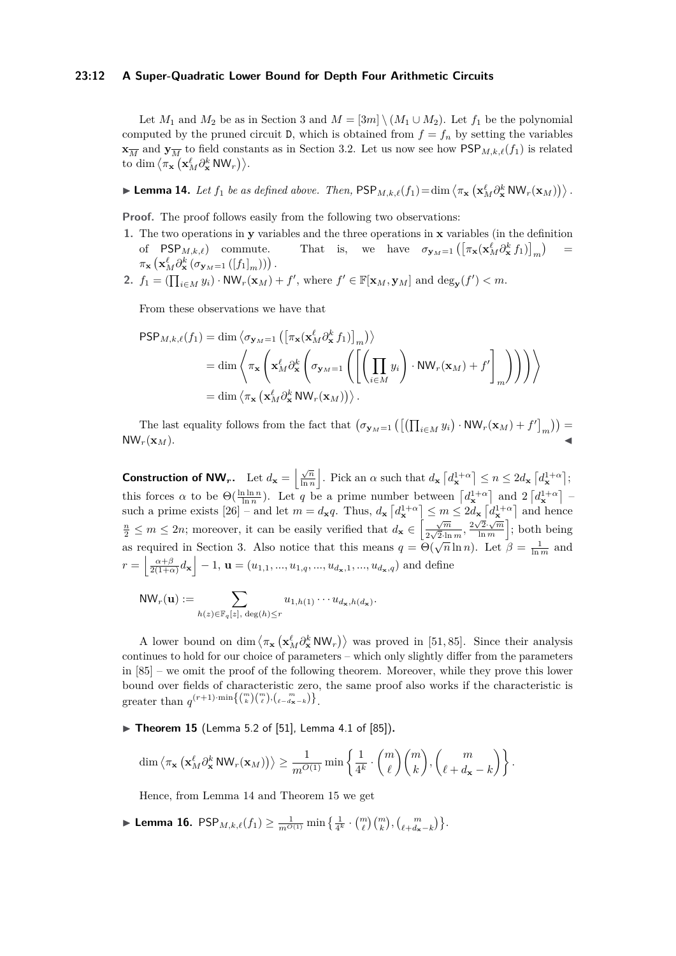#### **23:12 A Super-Quadratic Lower Bound for Depth Four Arithmetic Circuits**

Let  $M_1$  and  $M_2$  be as in Section [3](#page-5-0) and  $M = \{3m \} \setminus (M_1 \cup M_2)$ . Let  $f_1$  be the polynomial computed by the pruned circuit D, which is obtained from  $f = f_n$  by setting the variables  $\mathbf{x}_{\overline{M}}$  and  $\mathbf{y}_{\overline{M}}$  to field constants as in Section [3.2.](#page-8-4) Let us now see how  $\mathsf{PSP}_{M,k,\ell}(f_1)$  is related to dim  $\langle \pi_{\mathbf{x}} \left( \mathbf{x}_M^{\ell} \partial_{\mathbf{x}}^k \mathsf{N} \mathsf{W}_r \right) \rangle$ .

<span id="page-11-0"></span> $\blacktriangleright$  **Lemma 14.** Let  $f_1$  be as defined above. Then,  $\text{PSP}_{M,k,\ell}(f_1) = \dim \left\langle \pi_{\mathbf{x}} \left( \mathbf{x}_M^{\ell} \partial_{\mathbf{x}}^k \text{NW}_r(\mathbf{x}_M) \right) \right\rangle$ .

Proof. The proof follows easily from the following two observations:

- **1.** The two operations in **y** variables and the three operations in **x** variables (in the definition of  $PSP_{M,k,\ell}$  commute. That is, we have  $\sigma_{\mathbf{y}_M=1} \left( \left[ \pi_{\mathbf{x}}(\mathbf{x}_M^{\ell} \partial_{\mathbf{x}}^k f_1) \right]_m \right)$ =  $\pi_{\mathbf{x}}\left(\mathbf{x}_{M}^{\ell}\partial_{\mathbf{x}}^{k}\left(\sigma_{\mathbf{y}_{M}=1}\left(\left[f_{1}\right]_{m}\right)\right)\right).$
- **2.**  $f_1 = (\prod_{i \in M} y_i) \cdot \text{NW}_r(\mathbf{x}_M) + f'$ , where  $f' \in \mathbb{F}[\mathbf{x}_M, \mathbf{y}_M]$  and  $\text{deg}_{\mathbf{y}}(f') < m$ .

From these observations we have that

$$
\begin{split} \mathsf{PSP}_{M,k,\ell}(f_1) &= \dim \left\langle \sigma_{\mathbf{y}_M=1} \left( \left[ \pi_{\mathbf{x}} (\mathbf{x}_M^{\ell} \partial_{\mathbf{x}}^k f_1) \right]_m \right) \right\rangle \\ &= \dim \left\langle \pi_{\mathbf{x}} \left( \mathbf{x}_M^{\ell} \partial_{\mathbf{x}}^k \left( \sigma_{\mathbf{y}_M=1} \left( \left[ \left( \prod_{i \in M} y_i \right) \cdot \mathsf{NW}_r(\mathbf{x}_M) + f' \right]_m \right) \right) \right) \right\rangle \\ &= \dim \left\langle \pi_{\mathbf{x}} \left( \mathbf{x}_M^{\ell} \partial_{\mathbf{x}}^k \mathsf{NW}_r(\mathbf{x}_M) \right) \right\rangle. \end{split}
$$

The last equality follows from the fact that  $(\sigma_{\mathbf{y}_M=1}([\prod_{i\in M}y_i)\cdot\text{NW}_r(\mathbf{x}_M)+f']_m))$  =  $NW_r(\mathbf{x}_M)$ .

**Construction of NW**<sub>*r*</sub>. Let  $d_{\mathbf{x}} = \begin{bmatrix} \frac{\sqrt{n}}{\ln n} \end{bmatrix}$  $\frac{\sqrt{n}}{\ln n}$ . Pick an  $\alpha$  such that  $d_{\mathbf{x}}[d_{\mathbf{x}}^{1+\alpha}] \leq n \leq 2d_{\mathbf{x}}[d_{\mathbf{x}}^{1+\alpha}]$ ; this forces *α* to be  $\Theta(\frac{\ln \ln n}{\ln n})$ . Let *q* be a prime number between  $\left[d_{\mathbf{x}}^{1+\alpha}\right]$  and  $2\left[d_{\mathbf{x}}^{1+\alpha}\right]$  such a prime exists  $[26]$  – and let  $m = d_{\mathbf{x}}q$ . Thus,  $d_{\mathbf{x}}[d_{\mathbf{x}}^{1+\alpha}] \leq m \leq 2d_{\mathbf{x}}[d_{\mathbf{x}}^{1+\alpha}]$  and hence  $\frac{n}{2} \leq m \leq 2n$ ; moreover, it can be easily verified that  $d_{\mathbf{x}} \in \left[\frac{\sqrt{m}}{2\sqrt{2}\cdot\ln m}, \frac{2\sqrt{2}\cdot\sqrt{m}}{\ln m}\right]$  $\sqrt{\frac{2\cdot\sqrt{m}}{\ln m}}\Big]$ ; both being as required in Section [3.](#page-5-0) Also notice that this means  $q = \Theta(\sqrt{n} \ln n)$ . Let  $\beta = \frac{1}{\ln m}$  and  $r = \left| \frac{\alpha + \beta}{2(1+\alpha)} d_{\mathbf{x}} \right| - 1$ ,  $\mathbf{u} = (u_{1,1}, ..., u_{1,q}, ..., u_{d_{\mathbf{x}},1}, ..., u_{d_{\mathbf{x}},q})$  and define

$$
\text{NW}_r(\mathbf{u}) := \sum_{h(z) \in \mathbb{F}_q[z], \deg(h) \leq r} u_{1,h(1)} \cdots u_{d_{\mathbf{x}},h(d_{\mathbf{x}})}.
$$

A lower bound on dim  $\langle \pi_{\mathbf{x}} (\mathbf{x}_M^{\ell} \partial_{\mathbf{x}}^k \mathsf{NW}_r) \rangle$  was proved in [\[51,](#page-16-3)85]. Since their analysis continues to hold for our choice of parameters – which only slightly differ from the parameters in [\[85\]](#page-18-1) – we omit the proof of the following theorem. Moreover, while they prove this lower bound over fields of characteristic zero, the same proof also works if the characteristic is greater than  $q^{(r+1)\cdot \min\{(m)(m)\choose \ell}, (m-k)\}$ .

<span id="page-11-1"></span>▶ Theorem 15 (Lemma 5.2 of [\[51\]](#page-16-3), Lemma 4.1 of [\[85\]](#page-18-1)).

$$
\dim \left\langle\pi_{\mathbf{x}}\left( \mathbf{x}_M^\ell\partial^k_{\mathbf{x}}\,\mathsf{NW}_r(\mathbf{x}_M)\right)\right\rangle\geq \frac{1}{m^{O(1)}}\min\left\{\frac{1}{4^k}\cdot\binom{m}{\ell}\binom{m}{k},\binom{m}{\ell+d_{\mathbf{x}}-k}\right\}.
$$

Hence, from Lemma [14](#page-11-0) and Theorem [15](#page-11-1) we get

<span id="page-11-2"></span>► **Lemma 16.**  $\text{PSP}_{M,k,\ell}(f_1) \geq \frac{1}{m^{O(1)}} \min\left\{ \frac{1}{4^k} \cdot {m \choose \ell} {m \choose k}, {m \choose \ell+ d_{\mathbf{x}} - k} \right\}.$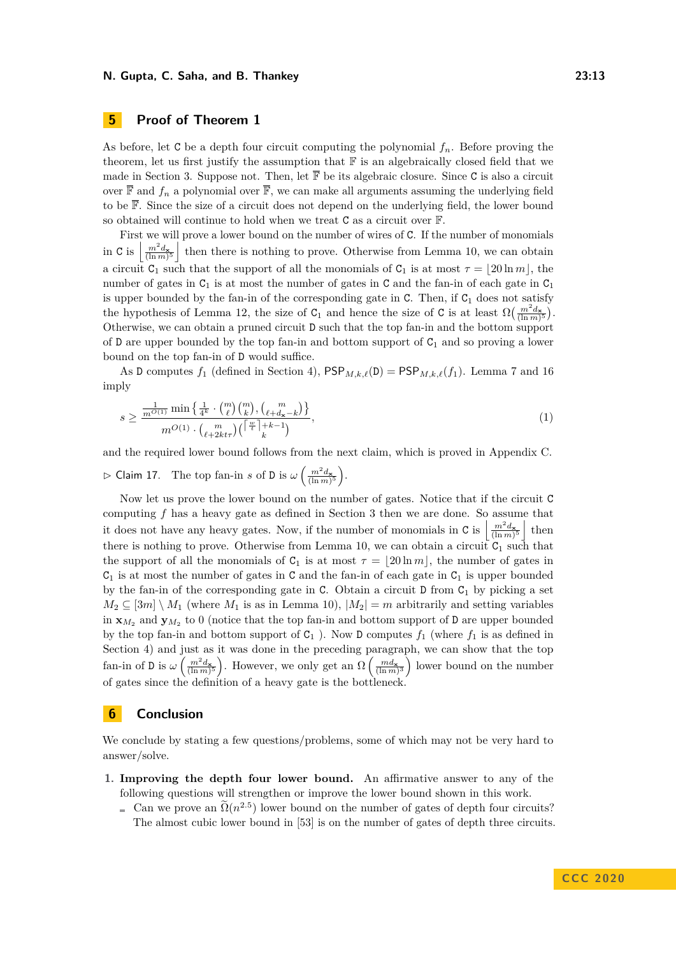# <span id="page-12-0"></span>**5 Proof of Theorem [1](#page-1-6)**

As before, let C be a depth four circuit computing the polynomial  $f_n$ . Before proving the theorem, let us first justify the assumption that  $\mathbb F$  is an algebraically closed field that we made in Section [3.](#page-5-0) Suppose not. Then, let  $\overline{\mathbb{F}}$  be its algebraic closure. Since C is also a circuit over  $\overline{\mathbb{F}}$  and  $f_n$  a polynomial over  $\overline{\mathbb{F}}$ , we can make all arguments assuming the underlying field to be  $\overline{\mathbb{F}}$ . Since the size of a circuit does not depend on the underlying field, the lower bound so obtained will continue to hold when we treat C as a circuit over F.

First we will prove a lower bound on the number of wires of C. If the number of monomials in C is  $\left\lfloor \frac{m^2 d_{\mathbf{x}}}{(\ln m)^5} \right\rfloor$  then there is nothing to prove. Otherwise from Lemma [10,](#page-8-3) we can obtain a circuit  $C_1$  such that the support of all the monomials of  $C_1$  is at most  $\tau = |20 \ln m|$ , the number of gates in  $C_1$  is at most the number of gates in C and the fan-in of each gate in  $C_1$ is upper bounded by the fan-in of the corresponding gate in  $C$ . Then, if  $C<sub>1</sub>$  does not satisfy the hypothesis of Lemma [12,](#page-9-2) the size of  $C_1$  and hence the size of C is at least  $\Omega\left(\frac{m^2d_{\mathbf{x}}}{(\ln m)^5}\right)$ . Otherwise, we can obtain a pruned circuit D such that the top fan-in and the bottom support of D are upper bounded by the top fan-in and bottom support of  $C_1$  and so proving a lower bound on the top fan-in of D would suffice.

As D computes  $f_1$  (defined in Section [4\)](#page-10-0),  $\mathsf{PSP}_{M,k,\ell}(D) = \mathsf{PSP}_{M,k,\ell}(f_1)$ . Lemma [7](#page-6-1) and [16](#page-11-2) imply

<span id="page-12-1"></span>
$$
s \ge \frac{\frac{1}{m^{O(1)}} \min\left\{\frac{1}{4^k} \cdot {m \choose \ell} {m \choose k}, \binom{m}{\ell+d_{\mathbf{x}}-k} \right\}}{m^{O(1)} \cdot \binom{m}{\ell+2kt\tau} \binom{\left\lceil \frac{w}{t} \right\rceil+k-1}{k}},\tag{1}
$$

and the required lower bound follows from the next claim, which is proved in Appendix [C.](#page-27-0)

 $\triangleright$  Claim 17. The top fan-in *s* of D is  $\omega \left( \frac{m^2 d_{\mathbf{x}}}{(\ln m)^5} \right)$ .

Now let us prove the lower bound on the number of gates. Notice that if the circuit C computing *f* has a heavy gate as defined in Section [3](#page-5-0) then we are done. So assume that it does not have any heavy gates. Now, if the number of monomials in C is  $\left| \frac{m^2 d_{\mathbf{x}}}{(\ln m)^5} \right|$  then there is nothing to prove. Otherwise from Lemma [10,](#page-8-3) we can obtain a circuit  $C_1$  such that the support of all the monomials of  $C_1$  is at most  $\tau = \lfloor 20 \ln m \rfloor$ , the number of gates in  $C_1$  is at most the number of gates in C and the fan-in of each gate in  $C_1$  is upper bounded by the fan-in of the corresponding gate in C. Obtain a circuit  $D$  from  $C_1$  by picking a set  $M_2 \subseteq [3m] \setminus M_1$  (where  $M_1$  is as in Lemma [10\)](#page-8-3),  $|M_2| = m$  arbitrarily and setting variables in  $\mathbf{x}_{M_2}$  and  $\mathbf{y}_{M_2}$  to 0 (notice that the top fan-in and bottom support of **D** are upper bounded by the top fan-in and bottom support of  $C_1$ ). Now D computes  $f_1$  (where  $f_1$  is as defined in Section [4\)](#page-10-0) and just as it was done in the preceding paragraph, we can show that the top fan-in of D is  $\omega\left(\frac{m^2d_{\mathbf{x}}}{(\ln m)^5}\right)$ . However, we only get an  $\Omega\left(\frac{md_{\mathbf{x}}}{(\ln m)^3}\right)$  lower bound on the number of gates since the definition of a heavy gate is the bottleneck.

# **6 Conclusion**

We conclude by stating a few questions/problems, some of which may not be very hard to answer/solve.

- **1. Improving the depth four lower bound.** An affirmative answer to any of the following questions will strengthen or improve the lower bound shown in this work.
	- Can we prove an  $\tilde{\Omega}(n^{2.5})$  lower bound on the number of gates of depth four circuits? The almost cubic lower bound in [\[53\]](#page-16-0) is on the number of gates of depth three circuits.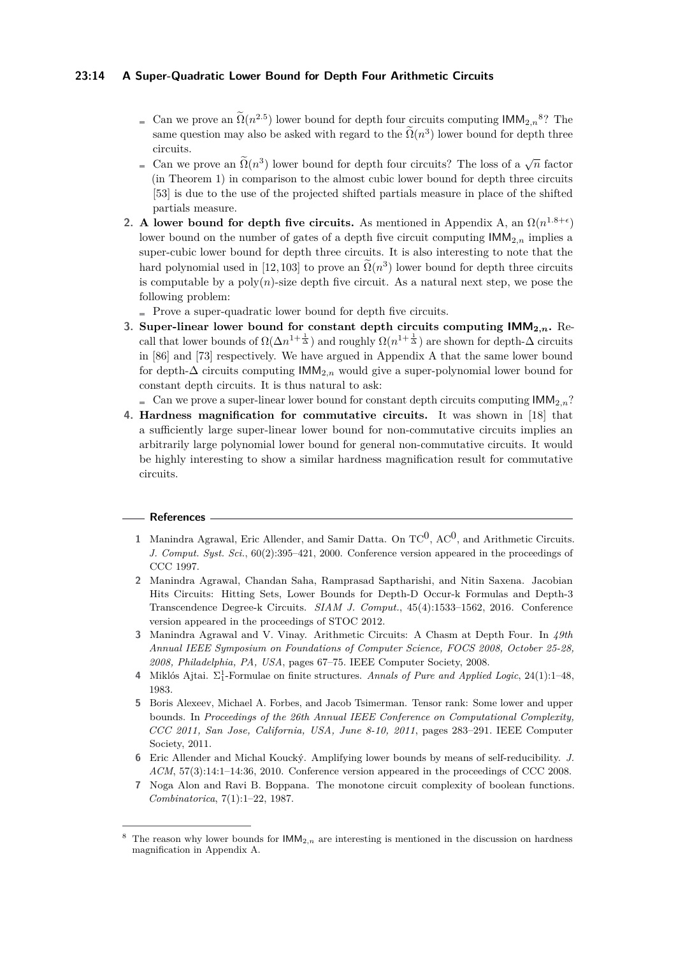#### **23:14 A Super-Quadratic Lower Bound for Depth Four Arithmetic Circuits**

- Can we prove an  $\Omega(n^{2.5})$  lower bound for depth four circuits computing  $\text{IMM}_{2,n}^8$  $\text{IMM}_{2,n}^8$ ? The same question may also be asked with regard to the  $\Omega(n^3)$  lower bound for depth three circuits.
- Can we prove an  $\tilde{\Omega}(n^3)$  lower bound for depth four circuits? The loss of a  $\sqrt{n}$  factor (in Theorem [1\)](#page-1-6) in comparison to the almost cubic lower bound for depth three circuits [\[53\]](#page-16-0) is due to the use of the projected shifted partials measure in place of the shifted partials measure.
- **2. A** lower bound for depth five circuits. As mentioned in Appendix [A,](#page-19-0) an  $\Omega(n^{1.8+\epsilon})$ lower bound on the number of gates of a depth five circuit computing  $\mathsf{IMM}_{2,n}$  implies a super-cubic lower bound for depth three circuits. It is also interesting to note that the hard polynomial used in [\[12,](#page-14-4) [103\]](#page-19-4) to prove an  $\tilde{\Omega}(n^3)$  lower bound for depth three circuits is computable by a  $poly(n)$ -size depth five circuit. As a natural next step, we pose the following problem:
	- Prove a super-quadratic lower bound for depth five circuits.
- **3. Super-linear lower bound for constant depth circuits computing IMM<sup>2</sup>***,n***.** Recall that lower bounds of  $\Omega(\Delta n^{1+\frac{1}{\Delta}})$  and roughly  $\Omega(n^{1+\frac{1}{\Delta}})$  are shown for depth- $\Delta$  circuits in [\[86\]](#page-18-2) and [\[73\]](#page-17-0) respectively. We have argued in Appendix [A](#page-19-0) that the same lower bound for depth-∆ circuits computing IMM2*,n* would give a super-polynomial lower bound for constant depth circuits. It is thus natural to ask:

 $\blacksquare$  Can we prove a super-linear lower bound for constant depth circuits computing  $\mathsf{IMM}_{2n}$ ?

**4. Hardness magnification for commutative circuits.** It was shown in [\[18\]](#page-14-5) that a sufficiently large super-linear lower bound for non-commutative circuits implies an arbitrarily large polynomial lower bound for general non-commutative circuits. It would be highly interesting to show a similar hardness magnification result for commutative circuits.

#### **References**

- <span id="page-13-4"></span>1 Manindra Agrawal, Eric Allender, and Samir Datta. On  $TC^0$ ,  $AC^0$ , and Arithmetic Circuits. *J. Comput. Syst. Sci.*, 60(2):395–421, 2000. Conference version appeared in the proceedings of CCC 1997.
- <span id="page-13-2"></span>**2** Manindra Agrawal, Chandan Saha, Ramprasad Saptharishi, and Nitin Saxena. Jacobian Hits Circuits: Hitting Sets, Lower Bounds for Depth-D Occur-k Formulas and Depth-3 Transcendence Degree-k Circuits. *SIAM J. Comput.*, 45(4):1533–1562, 2016. Conference version appeared in the proceedings of STOC 2012.
- <span id="page-13-3"></span>**3** Manindra Agrawal and V. Vinay. Arithmetic Circuits: A Chasm at Depth Four. In *49th Annual IEEE Symposium on Foundations of Computer Science, FOCS 2008, October 25-28, 2008, Philadelphia, PA, USA*, pages 67–75. IEEE Computer Society, 2008.
- <span id="page-13-5"></span>**4** Miklós Ajtai. Σ 1 <sup>1</sup>-Formulae on finite structures. *Annals of Pure and Applied Logic*, 24(1):1–48, 1983.
- <span id="page-13-6"></span>**5** Boris Alexeev, Michael A. Forbes, and Jacob Tsimerman. Tensor rank: Some lower and upper bounds. In *Proceedings of the 26th Annual IEEE Conference on Computational Complexity, CCC 2011, San Jose, California, USA, June 8-10, 2011*, pages 283–291. IEEE Computer Society, 2011.
- <span id="page-13-7"></span>**6** Eric Allender and Michal Koucký. Amplifying lower bounds by means of self-reducibility. *J. ACM*, 57(3):14:1–14:36, 2010. Conference version appeared in the proceedings of CCC 2008.
- <span id="page-13-1"></span>**7** Noga Alon and Ravi B. Boppana. The monotone circuit complexity of boolean functions. *Combinatorica*, 7(1):1–22, 1987.

<span id="page-13-0"></span>The reason why lower bounds for  $IMM<sub>2,n</sub>$  are interesting is mentioned in the discussion on hardness magnification in Appendix [A.](#page-19-0)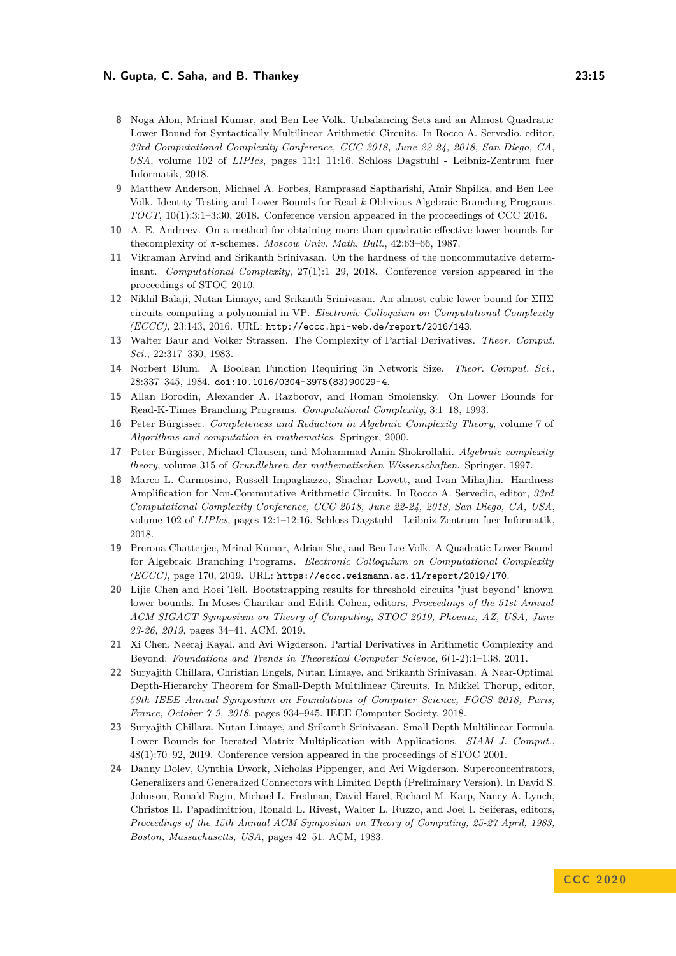- <span id="page-14-10"></span>**8** Noga Alon, Mrinal Kumar, and Ben Lee Volk. Unbalancing Sets and an Almost Quadratic Lower Bound for Syntactically Multilinear Arithmetic Circuits. In Rocco A. Servedio, editor, *33rd Computational Complexity Conference, CCC 2018, June 22-24, 2018, San Diego, CA, USA*, volume 102 of *LIPIcs*, pages 11:1–11:16. Schloss Dagstuhl - Leibniz-Zentrum fuer Informatik, 2018.
- <span id="page-14-11"></span>**9** Matthew Anderson, Michael A. Forbes, Ramprasad Saptharishi, Amir Shpilka, and Ben Lee Volk. Identity Testing and Lower Bounds for Read-*k* Oblivious Algebraic Branching Programs. *TOCT*, 10(1):3:1–3:30, 2018. Conference version appeared in the proceedings of CCC 2016.
- <span id="page-14-9"></span>**10** A. E. Andreev. On a method for obtaining more than quadratic effective lower bounds for thecomplexity of *π*-schemes. *Moscow Univ. Math. Bull.*, 42:63–66, 1987.
- <span id="page-14-12"></span>**11** Vikraman Arvind and Srikanth Srinivasan. On the hardness of the noncommutative determinant. *Computational Complexity*, 27(1):1–29, 2018. Conference version appeared in the proceedings of STOC 2010.
- <span id="page-14-4"></span>**12** Nikhil Balaji, Nutan Limaye, and Srikanth Srinivasan. An almost cubic lower bound for ΣΠΣ circuits computing a polynomial in VP. *Electronic Colloquium on Computational Complexity (ECCC)*, 23:143, 2016. URL: <http://eccc.hpi-web.de/report/2016/143>.
- <span id="page-14-1"></span>**13** Walter Baur and Volker Strassen. The Complexity of Partial Derivatives. *Theor. Comput. Sci.*, 22:317–330, 1983.
- <span id="page-14-8"></span>**14** Norbert Blum. A Boolean Function Requiring 3n Network Size. *Theor. Comput. Sci.*, 28:337–345, 1984. [doi:10.1016/0304-3975\(83\)90029-4](https://doi.org/10.1016/0304-3975(83)90029-4).
- <span id="page-14-13"></span>**15** Allan Borodin, Alexander A. Razborov, and Roman Smolensky. On Lower Bounds for Read-K-Times Branching Programs. *Computational Complexity*, 3:1–18, 1993.
- <span id="page-14-2"></span>**16** Peter Bürgisser. *Completeness and Reduction in Algebraic Complexity Theory*, volume 7 of *Algorithms and computation in mathematics*. Springer, 2000.
- <span id="page-14-6"></span>**17** Peter Bürgisser, Michael Clausen, and Mohammad Amin Shokrollahi. *Algebraic complexity theory*, volume 315 of *Grundlehren der mathematischen Wissenschaften*. Springer, 1997.
- <span id="page-14-5"></span>**18** Marco L. Carmosino, Russell Impagliazzo, Shachar Lovett, and Ivan Mihajlin. Hardness Amplification for Non-Commutative Arithmetic Circuits. In Rocco A. Servedio, editor, *33rd Computational Complexity Conference, CCC 2018, June 22-24, 2018, San Diego, CA, USA*, volume 102 of *LIPIcs*, pages 12:1–12:16. Schloss Dagstuhl - Leibniz-Zentrum fuer Informatik, 2018.
- <span id="page-14-7"></span>**19** Prerona Chatterjee, Mrinal Kumar, Adrian She, and Ben Lee Volk. A Quadratic Lower Bound for Algebraic Branching Programs. *Electronic Colloquium on Computational Complexity (ECCC)*, page 170, 2019. URL: <https://eccc.weizmann.ac.il/report/2019/170>.
- <span id="page-14-0"></span>**20** Lijie Chen and Roei Tell. Bootstrapping results for threshold circuits "just beyond" known lower bounds. In Moses Charikar and Edith Cohen, editors, *Proceedings of the 51st Annual ACM SIGACT Symposium on Theory of Computing, STOC 2019, Phoenix, AZ, USA, June 23-26, 2019*, pages 34–41. ACM, 2019.
- <span id="page-14-3"></span>**21** Xi Chen, Neeraj Kayal, and Avi Wigderson. Partial Derivatives in Arithmetic Complexity and Beyond. *Foundations and Trends in Theoretical Computer Science*, 6(1-2):1–138, 2011.
- <span id="page-14-16"></span>**22** Suryajith Chillara, Christian Engels, Nutan Limaye, and Srikanth Srinivasan. A Near-Optimal Depth-Hierarchy Theorem for Small-Depth Multilinear Circuits. In Mikkel Thorup, editor, *59th IEEE Annual Symposium on Foundations of Computer Science, FOCS 2018, Paris, France, October 7-9, 2018*, pages 934–945. IEEE Computer Society, 2018.
- <span id="page-14-15"></span>**23** Suryajith Chillara, Nutan Limaye, and Srikanth Srinivasan. Small-Depth Multilinear Formula Lower Bounds for Iterated Matrix Multiplication with Applications. *SIAM J. Comput.*, 48(1):70–92, 2019. Conference version appeared in the proceedings of STOC 2001.
- <span id="page-14-14"></span>**24** Danny Dolev, Cynthia Dwork, Nicholas Pippenger, and Avi Wigderson. Superconcentrators, Generalizers and Generalized Connectors with Limited Depth (Preliminary Version). In David S. Johnson, Ronald Fagin, Michael L. Fredman, David Harel, Richard M. Karp, Nancy A. Lynch, Christos H. Papadimitriou, Ronald L. Rivest, Walter L. Ruzzo, and Joel I. Seiferas, editors, *Proceedings of the 15th Annual ACM Symposium on Theory of Computing, 25-27 April, 1983, Boston, Massachusetts, USA*, pages 42–51. ACM, 1983.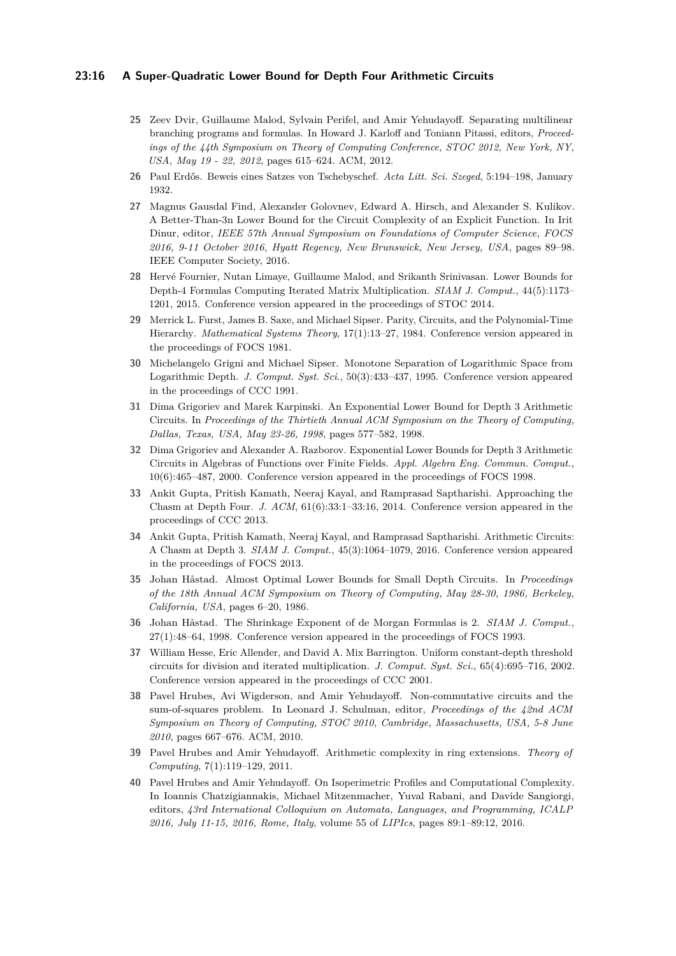#### **23:16 A Super-Quadratic Lower Bound for Depth Four Arithmetic Circuits**

- <span id="page-15-7"></span>**25** Zeev Dvir, Guillaume Malod, Sylvain Perifel, and Amir Yehudayoff. Separating multilinear branching programs and formulas. In Howard J. Karloff and Toniann Pitassi, editors, *Proceedings of the 44th Symposium on Theory of Computing Conference, STOC 2012, New York, NY, USA, May 19 - 22, 2012*, pages 615–624. ACM, 2012.
- <span id="page-15-2"></span>**26** Paul Erdős. Beweis eines Satzes von Tschebyschef. *Acta Litt. Sci. Szeged*, 5:194–198, January 1932.
- <span id="page-15-3"></span>**27** Magnus Gausdal Find, Alexander Golovnev, Edward A. Hirsch, and Alexander S. Kulikov. A Better-Than-3n Lower Bound for the Circuit Complexity of an Explicit Function. In Irit Dinur, editor, *IEEE 57th Annual Symposium on Foundations of Computer Science, FOCS 2016, 9-11 October 2016, Hyatt Regency, New Brunswick, New Jersey, USA*, pages 89–98. IEEE Computer Society, 2016.
- <span id="page-15-8"></span>**28** Hervé Fournier, Nutan Limaye, Guillaume Malod, and Srikanth Srinivasan. Lower Bounds for Depth-4 Formulas Computing Iterated Matrix Multiplication. *SIAM J. Comput.*, 44(5):1173– 1201, 2015. Conference version appeared in the proceedings of STOC 2014.
- <span id="page-15-13"></span>**29** Merrick L. Furst, James B. Saxe, and Michael Sipser. Parity, Circuits, and the Polynomial-Time Hierarchy. *Mathematical Systems Theory*, 17(1):13–27, 1984. Conference version appeared in the proceedings of FOCS 1981.
- <span id="page-15-6"></span>**30** Michelangelo Grigni and Michael Sipser. Monotone Separation of Logarithmic Space from Logarithmic Depth. *J. Comput. Syst. Sci.*, 50(3):433–437, 1995. Conference version appeared in the proceedings of CCC 1991.
- <span id="page-15-10"></span>**31** Dima Grigoriev and Marek Karpinski. An Exponential Lower Bound for Depth 3 Arithmetic Circuits. In *Proceedings of the Thirtieth Annual ACM Symposium on the Theory of Computing, Dallas, Texas, USA, May 23-26, 1998*, pages 577–582, 1998.
- <span id="page-15-11"></span>**32** Dima Grigoriev and Alexander A. Razborov. Exponential Lower Bounds for Depth 3 Arithmetic Circuits in Algebras of Functions over Finite Fields. *Appl. Algebra Eng. Commun. Comput.*, 10(6):465–487, 2000. Conference version appeared in the proceedings of FOCS 1998.
- <span id="page-15-1"></span>**33** Ankit Gupta, Pritish Kamath, Neeraj Kayal, and Ramprasad Saptharishi. Approaching the Chasm at Depth Four. *J. ACM*, 61(6):33:1–33:16, 2014. Conference version appeared in the proceedings of CCC 2013.
- <span id="page-15-9"></span>**34** Ankit Gupta, Pritish Kamath, Neeraj Kayal, and Ramprasad Saptharishi. Arithmetic Circuits: A Chasm at Depth 3. *SIAM J. Comput.*, 45(3):1064–1079, 2016. Conference version appeared in the proceedings of FOCS 2013.
- <span id="page-15-14"></span>**35** Johan Håstad. Almost Optimal Lower Bounds for Small Depth Circuits. In *Proceedings of the 18th Annual ACM Symposium on Theory of Computing, May 28-30, 1986, Berkeley, California, USA*, pages 6–20, 1986.
- <span id="page-15-4"></span>**36** Johan Håstad. The Shrinkage Exponent of de Morgan Formulas is 2. *SIAM J. Comput.*, 27(1):48–64, 1998. Conference version appeared in the proceedings of FOCS 1993.
- <span id="page-15-12"></span>**37** William Hesse, Eric Allender, and David A. Mix Barrington. Uniform constant-depth threshold circuits for division and iterated multiplication. *J. Comput. Syst. Sci.*, 65(4):695–716, 2002. Conference version appeared in the proceedings of CCC 2001.
- <span id="page-15-15"></span>**38** Pavel Hrubes, Avi Wigderson, and Amir Yehudayoff. Non-commutative circuits and the sum-of-squares problem. In Leonard J. Schulman, editor, *Proceedings of the 42nd ACM Symposium on Theory of Computing, STOC 2010, Cambridge, Massachusetts, USA, 5-8 June 2010*, pages 667–676. ACM, 2010.
- <span id="page-15-0"></span>**39** Pavel Hrubes and Amir Yehudayoff. Arithmetic complexity in ring extensions. *Theory of Computing*, 7(1):119–129, 2011.
- <span id="page-15-5"></span>**40** Pavel Hrubes and Amir Yehudayoff. On Isoperimetric Profiles and Computational Complexity. In Ioannis Chatzigiannakis, Michael Mitzenmacher, Yuval Rabani, and Davide Sangiorgi, editors, *43rd International Colloquium on Automata, Languages, and Programming, ICALP 2016, July 11-15, 2016, Rome, Italy*, volume 55 of *LIPIcs*, pages 89:1–89:12, 2016.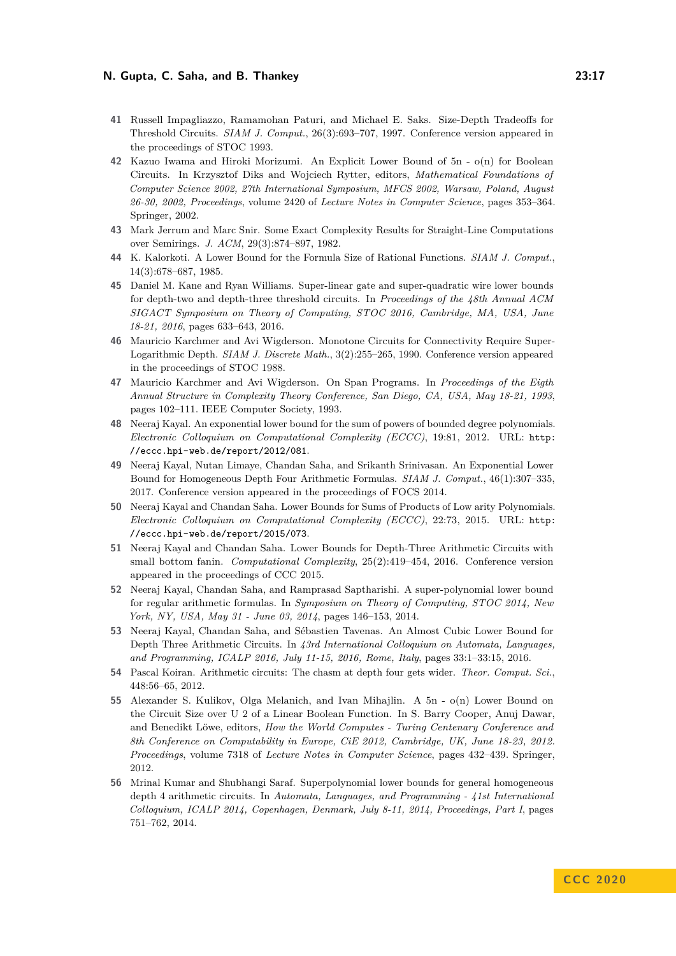- <span id="page-16-13"></span>**41** Russell Impagliazzo, Ramamohan Paturi, and Michael E. Saks. Size-Depth Tradeoffs for Threshold Circuits. *SIAM J. Comput.*, 26(3):693–707, 1997. Conference version appeared in the proceedings of STOC 1993.
- <span id="page-16-6"></span>**42** Kazuo Iwama and Hiroki Morizumi. An Explicit Lower Bound of 5n - o(n) for Boolean Circuits. In Krzysztof Diks and Wojciech Rytter, editors, *Mathematical Foundations of Computer Science 2002, 27th International Symposium, MFCS 2002, Warsaw, Poland, August 26-30, 2002, Proceedings*, volume 2420 of *Lecture Notes in Computer Science*, pages 353–364. Springer, 2002.
- <span id="page-16-8"></span>**43** Mark Jerrum and Marc Snir. Some Exact Complexity Results for Straight-Line Computations over Semirings. *J. ACM*, 29(3):874–897, 1982.
- <span id="page-16-1"></span>**44** K. Kalorkoti. A Lower Bound for the Formula Size of Rational Functions. *SIAM J. Comput.*, 14(3):678–687, 1985.
- <span id="page-16-14"></span>**45** Daniel M. Kane and Ryan Williams. Super-linear gate and super-quadratic wire lower bounds for depth-two and depth-three threshold circuits. In *Proceedings of the 48th Annual ACM SIGACT Symposium on Theory of Computing, STOC 2016, Cambridge, MA, USA, June 18-21, 2016*, pages 633–643, 2016.
- <span id="page-16-9"></span>**46** Mauricio Karchmer and Avi Wigderson. Monotone Circuits for Connectivity Require Super-Logarithmic Depth. *SIAM J. Discrete Math.*, 3(2):255–265, 1990. Conference version appeared in the proceedings of STOC 1988.
- <span id="page-16-10"></span>**47** Mauricio Karchmer and Avi Wigderson. On Span Programs. In *Proceedings of the Eigth Annual Structure in Complexity Theory Conference, San Diego, CA, USA, May 18-21, 1993*, pages 102–111. IEEE Computer Society, 1993.
- <span id="page-16-11"></span>**48** Neeraj Kayal. An exponential lower bound for the sum of powers of bounded degree polynomials. *Electronic Colloquium on Computational Complexity (ECCC)*, 19:81, 2012. URL: [http:](http://eccc.hpi-web.de/report/2012/081) [//eccc.hpi-web.de/report/2012/081](http://eccc.hpi-web.de/report/2012/081).
- <span id="page-16-2"></span>**49** Neeraj Kayal, Nutan Limaye, Chandan Saha, and Srikanth Srinivasan. An Exponential Lower Bound for Homogeneous Depth Four Arithmetic Formulas. *SIAM J. Comput.*, 46(1):307–335, 2017. Conference version appeared in the proceedings of FOCS 2014.
- <span id="page-16-15"></span>**50** Neeraj Kayal and Chandan Saha. Lower Bounds for Sums of Products of Low arity Polynomials. *Electronic Colloquium on Computational Complexity (ECCC)*, 22:73, 2015. URL: [http:](http://eccc.hpi-web.de/report/2015/073) [//eccc.hpi-web.de/report/2015/073](http://eccc.hpi-web.de/report/2015/073).
- <span id="page-16-3"></span>**51** Neeraj Kayal and Chandan Saha. Lower Bounds for Depth-Three Arithmetic Circuits with small bottom fanin. *Computational Complexity*, 25(2):419–454, 2016. Conference version appeared in the proceedings of CCC 2015.
- <span id="page-16-5"></span>**52** Neeraj Kayal, Chandan Saha, and Ramprasad Saptharishi. A super-polynomial lower bound for regular arithmetic formulas. In *Symposium on Theory of Computing, STOC 2014, New York, NY, USA, May 31 - June 03, 2014*, pages 146–153, 2014.
- <span id="page-16-0"></span>**53** Neeraj Kayal, Chandan Saha, and Sébastien Tavenas. An Almost Cubic Lower Bound for Depth Three Arithmetic Circuits. In *43rd International Colloquium on Automata, Languages, and Programming, ICALP 2016, July 11-15, 2016, Rome, Italy*, pages 33:1–33:15, 2016.
- <span id="page-16-12"></span>**54** Pascal Koiran. Arithmetic circuits: The chasm at depth four gets wider. *Theor. Comput. Sci.*, 448:56–65, 2012.
- <span id="page-16-7"></span>**55** Alexander S. Kulikov, Olga Melanich, and Ivan Mihajlin. A 5n - o(n) Lower Bound on the Circuit Size over U 2 of a Linear Boolean Function. In S. Barry Cooper, Anuj Dawar, and Benedikt Löwe, editors, *How the World Computes - Turing Centenary Conference and 8th Conference on Computability in Europe, CiE 2012, Cambridge, UK, June 18-23, 2012. Proceedings*, volume 7318 of *Lecture Notes in Computer Science*, pages 432–439. Springer, 2012.
- <span id="page-16-4"></span>**56** Mrinal Kumar and Shubhangi Saraf. Superpolynomial lower bounds for general homogeneous depth 4 arithmetic circuits. In *Automata, Languages, and Programming - 41st International Colloquium, ICALP 2014, Copenhagen, Denmark, July 8-11, 2014, Proceedings, Part I*, pages 751–762, 2014.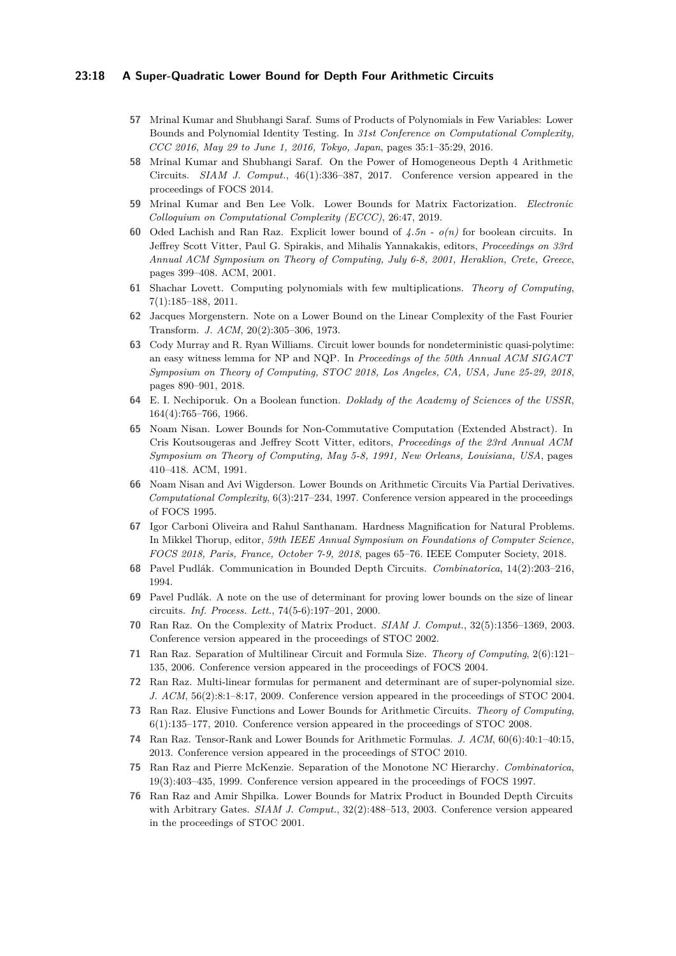#### **23:18 A Super-Quadratic Lower Bound for Depth Four Arithmetic Circuits**

- <span id="page-17-2"></span>**57** Mrinal Kumar and Shubhangi Saraf. Sums of Products of Polynomials in Few Variables: Lower Bounds and Polynomial Identity Testing. In *31st Conference on Computational Complexity, CCC 2016, May 29 to June 1, 2016, Tokyo, Japan*, pages 35:1–35:29, 2016.
- <span id="page-17-3"></span>**58** Mrinal Kumar and Shubhangi Saraf. On the Power of Homogeneous Depth 4 Arithmetic Circuits. *SIAM J. Comput.*, 46(1):336–387, 2017. Conference version appeared in the proceedings of FOCS 2014.
- <span id="page-17-15"></span>**59** Mrinal Kumar and Ben Lee Volk. Lower Bounds for Matrix Factorization. *Electronic Colloquium on Computational Complexity (ECCC)*, 26:47, 2019.
- <span id="page-17-4"></span>**60** Oded Lachish and Ran Raz. Explicit lower bound of *4.5n - o(n)* for boolean circuits. In Jeffrey Scott Vitter, Paul G. Spirakis, and Mihalis Yannakakis, editors, *Proceedings on 33rd Annual ACM Symposium on Theory of Computing, July 6-8, 2001, Heraklion, Crete, Greece*, pages 399–408. ACM, 2001.
- <span id="page-17-1"></span>**61** Shachar Lovett. Computing polynomials with few multiplications. *Theory of Computing*, 7(1):185–188, 2011.
- <span id="page-17-11"></span>**62** Jacques Morgenstern. Note on a Lower Bound on the Linear Complexity of the Fast Fourier Transform. *J. ACM*, 20(2):305–306, 1973.
- <span id="page-17-18"></span>**63** Cody Murray and R. Ryan Williams. Circuit lower bounds for nondeterministic quasi-polytime: an easy witness lemma for NP and NQP. In *Proceedings of the 50th Annual ACM SIGACT Symposium on Theory of Computing, STOC 2018, Los Angeles, CA, USA, June 25-29, 2018*, pages 890–901, 2018.
- <span id="page-17-5"></span>**64** E. I. Nechiporuk. On a Boolean function. *Doklady of the Academy of Sciences of the USSR*, 164(4):765–766, 1966.
- <span id="page-17-8"></span>**65** Noam Nisan. Lower Bounds for Non-Commutative Computation (Extended Abstract). In Cris Koutsougeras and Jeffrey Scott Vitter, editors, *Proceedings of the 23rd Annual ACM Symposium on Theory of Computing, May 5-8, 1991, New Orleans, Louisiana, USA*, pages 410–418. ACM, 1991.
- <span id="page-17-17"></span>**66** Noam Nisan and Avi Wigderson. Lower Bounds on Arithmetic Circuits Via Partial Derivatives. *Computational Complexity*, 6(3):217–234, 1997. Conference version appeared in the proceedings of FOCS 1995.
- <span id="page-17-6"></span>**67** Igor Carboni Oliveira and Rahul Santhanam. Hardness Magnification for Natural Problems. In Mikkel Thorup, editor, *59th IEEE Annual Symposium on Foundations of Computer Science, FOCS 2018, Paris, France, October 7-9, 2018*, pages 65–76. IEEE Computer Society, 2018.
- <span id="page-17-13"></span>**68** Pavel Pudlák. Communication in Bounded Depth Circuits. *Combinatorica*, 14(2):203–216, 1994.
- <span id="page-17-16"></span>**69** Pavel Pudlák. A note on the use of determinant for proving lower bounds on the size of linear circuits. *Inf. Process. Lett.*, 74(5-6):197–201, 2000.
- <span id="page-17-12"></span>**70** Ran Raz. On the Complexity of Matrix Product. *SIAM J. Comput.*, 32(5):1356–1369, 2003. Conference version appeared in the proceedings of STOC 2002.
- <span id="page-17-10"></span>**71** Ran Raz. Separation of Multilinear Circuit and Formula Size. *Theory of Computing*, 2(6):121– 135, 2006. Conference version appeared in the proceedings of FOCS 2004.
- <span id="page-17-9"></span>**72** Ran Raz. Multi-linear formulas for permanent and determinant are of super-polynomial size. *J. ACM*, 56(2):8:1–8:17, 2009. Conference version appeared in the proceedings of STOC 2004.
- <span id="page-17-0"></span>**73** Ran Raz. Elusive Functions and Lower Bounds for Arithmetic Circuits. *Theory of Computing*, 6(1):135–177, 2010. Conference version appeared in the proceedings of STOC 2008.
- <span id="page-17-19"></span>**74** Ran Raz. Tensor-Rank and Lower Bounds for Arithmetic Formulas. *J. ACM*, 60(6):40:1–40:15, 2013. Conference version appeared in the proceedings of STOC 2010.
- <span id="page-17-7"></span>**75** Ran Raz and Pierre McKenzie. Separation of the Monotone NC Hierarchy. *Combinatorica*, 19(3):403–435, 1999. Conference version appeared in the proceedings of FOCS 1997.
- <span id="page-17-14"></span>**76** Ran Raz and Amir Shpilka. Lower Bounds for Matrix Product in Bounded Depth Circuits with Arbitrary Gates. *SIAM J. Comput.*, 32(2):488–513, 2003. Conference version appeared in the proceedings of STOC 2001.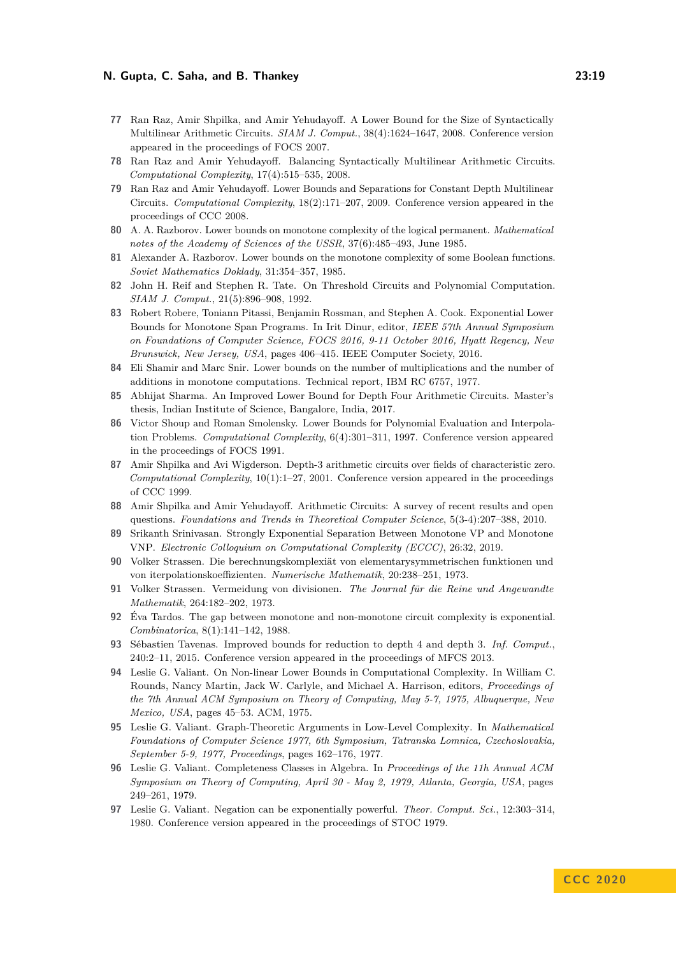- <span id="page-18-12"></span>**77** Ran Raz, Amir Shpilka, and Amir Yehudayoff. A Lower Bound for the Size of Syntactically Multilinear Arithmetic Circuits. *SIAM J. Comput.*, 38(4):1624–1647, 2008. Conference version appeared in the proceedings of FOCS 2007.
- <span id="page-18-13"></span>**78** Ran Raz and Amir Yehudayoff. Balancing Syntactically Multilinear Arithmetic Circuits. *Computational Complexity*, 17(4):515–535, 2008.
- <span id="page-18-16"></span>**79** Ran Raz and Amir Yehudayoff. Lower Bounds and Separations for Constant Depth Multilinear Circuits. *Computational Complexity*, 18(2):171–207, 2009. Conference version appeared in the proceedings of CCC 2008.
- <span id="page-18-14"></span>**80** A. A. Razborov. Lower bounds on monotone complexity of the logical permanent. *Mathematical notes of the Academy of Sciences of the USSR*, 37(6):485–493, June 1985.
- <span id="page-18-9"></span>**81** Alexander A. Razborov. Lower bounds on the monotone complexity of some Boolean functions. *Soviet Mathematics Doklady*, 31:354–357, 1985.
- <span id="page-18-19"></span>**82** John H. Reif and Stephen R. Tate. On Threshold Circuits and Polynomial Computation. *SIAM J. Comput.*, 21(5):896–908, 1992.
- <span id="page-18-11"></span>**83** Robert Robere, Toniann Pitassi, Benjamin Rossman, and Stephen A. Cook. Exponential Lower Bounds for Monotone Span Programs. In Irit Dinur, editor, *IEEE 57th Annual Symposium on Foundations of Computer Science, FOCS 2016, 9-11 October 2016, Hyatt Regency, New Brunswick, New Jersey, USA*, pages 406–415. IEEE Computer Society, 2016.
- <span id="page-18-7"></span>**84** Eli Shamir and Marc Snir. Lower bounds on the number of multiplications and the number of additions in monotone computations. Technical report, IBM RC 6757, 1977.
- <span id="page-18-1"></span>**85** Abhijat Sharma. An Improved Lower Bound for Depth Four Arithmetic Circuits. Master's thesis, Indian Institute of Science, Bangalore, India, 2017.
- <span id="page-18-2"></span>**86** Victor Shoup and Roman Smolensky. Lower Bounds for Polynomial Evaluation and Interpolation Problems. *Computational Complexity*, 6(4):301–311, 1997. Conference version appeared in the proceedings of FOCS 1991.
- <span id="page-18-3"></span>**87** Amir Shpilka and Avi Wigderson. Depth-3 arithmetic circuits over fields of characteristic zero. *Computational Complexity*, 10(1):1–27, 2001. Conference version appeared in the proceedings of CCC 1999.
- <span id="page-18-0"></span>**88** Amir Shpilka and Amir Yehudayoff. Arithmetic Circuits: A survey of recent results and open questions. *Foundations and Trends in Theoretical Computer Science*, 5(3-4):207–388, 2010.
- <span id="page-18-8"></span>**89** Srikanth Srinivasan. Strongly Exponential Separation Between Monotone VP and Monotone VNP. *Electronic Colloquium on Computational Complexity (ECCC)*, 26:32, 2019.
- <span id="page-18-4"></span>**90** Volker Strassen. Die berechnungskomplexiät von elementarysymmetrischen funktionen und von iterpolationskoeffizienten. *Numerische Mathematik*, 20:238–251, 1973.
- <span id="page-18-17"></span>**91** Volker Strassen. Vermeidung von divisionen. *The Journal für die Reine und Angewandte Mathematik*, 264:182–202, 1973.
- <span id="page-18-10"></span>**92** Éva Tardos. The gap between monotone and non-monotone circuit complexity is exponential. *Combinatorica*, 8(1):141–142, 1988.
- <span id="page-18-18"></span>**93** Sébastien Tavenas. Improved bounds for reduction to depth 4 and depth 3. *Inf. Comput.*, 240:2–11, 2015. Conference version appeared in the proceedings of MFCS 2013.
- <span id="page-18-15"></span>**94** Leslie G. Valiant. On Non-linear Lower Bounds in Computational Complexity. In William C. Rounds, Nancy Martin, Jack W. Carlyle, and Michael A. Harrison, editors, *Proceedings of the 7th Annual ACM Symposium on Theory of Computing, May 5-7, 1975, Albuquerque, New Mexico, USA*, pages 45–53. ACM, 1975.
- <span id="page-18-20"></span>**95** Leslie G. Valiant. Graph-Theoretic Arguments in Low-Level Complexity. In *Mathematical Foundations of Computer Science 1977, 6th Symposium, Tatranska Lomnica, Czechoslovakia, September 5-9, 1977, Proceedings*, pages 162–176, 1977.
- <span id="page-18-5"></span>**96** Leslie G. Valiant. Completeness Classes in Algebra. In *Proceedings of the 11h Annual ACM Symposium on Theory of Computing, April 30 - May 2, 1979, Atlanta, Georgia, USA*, pages 249–261, 1979.
- <span id="page-18-6"></span>**97** Leslie G. Valiant. Negation can be exponentially powerful. *Theor. Comput. Sci.*, 12:303–314, 1980. Conference version appeared in the proceedings of STOC 1979.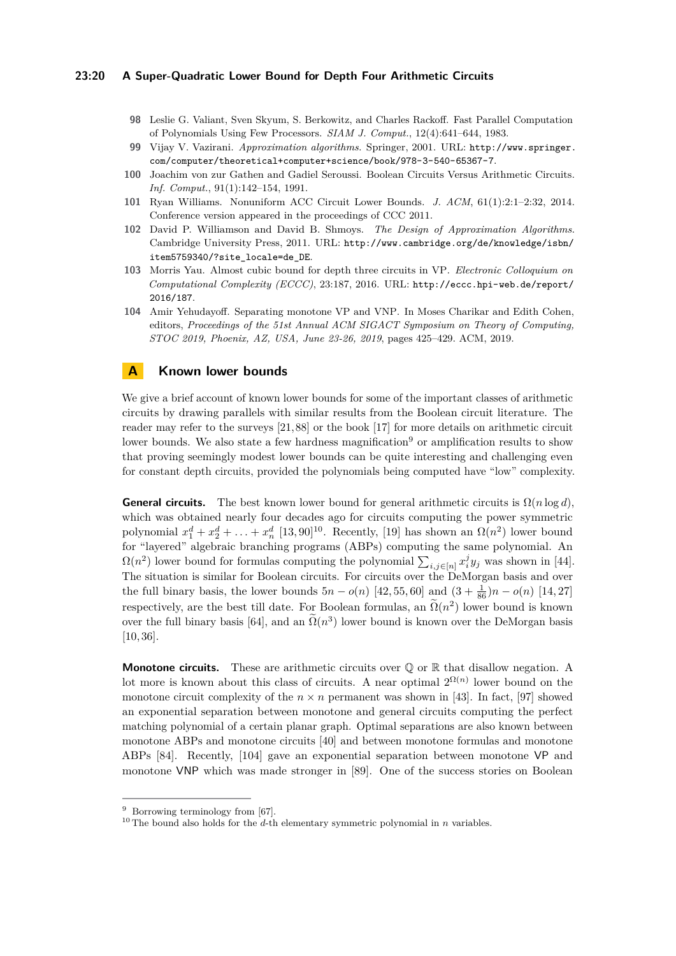#### **23:20 A Super-Quadratic Lower Bound for Depth Four Arithmetic Circuits**

- <span id="page-19-8"></span>**98** Leslie G. Valiant, Sven Skyum, S. Berkowitz, and Charles Rackoff. Fast Parallel Computation of Polynomials Using Few Processors. *SIAM J. Comput.*, 12(4):641–644, 1983.
- <span id="page-19-2"></span>**99** Vijay V. Vazirani. *Approximation algorithms*. Springer, 2001. URL: [http://www.springer.](http://www.springer.com/computer/theoretical+computer+science/book/978-3-540-65367-7) [com/computer/theoretical+computer+science/book/978-3-540-65367-7](http://www.springer.com/computer/theoretical+computer+science/book/978-3-540-65367-7).
- <span id="page-19-1"></span>**100** Joachim von zur Gathen and Gadiel Seroussi. Boolean Circuits Versus Arithmetic Circuits. *Inf. Comput.*, 91(1):142–154, 1991.
- <span id="page-19-9"></span>**101** Ryan Williams. Nonuniform ACC Circuit Lower Bounds. *J. ACM*, 61(1):2:1–2:32, 2014. Conference version appeared in the proceedings of CCC 2011.
- <span id="page-19-3"></span>**102** David P. Williamson and David B. Shmoys. *The Design of Approximation Algorithms*. Cambridge University Press, 2011. URL: [http://www.cambridge.org/de/knowledge/isbn/](http://www.cambridge.org/de/knowledge/isbn/item5759340/?site_locale=de_DE) [item5759340/?site\\_locale=de\\_DE](http://www.cambridge.org/de/knowledge/isbn/item5759340/?site_locale=de_DE).
- <span id="page-19-4"></span>**103** Morris Yau. Almost cubic bound for depth three circuits in VP. *Electronic Colloquium on Computational Complexity (ECCC)*, 23:187, 2016. URL: [http://eccc.hpi-web.de/report/](http://eccc.hpi-web.de/report/2016/187) [2016/187](http://eccc.hpi-web.de/report/2016/187).
- <span id="page-19-7"></span>**104** Amir Yehudayoff. Separating monotone VP and VNP. In Moses Charikar and Edith Cohen, editors, *Proceedings of the 51st Annual ACM SIGACT Symposium on Theory of Computing, STOC 2019, Phoenix, AZ, USA, June 23-26, 2019*, pages 425–429. ACM, 2019.

# <span id="page-19-0"></span>**A Known lower bounds**

We give a brief account of known lower bounds for some of the important classes of arithmetic circuits by drawing parallels with similar results from the Boolean circuit literature. The reader may refer to the surveys [\[21,](#page-14-3) [88\]](#page-18-0) or the book [\[17\]](#page-14-6) for more details on arithmetic circuit lower bounds. We also state a few hardness magnification<sup>[9](#page-19-5)</sup> or amplification results to show that proving seemingly modest lower bounds can be quite interesting and challenging even for constant depth circuits, provided the polynomials being computed have "low" complexity.

**General circuits.** The best known lower bound for general arithmetic circuits is  $\Omega(n \log d)$ , which was obtained nearly four decades ago for circuits computing the power symmetric polynomial  $x_1^d + x_2^d + \ldots + x_n^d$  [\[13,](#page-14-1) [90\]](#page-18-4)<sup>[10](#page-19-6)</sup>. Recently, [\[19\]](#page-14-7) has shown an  $\Omega(n^2)$  lower bound for "layered" algebraic branching programs (ABPs) computing the same polynomial. An  $\Omega(n^2)$  lower bound for formulas computing the polynomial  $\sum_{i,j\in[n]} x_i^j y_j$  was shown in [\[44\]](#page-16-1). The situation is similar for Boolean circuits. For circuits over the DeMorgan basis and over the full binary basis, the lower bounds  $5n - o(n)$  [\[42,](#page-16-6) [55,](#page-16-7) [60\]](#page-17-4) and  $(3 + \frac{1}{86})n - o(n)$  [\[14,](#page-14-8) [27\]](#page-15-3) respectively, are the best till date. For Boolean formulas, an  $\Omega(n^2)$  lower bound is known over the full binary basis [\[64\]](#page-17-5), and an  $\tilde{\Omega}(n^3)$  lower bound is known over the DeMorgan basis [\[10,](#page-14-9) [36\]](#page-15-4).

**Monotone circuits.** These are arithmetic circuits over  $\mathbb Q$  or  $\mathbb R$  that disallow negation. A lot more is known about this class of circuits. A near optimal  $2^{\Omega(n)}$  lower bound on the monotone circuit complexity of the  $n \times n$  permanent was shown in [\[43\]](#page-16-8). In fact, [\[97\]](#page-18-6) showed an exponential separation between monotone and general circuits computing the perfect matching polynomial of a certain planar graph. Optimal separations are also known between monotone ABPs and monotone circuits [\[40\]](#page-15-5) and between monotone formulas and monotone ABPs [\[84\]](#page-18-7). Recently, [\[104\]](#page-19-7) gave an exponential separation between monotone VP and monotone VNP which was made stronger in [\[89\]](#page-18-8). One of the success stories on Boolean

<span id="page-19-5"></span> $9$  Borrowing terminology from [\[67\]](#page-17-6).

<span id="page-19-6"></span><sup>&</sup>lt;sup>10</sup> The bound also holds for the *d*-th elementary symmetric polynomial in *n* variables.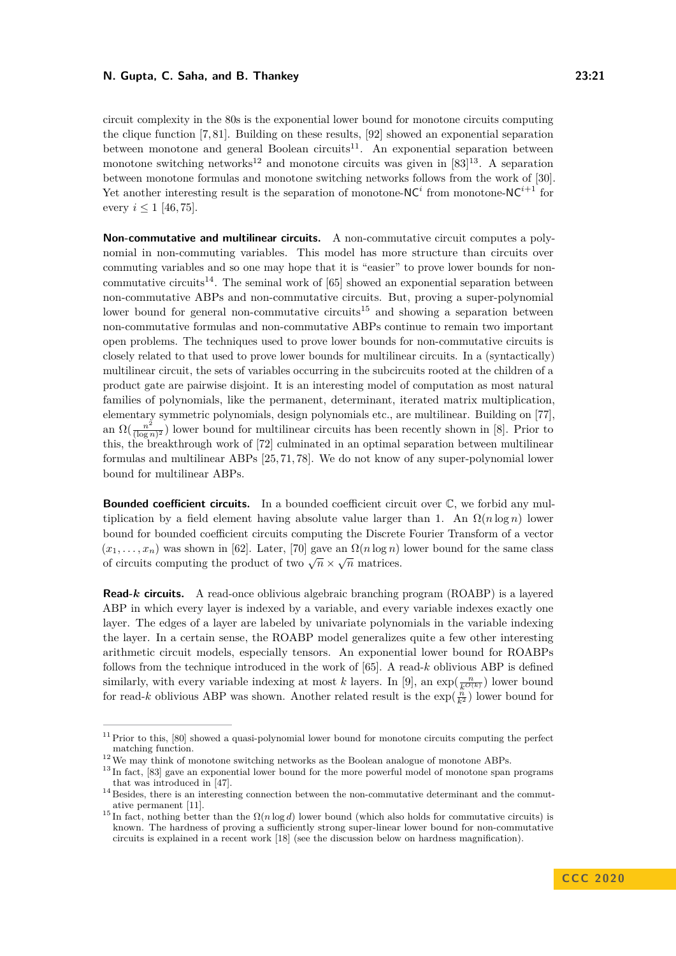circuit complexity in the 80s is the exponential lower bound for monotone circuits computing the clique function [\[7,](#page-13-1) [81\]](#page-18-9). Building on these results, [\[92\]](#page-18-10) showed an exponential separation between monotone and general Boolean circuits<sup>[11](#page-20-0)</sup>. An exponential separation between monotone switching networks<sup>[12](#page-20-1)</sup> and monotone circuits was given in  $[83]^{13}$  $[83]^{13}$  $[83]^{13}$  $[83]^{13}$ . A separation between monotone formulas and monotone switching networks follows from the work of [\[30\]](#page-15-6). Yet another interesting result is the separation of monotone- $NC<sup>i</sup>$  from monotone- $NC<sup>i+1</sup>$  for every  $i \leq 1$  [\[46,](#page-16-9)75].

**Non-commutative and multilinear circuits.** A non-commutative circuit computes a polynomial in non-commuting variables. This model has more structure than circuits over commuting variables and so one may hope that it is "easier" to prove lower bounds for non-commutative circuits<sup>[14](#page-20-3)</sup>. The seminal work of  $[65]$  showed an exponential separation between non-commutative ABPs and non-commutative circuits. But, proving a super-polynomial lower bound for general non-commutative circuits<sup>[15](#page-20-4)</sup> and showing a separation between non-commutative formulas and non-commutative ABPs continue to remain two important open problems. The techniques used to prove lower bounds for non-commutative circuits is closely related to that used to prove lower bounds for multilinear circuits. In a (syntactically) multilinear circuit, the sets of variables occurring in the subcircuits rooted at the children of a product gate are pairwise disjoint. It is an interesting model of computation as most natural families of polynomials, like the permanent, determinant, iterated matrix multiplication, elementary symmetric polynomials, design polynomials etc., are multilinear. Building on [\[77\]](#page-18-12), an  $\Omega(\frac{n^2}{\log n})$  $\frac{n^2}{(\log n)^2}$ ) lower bound for multilinear circuits has been recently shown in [\[8\]](#page-14-10). Prior to this, the breakthrough work of [\[72\]](#page-17-9) culminated in an optimal separation between multilinear formulas and multilinear ABPs [\[25,](#page-15-7) [71,](#page-17-10) [78\]](#page-18-13). We do not know of any super-polynomial lower bound for multilinear ABPs.

**Bounded coefficient circuits.** In a bounded coefficient circuit over  $\mathbb{C}$ , we forbid any multiplication by a field element having absolute value larger than 1. An  $\Omega(n \log n)$  lower bound for bounded coefficient circuits computing the Discrete Fourier Transform of a vector  $(x_1, \ldots, x_n)$  was shown in [\[62\]](#page-17-11). Later, [\[70\]](#page-17-12) gave an  $\Omega(n \log n)$  lower bound for the same class of circuits computing the product of two  $\sqrt{n} \times \sqrt{n}$  matrices.

**Read-***k* **circuits.** A read-once oblivious algebraic branching program (ROABP) is a layered ABP in which every layer is indexed by a variable, and every variable indexes exactly one layer. The edges of a layer are labeled by univariate polynomials in the variable indexing the layer. In a certain sense, the ROABP model generalizes quite a few other interesting arithmetic circuit models, especially tensors. An exponential lower bound for ROABPs follows from the technique introduced in the work of [\[65\]](#page-17-8). A read-*k* oblivious ABP is defined similarly, with every variable indexing at most *k* layers. In [\[9\]](#page-14-11), an  $\exp(\frac{n}{k^{O(k)}})$  lower bound for read-*k* oblivious ABP was shown. Another related result is the  $\exp(\frac{n}{k^2})$  lower bound for

<span id="page-20-0"></span><sup>&</sup>lt;sup>11</sup> Prior to this, [\[80\]](#page-18-14) showed a quasi-polynomial lower bound for monotone circuits computing the perfect matching function.

<span id="page-20-1"></span> $^{12}\,$  We may think of monotone switching networks as the Boolean analogue of monotone ABPs.

<span id="page-20-2"></span><sup>&</sup>lt;sup>13</sup> In fact, [\[83\]](#page-18-11) gave an exponential lower bound for the more powerful model of monotone span programs that was introduced in [\[47\]](#page-16-10).

<span id="page-20-3"></span> $14$  Besides, there is an interesting connection between the non-commutative determinant and the commutative permanent [\[11\]](#page-14-12).

<span id="page-20-4"></span><sup>&</sup>lt;sup>15</sup> In fact, nothing better than the  $\Omega(n \log d)$  lower bound (which also holds for commutative circuits) is known. The hardness of proving a sufficiently strong super-linear lower bound for non-commutative circuits is explained in a recent work [\[18\]](#page-14-5) (see the discussion below on hardness magnification).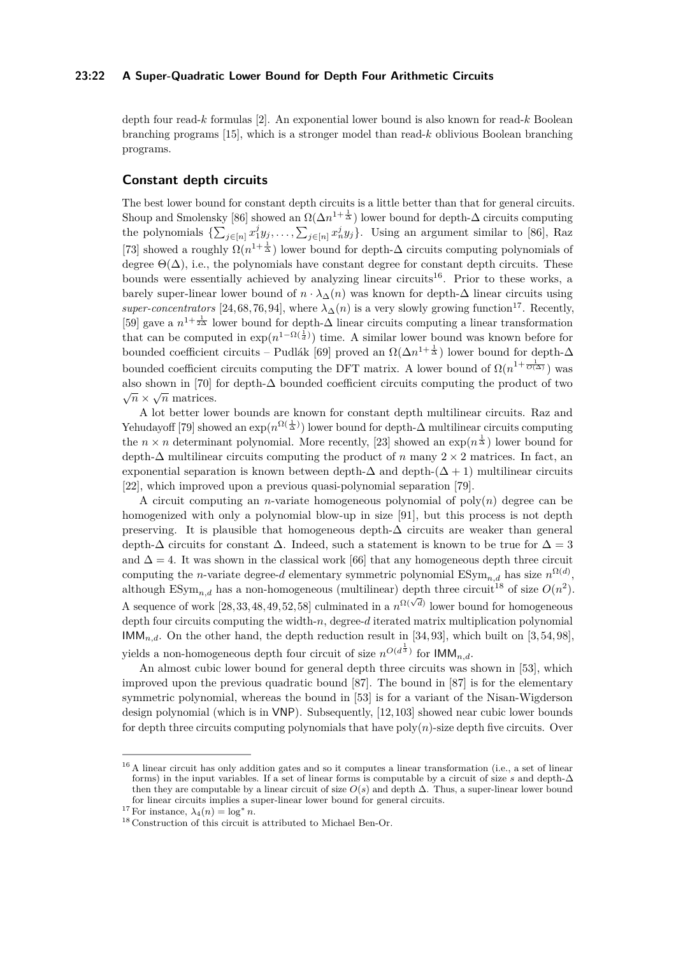#### **23:22 A Super-Quadratic Lower Bound for Depth Four Arithmetic Circuits**

depth four read-*k* formulas [\[2\]](#page-13-2). An exponential lower bound is also known for read-*k* Boolean branching programs [\[15\]](#page-14-13), which is a stronger model than read-*k* oblivious Boolean branching programs.

### **Constant depth circuits**

The best lower bound for constant depth circuits is a little better than that for general circuits. Shoup and Smolensky [\[86\]](#page-18-2) showed an  $\Omega(\Delta n^{1+\frac{1}{\Delta}})$  lower bound for depth- $\Delta$  circuits computing the polynomials  $\{\sum_{j\in[n]} x_1^j y_j, \ldots, \sum_{j\in[n]} x_n^j y_j\}$ . Using an argument similar to [\[86\]](#page-18-2), Raz [\[73\]](#page-17-0) showed a roughly  $\Omega(n^{1+\frac{1}{\Delta}})$  lower bound for depth- $\Delta$  circuits computing polynomials of degree  $\Theta(\Delta)$ , i.e., the polynomials have constant degree for constant depth circuits. These bounds were essentially achieved by analyzing linear circuits<sup>[16](#page-21-0)</sup>. Prior to these works, a barely super-linear lower bound of  $n \cdot \lambda_{\Lambda}(n)$  was known for depth- $\Delta$  linear circuits using *super-concentrators* [\[24,](#page-14-14) [68,](#page-17-13) [76,](#page-17-14) [94\]](#page-18-15), where  $\lambda_{\Delta}(n)$  is a very slowly growing function<sup>[17](#page-21-1)</sup>. Recently, [\[59\]](#page-17-15) gave a  $n^{1+\frac{1}{2\Delta}}$  lower bound for depth- $\Delta$  linear circuits computing a linear transformation that can be computed in  $\exp(n^{1-\Omega(\frac{1}{d})})$  time. A similar lower bound was known before for bounded coefficient circuits – Pudlák [\[69\]](#page-17-16) proved an  $\Omega(\Delta n^{1+\frac{1}{\Delta}})$  lower bound for depth- $\Delta$ bounded coefficient circuits computing the DFT matrix. A lower bound of  $\Omega(n^{1+\frac{1}{O(\Delta)}})$  was also shown in [\[70\]](#page-17-12) for depth- $\Delta$  bounded coefficient circuits computing the product of two  $\subset$  $\overline{n} \times \sqrt{n}$  matrices.

A lot better lower bounds are known for constant depth multilinear circuits. Raz and Yehudayoff [\[79\]](#page-18-16) showed an  $\exp(n^{\Omega(\frac{1}{\Delta})})$  lower bound for depth- $\Delta$  multilinear circuits computing the  $n \times n$  determinant polynomial. More recently, [\[23\]](#page-14-15) showed an  $\exp(n^{\frac{1}{\Delta}})$  lower bound for depth-∆ multilinear circuits computing the product of *n* many 2 × 2 matrices. In fact, an exponential separation is known between depth- $\Delta$  and depth- $(\Delta + 1)$  multilinear circuits [\[22\]](#page-14-16), which improved upon a previous quasi-polynomial separation [\[79\]](#page-18-16).

A circuit computing an *n*-variate homogeneous polynomial of  $poly(n)$  degree can be homogenized with only a polynomial blow-up in size [\[91\]](#page-18-17), but this process is not depth preserving. It is plausible that homogeneous depth-∆ circuits are weaker than general depth- $\Delta$  circuits for constant  $\Delta$ . Indeed, such a statement is known to be true for  $\Delta = 3$ and  $\Delta = 4$ . It was shown in the classical work [\[66\]](#page-17-17) that any homogeneous depth three circuit computing the *n*-variate degree-*d* elementary symmetric polynomial  $\text{ESym}_{n,d}$  has size  $n^{\Omega(d)}$ , although  $\mathrm{ESym}_{n,d}$  has a non-homogeneous (multilinear) depth three circuit<sup>[18](#page-21-2)</sup> of size  $O(n^2)$ . A sequence of work  $[28,33,48,49,52,58]$  $[28,33,48,49,52,58]$  $[28,33,48,49,52,58]$  $[28,33,48,49,52,58]$  $[28,33,48,49,52,58]$  $[28,33,48,49,52,58]$  culminated in a  $n^{\Omega(\sqrt{d})}$  lower bound for homogeneous depth four circuits computing the width-*n*, degree-*d* iterated matrix multiplication polynomial  $\mathsf{IMM}_{n,d}$ . On the other hand, the depth reduction result in [\[34,](#page-15-9) [93\]](#page-18-18), which built on [\[3,](#page-13-3) [54,](#page-16-12) [98\]](#page-19-8), yields a non-homogeneous depth four circuit of size  $n^{O(d^{\frac{1}{3}})}$  for  $\mathsf{IMM}_{n,d}$ .

An almost cubic lower bound for general depth three circuits was shown in [\[53\]](#page-16-0), which improved upon the previous quadratic bound [\[87\]](#page-18-3). The bound in [\[87\]](#page-18-3) is for the elementary symmetric polynomial, whereas the bound in [\[53\]](#page-16-0) is for a variant of the Nisan-Wigderson design polynomial (which is in VNP). Subsequently, [\[12,](#page-14-4) [103\]](#page-19-4) showed near cubic lower bounds for depth three circuits computing polynomials that have  $poly(n)$ -size depth five circuits. Over

<span id="page-21-0"></span><sup>&</sup>lt;sup>16</sup> A linear circuit has only addition gates and so it computes a linear transformation (i.e., a set of linear forms) in the input variables. If a set of linear forms is computable by a circuit of size  $s$  and depth- $\Delta$ then they are computable by a linear circuit of size  $O(s)$  and depth  $\Delta$ . Thus, a super-linear lower bound for linear circuits implies a super-linear lower bound for general circuits.

<span id="page-21-1"></span><sup>&</sup>lt;sup>17</sup> For instance,  $\lambda_4(n) = \log^* n$ .

<span id="page-21-2"></span><sup>18</sup> Construction of this circuit is attributed to Michael Ben-Or.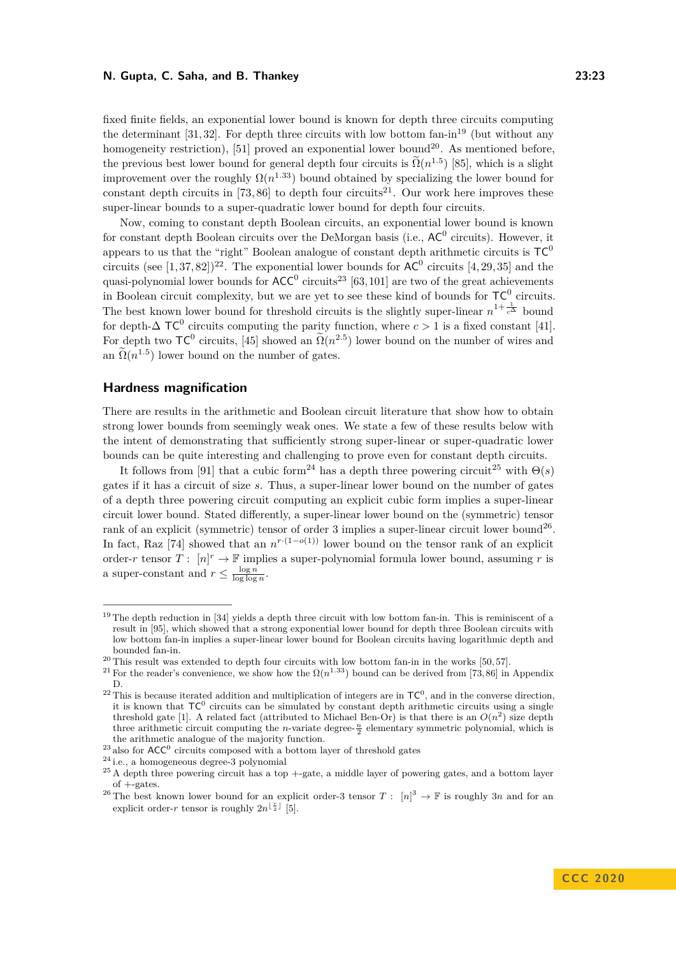fixed finite fields, an exponential lower bound is known for depth three circuits computing the determinant  $[31, 32]$  $[31, 32]$ . For depth three circuits with low bottom fan-in<sup>[19](#page-22-0)</sup> (but without any homogeneity restriction), [\[51\]](#page-16-3) proved an exponential lower bound<sup>[20](#page-22-1)</sup>. As mentioned before, the previous best lower bound for general depth four circuits is  $\tilde{\Omega}(n^{1.5})$  [\[85\]](#page-18-1), which is a slight improvement over the roughly  $\Omega(n^{1.33})$  bound obtained by specializing the lower bound for constant depth circuits in [\[73,](#page-17-0)86] to depth four circuits<sup>[21](#page-22-2)</sup>. Our work here improves these super-linear bounds to a super-quadratic lower bound for depth four circuits.

Now, coming to constant depth Boolean circuits, an exponential lower bound is known for constant depth Boolean circuits over the DeMorgan basis (i.e.,  $AC^0$  circuits). However, it appears to us that the "right" Boolean analogue of constant depth arithmetic circuits is  $TC^0$ circuits (see  $[1,37,82]$  $[1,37,82]$ )<sup>[22](#page-22-3)</sup>. The exponential lower bounds for  $AC^0$  circuits  $[4,29,35]$  $[4,29,35]$  and the quasi-polynomial lower bounds for  $ACC^0$  circuits<sup>[23](#page-22-4)</sup> [\[63,](#page-17-18)101] are two of the great achievements in Boolean circuit complexity, but we are yet to see these kind of bounds for  $TC^0$  circuits. The best known lower bound for threshold circuits is the slightly super-linear  $n^{1+\frac{1}{c^{\Delta}}}$  bound for depth- $\Delta \text{TC}^0$  circuits computing the parity function, where  $c > 1$  is a fixed constant [\[41\]](#page-16-13). For depth two  $TC^0$  circuits, [\[45\]](#page-16-14) showed an  $\widetilde{\Omega}(n^{2.5})$  lower bound on the number of wires and  $\widetilde{\Omega}(n^{1.5})$ . an  $\Omega(n^{1.5})$  lower bound on the number of gates.

#### **Hardness magnification**

There are results in the arithmetic and Boolean circuit literature that show how to obtain strong lower bounds from seemingly weak ones. We state a few of these results below with the intent of demonstrating that sufficiently strong super-linear or super-quadratic lower bounds can be quite interesting and challenging to prove even for constant depth circuits.

It follows from [\[91\]](#page-18-17) that a cubic form<sup>[24](#page-22-5)</sup> has a depth three powering circuit<sup>[25](#page-22-6)</sup> with  $\Theta(s)$ gates if it has a circuit of size *s*. Thus, a super-linear lower bound on the number of gates of a depth three powering circuit computing an explicit cubic form implies a super-linear circuit lower bound. Stated differently, a super-linear lower bound on the (symmetric) tensor rank of an explicit (symmetric) tensor of order 3 implies a super-linear circuit lower bound<sup>[26](#page-22-7)</sup>. In fact, Raz [\[74\]](#page-17-19) showed that an  $n^{r \cdot (1-o(1))}$  lower bound on the tensor rank of an explicit order-*r* tensor  $T: [n]^r \to \mathbb{F}$  implies a super-polynomial formula lower bound, assuming *r* is a super-constant and  $r \leq \frac{\log n}{\log \log n}$ .

<span id="page-22-0"></span><sup>&</sup>lt;sup>19</sup> The depth reduction in [\[34\]](#page-15-9) yields a depth three circuit with low bottom fan-in. This is reminiscent of a result in [\[95\]](#page-18-20), which showed that a strong exponential lower bound for depth three Boolean circuits with low bottom fan-in implies a super-linear lower bound for Boolean circuits having logarithmic depth and bounded fan-in.

<span id="page-22-1"></span><sup>&</sup>lt;sup>20</sup> This result was extended to depth four circuits with low bottom fan-in in the works [\[50,](#page-16-15) [57\]](#page-17-2).

<span id="page-22-2"></span><sup>&</sup>lt;sup>21</sup> For the reader's convenience, we show how the  $\Omega(n^{1.33})$  bound can be derived from [\[73,](#page-17-0)86] in Appendix [D.](#page-28-0)

<span id="page-22-3"></span><sup>&</sup>lt;sup>22</sup> This is because iterated addition and multiplication of integers are in  $TC^0$ , and in the converse direction, it is known that  $TC^0$  circuits can be simulated by constant depth arithmetic circuits using a single threshold gate [\[1\]](#page-13-4). A related fact (attributed to Michael Ben-Or) is that there is an  $O(n^2)$  size depth three arithmetic circuit computing the *n*-variate degree- $\frac{n}{2}$  elementary symmetric polynomial, which is the arithmetic analogue of the majority function.

<span id="page-22-4"></span><sup>&</sup>lt;sup>23</sup> also for  $ACC^0$  circuits composed with a bottom layer of threshold gates

<span id="page-22-5"></span><sup>24</sup> i.e., a homogeneous degree-3 polynomial

<span id="page-22-6"></span> $25$  A depth three powering circuit has a top  $+$ -gate, a middle layer of powering gates, and a bottom layer  $of +-gates$ .

<span id="page-22-7"></span><sup>&</sup>lt;sup>26</sup> The best known lower bound for an explicit order-3 tensor  $T: [n]^3 \to \mathbb{F}$  is roughly 3*n* and for an explicit order-*r* tensor is roughly  $2n^{\lfloor \frac{r}{2} \rfloor}$  [\[5\]](#page-13-6).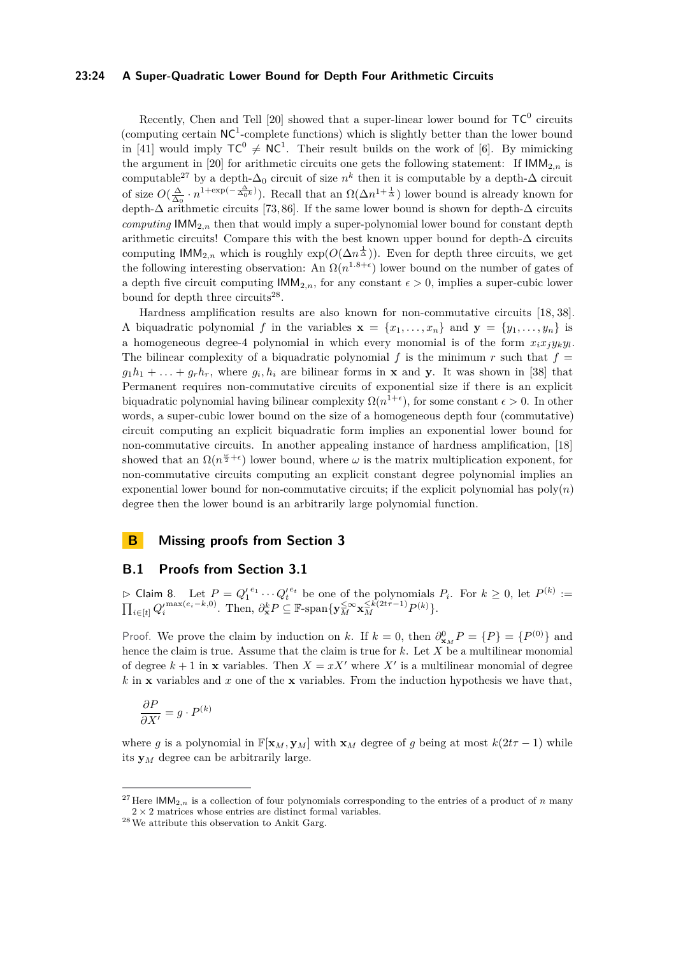#### **23:24 A Super-Quadratic Lower Bound for Depth Four Arithmetic Circuits**

Recently, Chen and Tell [\[20\]](#page-14-0) showed that a super-linear lower bound for  $TC^0$  circuits (computing certain  $NC^1$ -complete functions) which is slightly better than the lower bound in [\[41\]](#page-16-13) would imply  $TC^0 \neq NC^1$ . Their result builds on the work of [\[6\]](#page-13-7). By mimicking the argument in [\[20\]](#page-14-0) for arithmetic circuits one gets the following statement: If  $IMM_{2,n}$  is computable<sup>[27](#page-23-1)</sup> by a depth- $\Delta_0$  circuit of size  $n^k$  then it is computable by a depth- $\Delta$  circuit of size  $O(\frac{\Delta}{\Delta_0} \cdot n^{1+\exp(-\frac{\Delta}{\Delta_0 k})})$ . Recall that an  $\Omega(\Delta n^{1+\frac{1}{\Delta}})$  lower bound is already known for depth- $\Delta$  arithmetic circuits [\[73,](#page-17-0)86]. If the same lower bound is shown for depth- $\Delta$  circuits *computing*  $IMM_{2,n}$  then that would imply a super-polynomial lower bound for constant depth arithmetic circuits! Compare this with the best known upper bound for depth- $\Delta$  circuits computing  $\mathsf{IMM}_{2,n}$  which is roughly  $\exp(O(\Delta n^{\frac{1}{\Delta}}))$ . Even for depth three circuits, we get the following interesting observation: An  $\Omega(n^{1.8+\epsilon})$  lower bound on the number of gates of a depth five circuit computing  $IMM_{2,n}$ , for any constant  $\epsilon > 0$ , implies a super-cubic lower bound for depth three circuits<sup>[28](#page-23-2)</sup>.

Hardness amplification results are also known for non-commutative circuits [\[18,](#page-14-5) [38\]](#page-15-15). A biquadratic polynomial *f* in the variables  $\mathbf{x} = \{x_1, \ldots, x_n\}$  and  $\mathbf{y} = \{y_1, \ldots, y_n\}$  is a homogeneous degree-4 polynomial in which every monomial is of the form  $x_i x_j y_k y_l$ . The bilinear complexity of a biquadratic polynomial  $f$  is the minimum  $r$  such that  $f =$  $g_1h_1 + \ldots + g_rh_r$ , where  $g_i, h_i$  are bilinear forms in **x** and **y**. It was shown in [\[38\]](#page-15-15) that Permanent requires non-commutative circuits of exponential size if there is an explicit biquadratic polynomial having bilinear complexity  $\Omega(n^{1+\epsilon})$ , for some constant  $\epsilon > 0$ . In other words, a super-cubic lower bound on the size of a homogeneous depth four (commutative) circuit computing an explicit biquadratic form implies an exponential lower bound for non-commutative circuits. In another appealing instance of hardness amplification, [\[18\]](#page-14-5) showed that an  $\Omega(n^{\frac{\omega}{2}+\epsilon})$  lower bound, where  $\omega$  is the matrix multiplication exponent, for non-commutative circuits computing an explicit constant degree polynomial implies an exponential lower bound for non-commutative circuits; if the explicit polynomial has  $poly(n)$ degree then the lower bound is an arbitrarily large polynomial function.

# **B Missing proofs from Section [3](#page-5-0)**

# <span id="page-23-0"></span>**B.1 Proofs from Section [3.1](#page-6-2)**

 $\triangleright$  Claim 8. Let  $P = Q_1^{e_1} \cdots Q_t^{e_t}$  be one of the polynomials  $P_i$ . For  $k \geq 0$ , let  $P^{(k)} :=$  $\prod_{i\in[t]} Q_i^{\prime \max(e_i-k,0)}$ . Then,  $\partial_{\mathbf{x}}^k P \subseteq \mathbb{F}$ -span $\{\mathbf{y}_M^{\leq \infty} \mathbf{x}_M^{\leq k(2t\tau-1)} P^{(k)}\}.$ 

Proof. We prove the claim by induction on *k*. If  $k = 0$ , then  $\partial_{\mathbf{x}_M}^0 P = \{P\} = \{P^{(0)}\}$  and hence the claim is true. Assume that the claim is true for *k*. Let *X* be a multilinear monomial of degree  $k + 1$  in **x** variables. Then  $X = xX'$  where X' is a multilinear monomial of degree *k* in **x** variables and *x* one of the **x** variables. From the induction hypothesis we have that,

$$
\frac{\partial P}{\partial X'} = g \cdot P^{(k)}
$$

where *g* is a polynomial in  $\mathbb{F}[\mathbf{x}_M, \mathbf{y}_M]$  with  $\mathbf{x}_M$  degree of *g* being at most  $k(2t\tau - 1)$  while its **y***<sup>M</sup>* degree can be arbitrarily large.

<span id="page-23-1"></span><sup>&</sup>lt;sup>27</sup> Here  $IMM_{2,n}$  is a collection of four polynomials corresponding to the entries of a product of *n* many  $2 \times 2$  matrices whose entries are distinct formal variables.

<span id="page-23-2"></span> $^{28}\!\!\text{We attribute this observation to Ankit Garg.}$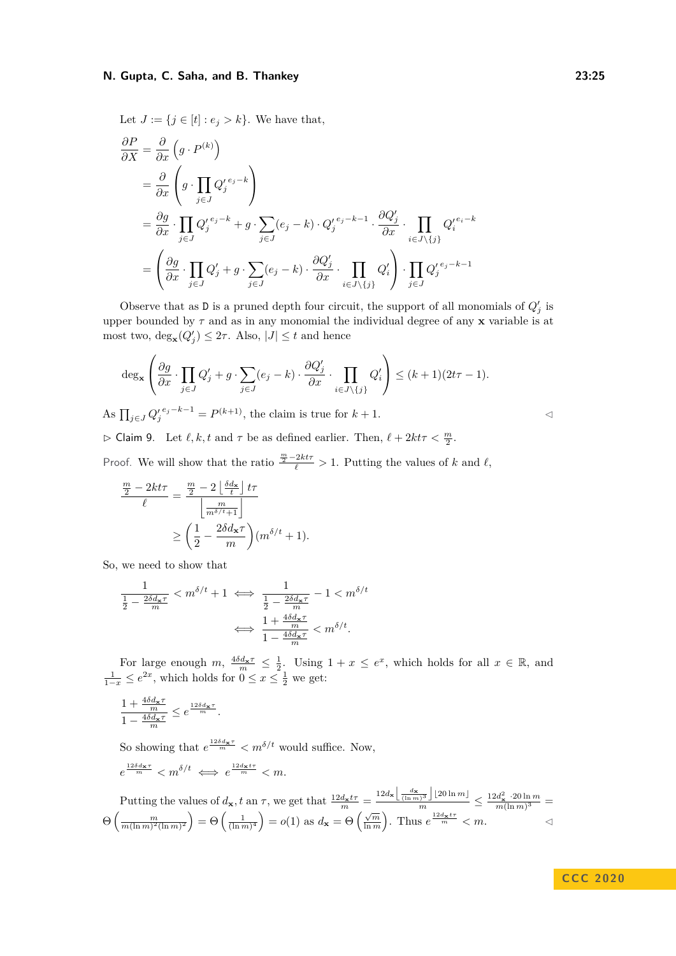Let  $J := \{j \in [t] : e_j > k\}$ . We have that,

$$
\frac{\partial P}{\partial X} = \frac{\partial}{\partial x} \left( g \cdot P^{(k)} \right)
$$
\n
$$
= \frac{\partial}{\partial x} \left( g \cdot \prod_{j \in J} Q_j^{\prime e_j - k} \right)
$$
\n
$$
= \frac{\partial g}{\partial x} \cdot \prod_{j \in J} Q_j^{\prime e_j - k} + g \cdot \sum_{j \in J} (e_j - k) \cdot Q_j^{\prime e_j - k - 1} \cdot \frac{\partial Q_j^{\prime}}{\partial x} \cdot \prod_{i \in J \setminus \{j\}} Q_i^{\prime e_i - k}
$$
\n
$$
= \left( \frac{\partial g}{\partial x} \cdot \prod_{j \in J} Q_j^{\prime} + g \cdot \sum_{j \in J} (e_j - k) \cdot \frac{\partial Q_j^{\prime}}{\partial x} \cdot \prod_{i \in J \setminus \{j\}} Q_i^{\prime} \right) \cdot \prod_{j \in J} Q_j^{\prime e_j - k - 1}
$$

Observe that as D is a pruned depth four circuit, the support of all monomials of  $Q'_{j}$  is upper bounded by *τ* and as in any monomial the individual degree of any **x** variable is at most two,  $\deg_{\mathbf{x}}(Q'_j) \leq 2\tau$ . Also,  $|J| \leq t$  and hence

$$
\deg_{\mathbf{x}}\left(\frac{\partial g}{\partial x}\cdot \prod_{j\in J}Q'_j+g\cdot \sum_{j\in J}(e_j-k)\cdot \frac{\partial Q'_j}{\partial x}\cdot \prod_{i\in J\setminus\{j\}}Q'_i\right)\leq (k+1)(2t\tau-1).
$$

As  $\prod_{j \in J} Q'_j{}^{e_j-k-1} = P^{(k+1)}$ , the claim is true for *k* + 1. ◯

 $\triangleright$  Claim 9. Let  $\ell, k, t$  and  $\tau$  be as defined earlier. Then,  $\ell + 2k\tau < \frac{m}{2}$ .

Proof. We will show that the ratio  $\frac{m}{2} - 2kt\tau > 1$ . Putting the values of *k* and  $\ell$ ,

$$
\frac{\frac{m}{2} - 2kt\tau}{\ell} = \frac{\frac{m}{2} - 2\left\lfloor \frac{\delta d_{\mathbf{x}}}{t} \right\rfloor t\tau}{\left\lfloor \frac{m}{m^{\delta/t} + 1} \right\rfloor}
$$

$$
\geq \left(\frac{1}{2} - \frac{2\delta d_{\mathbf{x}}\tau}{m}\right)(m^{\delta/t} + 1).
$$

So, we need to show that

$$
\frac{1}{\frac{1}{2} - \frac{2\delta d_{\mathbf{x}}\tau}{m}} < m^{\delta/t} + 1 \iff \frac{1}{\frac{1}{2} - \frac{2\delta d_{\mathbf{x}}\tau}{m}} - 1 < m^{\delta/t}
$$

$$
\iff \frac{1 + \frac{4\delta d_{\mathbf{x}}\tau}{m}}{1 - \frac{4\delta d_{\mathbf{x}}\tau}{m}} < m^{\delta/t}.
$$

For large enough  $m, \frac{4\delta d_{\mathbf{x}}\tau}{m} \leq \frac{1}{2}$ . Using  $1 + x \leq e^x$ , which holds for all  $x \in \mathbb{R}$ , and  $\frac{1}{1-x}$  ≤  $e^{2x}$ , which holds for  $0 \le x \le \frac{1}{2}$  we get:

$$
\frac{1+\frac{4\delta d_{\mathbf{x}}\tau}{m}}{1-\frac{4\delta d_{\mathbf{x}}\tau}{m}}\leq e^{\frac{12\delta d_{\mathbf{x}}\tau}{m}}.
$$

So showing that  $e^{\frac{12\delta d_{\mathbf{x}}\tau}{m}} < m^{\delta/t}$  would suffice. Now,

$$
e^{\frac{12\delta d_{\mathbf{x}}\tau}{m}} < m^{\delta/t} \iff e^{\frac{12d_{\mathbf{x}}t\tau}{m}} < m.
$$

Putting the values of  $d_{\mathbf{x}}$ , t an  $\tau$ , we get that  $\frac{12d_{\mathbf{x}}t\tau}{m} = \frac{12d_{\mathbf{x}}\left[\frac{d_{\mathbf{x}}}{(\ln m)^3}\right] \left[20 \ln m\right]}{m} \le \frac{12d_{\mathbf{x}}^2 \cdot 20 \ln m}{m(\ln m)^3}$  $\frac{a_{\mathbf{x}} \cdot 20 \text{ m } m}{m(\ln m)^3}$  =  $\Theta\left(\frac{m}{m(\ln m)^2(\ln m)^2}\right) = \Theta\left(\frac{1}{(\ln m)^4}\right) = o(1)$  as  $d_{\mathbf{x}} = \Theta\left(\frac{\sqrt{m}}{\ln m}\right)$ . Thus  $e^{\frac{12d_{\mathbf{x}}t\tau}{m}} < m$ .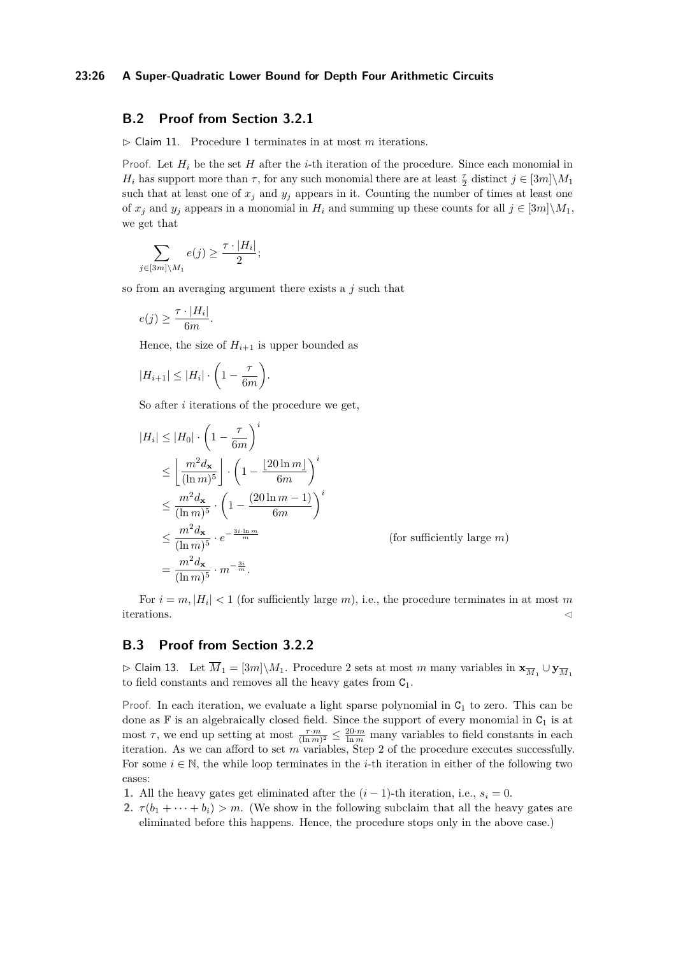#### **23:26 A Super-Quadratic Lower Bound for Depth Four Arithmetic Circuits**

# <span id="page-25-0"></span>**B.2 Proof from Section [3.2.1](#page-8-0)**

 $\triangleright$  Claim [1](#page-8-2)1. Procedure 1 terminates in at most *m* iterations.

Proof. Let  $H_i$  be the set  $H$  after the *i*-th iteration of the procedure. Since each monomial in *H*<sub>*i*</sub> has support more than *τ*, for any such monomial there are at least  $\frac{\tau}{2}$  distinct  $j \in [3m] \setminus M_1$ such that at least one of  $x_j$  and  $y_j$  appears in it. Counting the number of times at least one of  $x_i$  and  $y_i$  appears in a monomial in  $H_i$  and summing up these counts for all  $j \in [3m] \backslash M_1$ , we get that

$$
\sum_{j \in [3m] \setminus M_1} e(j) \ge \frac{\tau \cdot |H_i|}{2};
$$

so from an averaging argument there exists a *j* such that

$$
e(j) \geq \frac{\tau \cdot |H_i|}{6m}.
$$

Hence, the size of  $H_{i+1}$  is upper bounded as

$$
|H_{i+1}| \leq |H_i| \cdot \left(1 - \frac{\tau}{6m}\right).
$$

So after *i* iterations of the procedure we get,

$$
|H_i| \le |H_0| \cdot \left(1 - \frac{\tau}{6m}\right)^i
$$
  
\n
$$
\le \left\lfloor \frac{m^2 d_{\mathbf{x}}}{(\ln m)^5} \right\rfloor \cdot \left(1 - \frac{\left\lfloor 20 \ln m \right\rfloor}{6m}\right)^i
$$
  
\n
$$
\le \frac{m^2 d_{\mathbf{x}}}{(\ln m)^5} \cdot \left(1 - \frac{\left(20 \ln m - 1\right)}{6m}\right)^i
$$
  
\n
$$
\le \frac{m^2 d_{\mathbf{x}}}{(\ln m)^5} \cdot e^{-\frac{3i \cdot \ln m}{m}}
$$
 (for sufficiently large m)  
\n
$$
= \frac{m^2 d_{\mathbf{x}}}{(\ln m)^5} \cdot m^{-\frac{3i}{m}}.
$$

For  $i = m$ ,  $|H_i| < 1$  (for sufficiently large *m*), i.e., the procedure terminates in at most *m* iterations.  $\triangleleft$ 

# <span id="page-25-1"></span>**B.3 Proof from Section [3.2.2](#page-9-0)**

 $\triangleright$  Claim 13. Let  $\overline{M}_1 = [3m] \setminus M_1$ . Procedure [2](#page-10-1) sets at most *m* many variables in  $\mathbf{x}_{\overline{M}_1} \cup \mathbf{y}_{\overline{M}_1}$ to field constants and removes all the heavy gates from  $C_1$ .

Proof. In each iteration, we evaluate a light sparse polynomial in  $C_1$  to zero. This can be done as  $\mathbb F$  is an algebraically closed field. Since the support of every monomial in  $C_1$  is at most  $\tau$ , we end up setting at most  $\frac{\tau \cdot m}{(\ln m)^2} \leq \frac{20 \cdot m}{\ln m}$  many variables to field constants in each iteration. As we can afford to set *m* variables, Step 2 of the procedure executes successfully. For some  $i \in \mathbb{N}$ , the while loop terminates in the *i*-th iteration in either of the following two cases:

**1.** All the heavy gates get eliminated after the  $(i - 1)$ -th iteration, i.e.,  $s_i = 0$ .

**2.**  $\tau(b_1 + \cdots + b_i) > m$ . (We show in the following subclaim that all the heavy gates are eliminated before this happens. Hence, the procedure stops only in the above case.)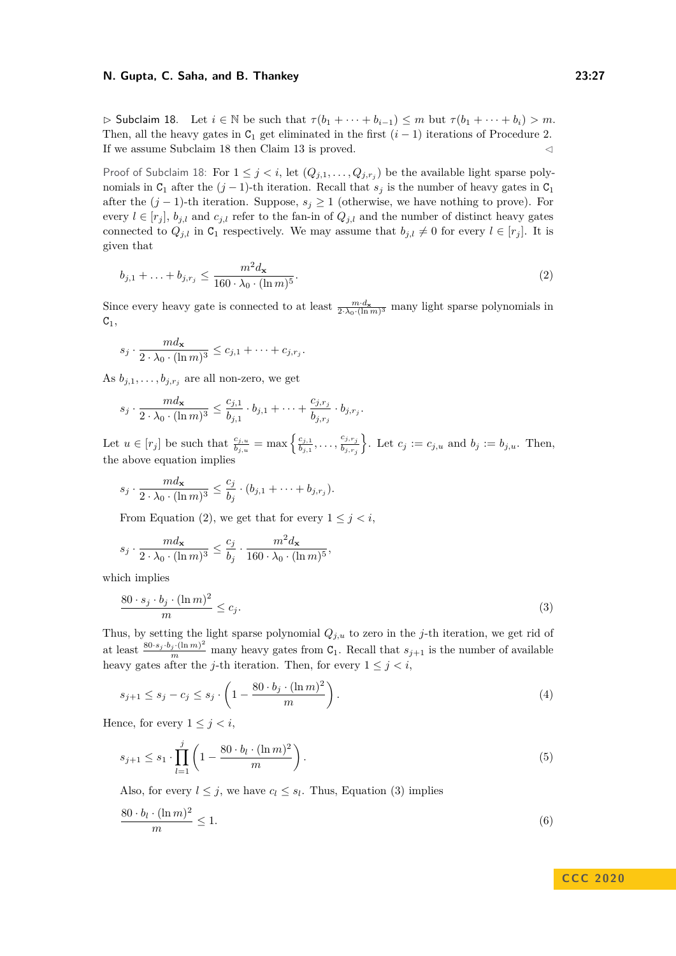<span id="page-26-0"></span> $\triangleright$  Subclaim 18. Let  $i \in \mathbb{N}$  be such that  $\tau(b_1 + \cdots + b_{i-1}) \leq m$  but  $\tau(b_1 + \cdots + b_i) > m$ . Then, all the heavy gates in  $C_1$  get eliminated in the first  $(i - 1)$  iterations of Procedure [2.](#page-10-1) If we assume Subclaim [18](#page-26-0) then Claim [13](#page-10-2) is proved.

Proof of Subclaim [18:](#page-26-0) For  $1 \leq j < i$ , let  $(Q_{j,1},...,Q_{j,r_j})$  be the available light sparse polynomials in  $C_1$  after the  $(j-1)$ -th iteration. Recall that  $s_j$  is the number of heavy gates in  $C_1$ after the  $(j-1)$ -th iteration. Suppose,  $s_j \geq 1$  (otherwise, we have nothing to prove). For every  $l \in [r_j]$ ,  $b_{j,l}$  and  $c_{j,l}$  refer to the fan-in of  $Q_{j,l}$  and the number of distinct heavy gates connected to  $Q_{j,l}$  in  $C_1$  respectively. We may assume that  $b_{j,l} \neq 0$  for every  $l \in [r_j]$ . It is given that

<span id="page-26-1"></span>
$$
b_{j,1} + \ldots + b_{j,r_j} \le \frac{m^2 d_{\mathbf{x}}}{160 \cdot \lambda_0 \cdot (\ln m)^5}.
$$
 (2)

Since every heavy gate is connected to at least  $\frac{m \cdot d_x}{2 \cdot \lambda_0 \cdot (\ln m)^3}$  many light sparse polynomials in  $C_1$ ,

$$
s_j \cdot \frac{md_{\mathbf{x}}}{2 \cdot \lambda_0 \cdot (\ln m)^3} \leq c_{j,1} + \dots + c_{j,r_j}.
$$

As  $b_{j,1}, \ldots, b_{j,r_j}$  are all non-zero, we get

$$
s_j \cdot \frac{md_{\mathbf{x}}}{2 \cdot \lambda_0 \cdot (\ln m)^3} \le \frac{c_{j,1}}{b_{j,1}} \cdot b_{j,1} + \dots + \frac{c_{j,r_j}}{b_{j,r_j}} \cdot b_{j,r_j}.
$$

Let  $u \in [r_j]$  be such that  $\frac{c_{j,u}}{b_{j,u}} = \max\left\{\frac{c_{j,1}}{b_{j,1}}\right\}$  $\frac{c_{j,1}}{b_{j,1}}, \ldots, \frac{c_{j,r_j}}{b_{j,r_j}}$ *bj,rj* ). Let  $c_j := c_{j,u}$  and  $b_j := b_{j,u}$ . Then, the above equation implies

$$
s_j \cdot \frac{md_{\mathbf{x}}}{2 \cdot \lambda_0 \cdot (\ln m)^3} \le \frac{c_j}{b_j} \cdot (b_{j,1} + \dots + b_{j,r_j}).
$$

From Equation [\(2\)](#page-26-1), we get that for every  $1 \leq j \leq i$ ,

$$
s_j \cdot \frac{m d_{\mathbf{x}}}{2 \cdot \lambda_0 \cdot (\ln m)^3} \le \frac{c_j}{b_j} \cdot \frac{m^2 d_{\mathbf{x}}}{160 \cdot \lambda_0 \cdot (\ln m)^5},
$$

which implies

<span id="page-26-2"></span>
$$
\frac{80 \cdot s_j \cdot b_j \cdot (\ln m)^2}{m} \le c_j.
$$
\n(3)

Thus, by setting the light sparse polynomial *Qj,u* to zero in the *j*-th iteration, we get rid of at least  $\frac{80 \cdot s_j \cdot b_j \cdot (\ln m)^2}{m}$  many heavy gates from C<sub>1</sub>. Recall that  $s_{j+1}$  is the number of available heavy gates after the *j*-th iteration. Then, for every  $1 \leq i \leq i$ ,

$$
s_{j+1} \le s_j - c_j \le s_j \cdot \left(1 - \frac{80 \cdot b_j \cdot (\ln m)^2}{m}\right). \tag{4}
$$

Hence, for every  $1 \leq j \leq i$ ,

<span id="page-26-3"></span>
$$
s_{j+1} \le s_1 \cdot \prod_{l=1}^j \left( 1 - \frac{80 \cdot b_l \cdot (\ln m)^2}{m} \right). \tag{5}
$$

Also, for every  $l \leq j$ , we have  $c_l \leq s_l$ . Thus, Equation [\(3\)](#page-26-2) implies

$$
\frac{80 \cdot b_l \cdot (\ln m)^2}{m} \le 1. \tag{6}
$$

# <span id="page-26-4"></span>**C C C 2 0 2 0**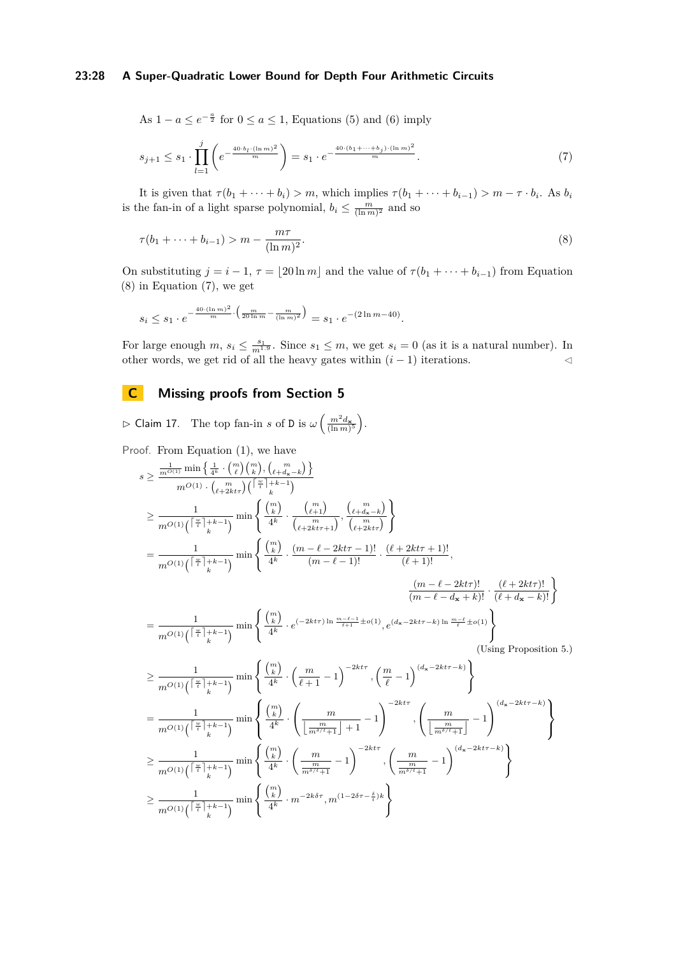### **23:28 A Super-Quadratic Lower Bound for Depth Four Arithmetic Circuits**

<span id="page-27-2"></span>As 
$$
1 - a \le e^{-\frac{a}{2}}
$$
 for  $0 \le a \le 1$ , Equations (5) and (6) imply

$$
s_{j+1} \le s_1 \cdot \prod_{l=1}^j \left( e^{-\frac{40 \cdot b_l \cdot (\ln m)^2}{m}} \right) = s_1 \cdot e^{-\frac{40 \cdot (b_1 + \dots + b_j) \cdot (\ln m)^2}{m}}.
$$
 (7)

It is given that  $\tau(b_1 + \cdots + b_i) > m$ , which implies  $\tau(b_1 + \cdots + b_{i-1}) > m - \tau \cdot b_i$ . As  $b_i$ is the fan-in of a light sparse polynomial,  $b_i \leq \frac{m}{(\ln m)^2}$  and so

<span id="page-27-1"></span>
$$
\tau(b_1 + \dots + b_{i-1}) > m - \frac{m\tau}{(\ln m)^2}.
$$
 (8)

On substituting  $j = i - 1$ ,  $\tau = \lfloor 20 \ln m \rfloor$  and the value of  $\tau(b_1 + \cdots + b_{i-1})$  from Equation [\(8\)](#page-27-1) in Equation [\(7\)](#page-27-2), we get

$$
s_i \le s_1 \cdot e^{-\frac{40 \cdot (\ln m)^2}{m} \cdot \left(\frac{m}{20 \ln m} - \frac{m}{(\ln m)^2}\right)} = s_1 \cdot e^{-(2 \ln m - 40)}.
$$

For large enough  $m, s_i \leq \frac{s_1}{m^{1.9}}$ . Since  $s_1 \leq m$ , we get  $s_i = 0$  (as it is a natural number). In other words, we get rid of all the heavy gates within  $(i - 1)$  iterations. <br>
া

# <span id="page-27-0"></span>**C Missing proofs from Section [5](#page-12-0)**

 $\triangleright$  Claim 17. The top fan-in *s* of D is  $\omega \left( \frac{m^2 d_{\mathbf{x}}}{(\ln m)^5} \right)$ .

Proof. From Equation 
$$
(1)
$$
, we have

$$
s \geq \frac{\frac{1}{m^{O(1)}}\min\left\{\frac{1}{4^{k}} \cdot {n \choose \ell}{n \choose k}, \left(\frac{1}{\ell+k-1}\right) \right\}}{m^{O(1)} \cdot \left(\ell_{\ell+2kt} \right) \left(\lceil \frac{w}{i} \rceil + k - 1 \right)}
$$
\n
$$
\geq \frac{1}{m^{O(1)} \cdot \left(\lceil \frac{w}{i} \rceil + k - 1 \right)} \min\left\{\frac{{n \choose k}}{4^{k}} \cdot \frac{{n \choose \ell+1}}{({\ell+2kt+1})}, \left(\frac{{\ell+2kt+1}}{({\ell+2kt+1})}\right) \right\}
$$
\n
$$
= \frac{1}{m^{O(1)} \cdot \left(\lceil \frac{w}{i} \rceil + k - 1 \right)} \min\left\{\frac{{n \choose k}}{4^{k}} \cdot \frac{{m - \ell - 2kt-1}}{({m - \ell - 1})!} \cdot \frac{{(\ell+2kt+1)!}}{{(\ell+1)!}}, \left(\frac{{m - \ell - 2kt+1}}{({m - \ell - 1})!} \right.\frac{{(\ell+2kt+1)!}}{{(m - \ell - d_{\mathbf{x}} + k)!}}\right\}
$$
\n
$$
= \frac{1}{m^{O(1)} \cdot \left(\lceil \frac{w}{i} \rceil + k - 1 \right)} \min\left\{\frac{{n \choose k}}{4^{k}} \cdot e^{(-2kt+1)\ln \frac{m - \ell - 1}{\ell + 1} \pm o(1)}, e^{(d_{\mathbf{x}} - 2kt+1)\ln \frac{m - \ell}{\ell} \pm o(1)} \right\}
$$
\n
$$
\geq \frac{1}{m^{O(1)} \cdot \left(\lceil \frac{w}{i} \rceil + k - 1 \right)} \min\left\{\frac{{n \choose k}}{4^{k}} \cdot \left(\frac{m}{\ell+1} - 1\right)^{-2kt+1}, \left(\frac{m}{\ell} - 1\right)^{{(d_{\mathbf{x}} - 2kt+1)}}\right\}
$$
\n
$$
= \frac{1}{m^{O(1)} \cdot \left(\lceil \frac{w}{i} \rceil + k - 1 \right)} \min\left\{\frac{{n \choose k}}{4^{k}} \cdot \left(\frac{m}{\ell+1} - 1\right)^{-2kt+1}, \
$$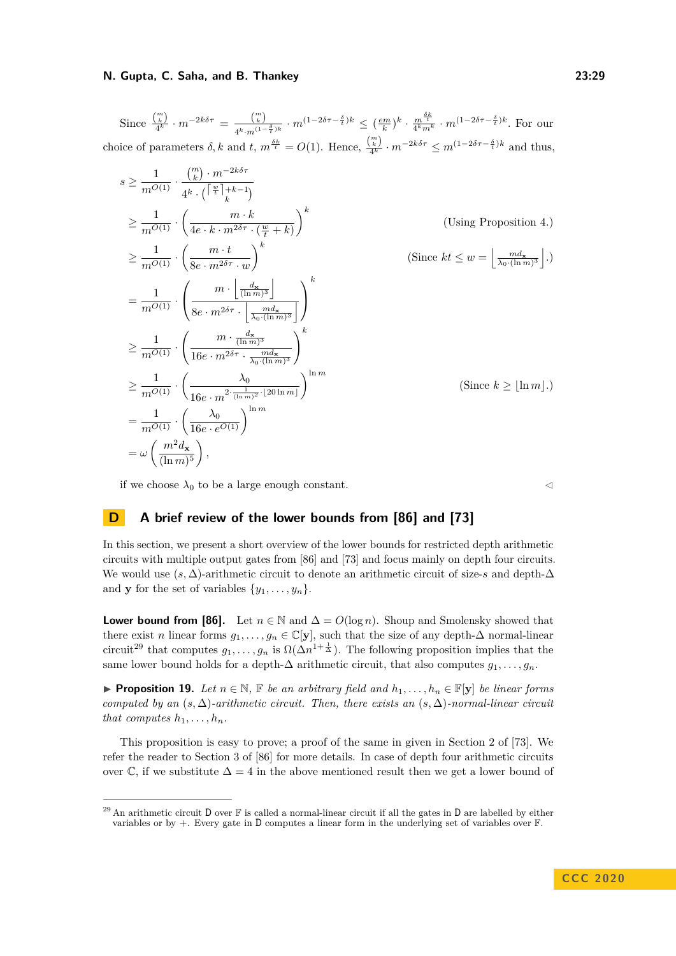Since  $\frac{\binom{m}{k}}{4^k} \cdot m^{-2k\delta\tau} = \frac{\binom{m}{k}}{4^k m^{(1-\epsilon)}}$  $\frac{\binom{m}{k}}{4^k \cdot m^{(1-\frac{\delta}{t})k}} \cdot m^{(1-2\delta\tau-\frac{\delta}{t})k} \leq \frac{em}{k}k \cdot \frac{m^{\frac{\delta k}{t}}}{4^k m^k} \cdot m^{(1-2\delta\tau-\frac{\delta}{t})k}$ . For our choice of parameters  $\delta$ , k and  $t$ ,  $m^{\frac{\delta k}{t}} = O(1)$ . Hence,  $\frac{\binom{m}{k}}{4^k} \cdot m^{-2k\delta\tau} \leq m^{(1-2\delta\tau - \frac{\delta}{t})k}$  and thus,

$$
s \geq \frac{1}{m^{O(1)}} \cdot \frac{\binom{m}{k} \cdot m^{-2k\delta\tau}}{4^k \cdot \left(\lceil \frac{w}{t} \rceil + k - 1\right)}
$$
  
\n
$$
\geq \frac{1}{m^{O(1)}} \cdot \left(\frac{m \cdot k}{4e \cdot k \cdot m^{2\delta\tau} \cdot \left(\frac{w}{t} + k\right)}\right)^k
$$
 (Using Proposition 4.)  
\n
$$
\geq \frac{1}{m^{O(1)}} \cdot \left(\frac{m \cdot t}{8e \cdot m^{2\delta\tau} \cdot w}\right)^k
$$
 (Since  $kt \leq w = \left\lfloor \frac{m d_x}{\lambda_0 \cdot (\ln m)^3} \right\rfloor$ .)  
\n
$$
= \frac{1}{m^{O(1)}} \cdot \left(\frac{m \cdot \left\lfloor \frac{d_x}{(\ln m)^3} \right\rfloor}{8e \cdot m^{2\delta\tau} \cdot \left\lfloor \frac{m d_x}{\lambda_0 \cdot (\ln m)^3} \right\rfloor}\right)^k
$$
  
\n
$$
\geq \frac{1}{m^{O(1)}} \cdot \left(\frac{m \cdot \frac{d_x}{(\ln m)^3}}{16e \cdot m^{2\delta\tau} \cdot \frac{m d_x}{\lambda_0 \cdot (\ln m)^3}}\right)^k
$$
  
\n
$$
\geq \frac{1}{m^{O(1)}} \cdot \left(\frac{\lambda_0}{16e \cdot m^{2 \cdot \frac{1}{(\ln m)^2} \cdot 20 \ln m}}\right)^{\ln m}
$$
 (Since  $k \geq \lfloor \ln m \rfloor$ .)  
\n
$$
= \frac{1}{m^{O(1)}} \cdot \left(\frac{\lambda_0}{16e \cdot e^{O(1)}}\right)^{\ln m}
$$
  
\n
$$
= \omega \left(\frac{m^2 d_x}{(\ln m)^5}\right),
$$

if we choose  $\lambda_0$  to be a large enough constant.  $\lhd$ 

# <span id="page-28-0"></span>**D A brief review of the lower bounds from [\[86\]](#page-18-2) and [\[73\]](#page-17-0)**

In this section, we present a short overview of the lower bounds for restricted depth arithmetic circuits with multiple output gates from [\[86\]](#page-18-2) and [\[73\]](#page-17-0) and focus mainly on depth four circuits. We would use (*s,* ∆)-arithmetic circuit to denote an arithmetic circuit of size-*s* and depth-∆ and **y** for the set of variables  $\{y_1, \ldots, y_n\}.$ 

**Lower bound from [\[86\]](#page-18-2).** Let  $n \in \mathbb{N}$  and  $\Delta = O(\log n)$ . Shoup and Smolensky showed that there exist *n* linear forms  $g_1, \ldots, g_n \in \mathbb{C}[\mathbf{y}]$ , such that the size of any depth- $\Delta$  normal-linear circuit<sup>[29](#page-28-1)</sup> that computes  $g_1, \ldots, g_n$  is  $\Omega(\Delta n^{1+\frac{1}{\Delta}})$ . The following proposition implies that the same lower bound holds for a depth- $\Delta$  arithmetic circuit, that also computes  $g_1, \ldots, g_n$ .

<span id="page-28-2"></span>▶ **Proposition 19.** *Let*  $n \in \mathbb{N}$ ,  $\mathbb{F}$  *be an arbitrary field and*  $h_1, \ldots, h_n \in \mathbb{F}[\mathbf{y}]$  *be linear forms computed by an*  $(s, \Delta)$ *-arithmetic circuit. Then, there exists an*  $(s, \Delta)$ *-normal-linear circuit that computes*  $h_1, \ldots, h_n$ *.* 

This proposition is easy to prove; a proof of the same in given in Section 2 of [\[73\]](#page-17-0). We refer the reader to Section 3 of [\[86\]](#page-18-2) for more details. In case of depth four arithmetic circuits over  $\mathbb C$ , if we substitute  $\Delta = 4$  in the above mentioned result then we get a lower bound of

<span id="page-28-1"></span><sup>&</sup>lt;sup>29</sup> An arithmetic circuit D over  $\mathbb F$  is called a normal-linear circuit if all the gates in D are labelled by either variables or by +. Every gate in D computes a linear form in the underlying set of variables over F.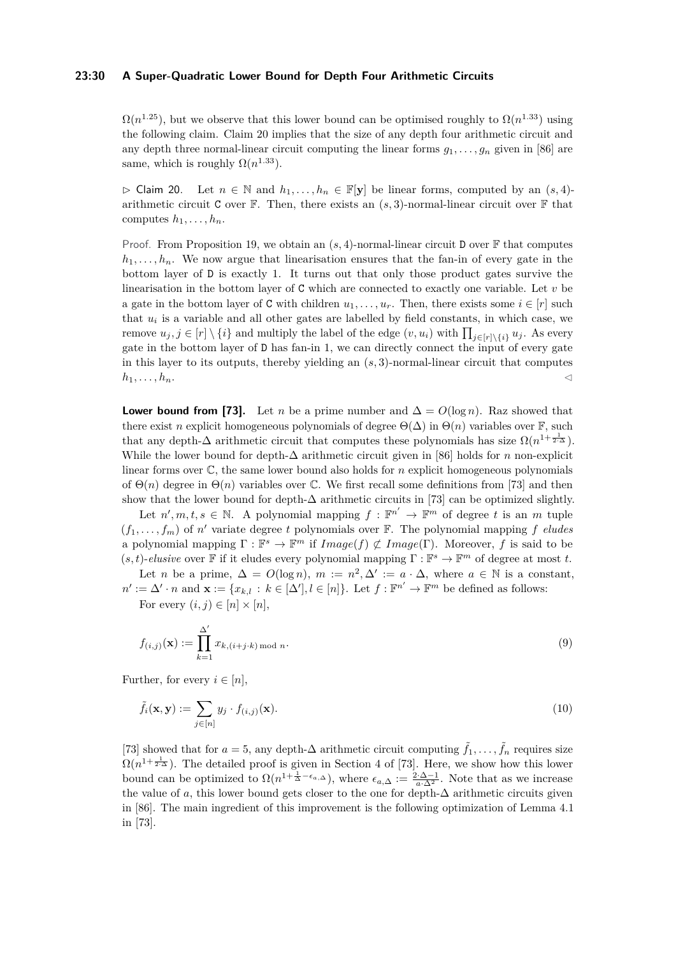#### **23:30 A Super-Quadratic Lower Bound for Depth Four Arithmetic Circuits**

 $\Omega(n^{1.25})$ , but we observe that this lower bound can be optimised roughly to  $\Omega(n^{1.33})$  using the following claim. Claim [20](#page-29-0) implies that the size of any depth four arithmetic circuit and any depth three normal-linear circuit computing the linear forms  $q_1, \ldots, q_n$  given in [\[86\]](#page-18-2) are same, which is roughly  $\Omega(n^{1.33})$ .

<span id="page-29-0"></span> $\triangleright$  Claim 20. Let *n* ∈ N and *h*<sub>1</sub>, ..., *h*<sub>*n*</sub> ∈ F[**y**] be linear forms, computed by an  $(s, 4)$ arithmetic circuit C over  $\mathbb F$ . Then, there exists an  $(s, 3)$ -normal-linear circuit over  $\mathbb F$  that computes  $h_1, \ldots, h_n$ .

Proof. From Proposition [19,](#page-28-2) we obtain an  $(s, 4)$ -normal-linear circuit D over F that computes  $h_1, \ldots, h_n$ . We now argue that linearisation ensures that the fan-in of every gate in the bottom layer of D is exactly 1. It turns out that only those product gates survive the linearisation in the bottom layer of C which are connected to exactly one variable. Let *v* be a gate in the bottom layer of C with children  $u_1, \ldots, u_r$ . Then, there exists some  $i \in [r]$  such that  $u_i$  is a variable and all other gates are labelled by field constants, in which case, we remove  $u_j, j \in [r] \setminus \{i\}$  and multiply the label of the edge  $(v, u_i)$  with  $\prod_{j \in [r] \setminus \{i\}} u_j$ . As every gate in the bottom layer of D has fan-in 1, we can directly connect the input of every gate in this layer to its outputs, thereby yielding an (*s,* 3)-normal-linear circuit that computes  $h_1, \ldots, h_n.$ 

**Lower bound from [\[73\]](#page-17-0).** Let *n* be a prime number and  $\Delta = O(\log n)$ . Raz showed that there exist *n* explicit homogeneous polynomials of degree  $\Theta(\Delta)$  in  $\Theta(n)$  variables over F, such that any depth- $\Delta$  arithmetic circuit that computes these polynomials has size  $\Omega(n^{1+\frac{1}{2\cdot\Delta}})$ . While the lower bound for depth-∆ arithmetic circuit given in [\[86\]](#page-18-2) holds for *n* non-explicit linear forms over C, the same lower bound also holds for *n* explicit homogeneous polynomials of  $\Theta(n)$  degree in  $\Theta(n)$  variables over C. We first recall some definitions from [\[73\]](#page-17-0) and then show that the lower bound for depth- $\Delta$  arithmetic circuits in [\[73\]](#page-17-0) can be optimized slightly.

Let  $n', m, t, s \in \mathbb{N}$ . A polynomial mapping  $f : \mathbb{F}^{n'} \to \mathbb{F}^m$  of degree *t* is an *m* tuple  $(f_1, \ldots, f_m)$  of *n'* variate degree *t* polynomials over F. The polynomial mapping *f eludes* a polynomial mapping  $\Gamma : \mathbb{F}^s \to \mathbb{F}^m$  if  $Image(f) \not\subset Image(\Gamma)$ . Moreover, *f* is said to be  $(s, t)$ -*elusive* over **F** if it eludes every polynomial mapping  $\Gamma : \mathbb{F}^s \to \mathbb{F}^m$  of degree at most *t*. Let *n* be a prime,  $\Delta = O(\log n)$ ,  $m := n^2, \Delta' := a \cdot \Delta$ , where  $a \in \mathbb{N}$  is a constant,

 $n' := \Delta' \cdot n$  and  $\mathbf{x} := \{x_{k,l} : k \in [\Delta'], l \in [n]\}.$  Let  $f : \mathbb{F}^{n'} \to \mathbb{F}^m$  be defined as follows:

<span id="page-29-1"></span>For every  $(i, j) \in [n] \times [n]$ ,

$$
f_{(i,j)}(\mathbf{x}) := \prod_{k=1}^{\Delta'} x_{k,(i+j\cdot k) \bmod n}.
$$
\n
$$
(9)
$$

Further, for every  $i \in [n]$ ,

<span id="page-29-2"></span>
$$
\tilde{f}_i(\mathbf{x}, \mathbf{y}) := \sum_{j \in [n]} y_j \cdot f_{(i,j)}(\mathbf{x}). \tag{10}
$$

[\[73\]](#page-17-0) showed that for  $a = 5$ , any depth- $\Delta$  arithmetic circuit computing  $\tilde{f}_1, \ldots, \tilde{f}_n$  requires size  $\Omega(n^{1+\frac{1}{2\cdot\Delta}})$ . The detailed proof is given in Section 4 of [\[73\]](#page-17-0). Here, we show how this lower bound can be optimized to  $\Omega(n^{1+\frac{1}{\Delta}-\epsilon_{a,\Delta}})$ , where  $\epsilon_{a,\Delta} := \frac{2\cdot\Delta-1}{a\cdot\Delta^2}$ . Note that as we increase the value of *a*, this lower bound gets closer to the one for depth- $\Delta$  arithmetic circuits given in [\[86\]](#page-18-2). The main ingredient of this improvement is the following optimization of Lemma 4.1 in [\[73\]](#page-17-0).